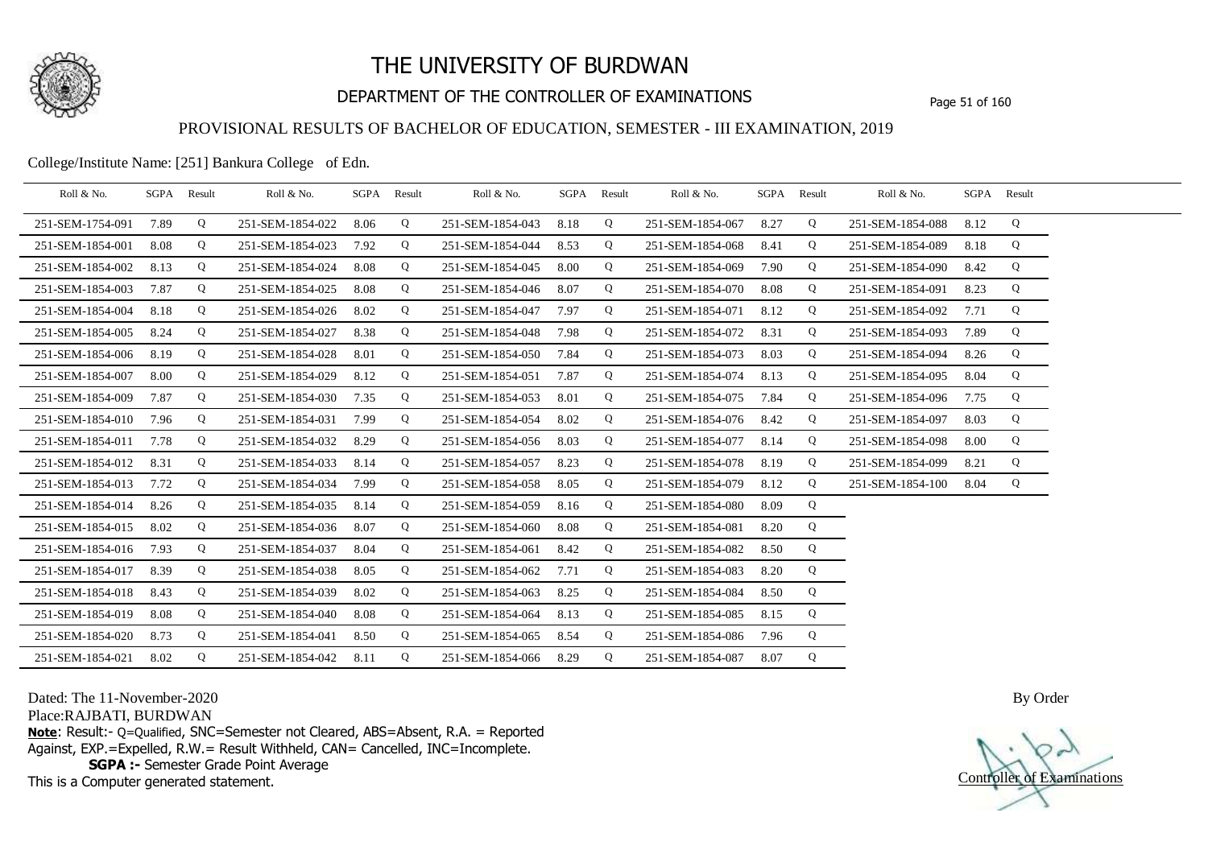

## DEPARTMENT OF THE CONTROLLER OF EXAMINATIONS Page 51 of 160

### PROVISIONAL RESULTS OF BACHELOR OF EDUCATION, SEMESTER - III EXAMINATION, 2019

College/Institute Name: [251] Bankura College of Edn.

| Roll & No.       |      | SGPA Result | Roll & No.       |      | SGPA Result | Roll & No.            | SGPA Result |   | Roll & No.       | SGPA Result |   | Roll & No.       |      | SGPA Result |  |
|------------------|------|-------------|------------------|------|-------------|-----------------------|-------------|---|------------------|-------------|---|------------------|------|-------------|--|
| 251-SEM-1754-091 | 7.89 | Q           | 251-SEM-1854-022 | 8.06 | Q           | 251-SEM-1854-043      | 8.18        | Q | 251-SEM-1854-067 | 8.27        | Q | 251-SEM-1854-088 | 8.12 | Q           |  |
| 251-SEM-1854-001 | 8.08 | Q           | 251-SEM-1854-023 | 7.92 | Q           | 251-SEM-1854-044      | 8.53        | Q | 251-SEM-1854-068 | 8.41        | Q | 251-SEM-1854-089 | 8.18 | Q           |  |
| 251-SEM-1854-002 | 8.13 | Q           | 251-SEM-1854-024 | 8.08 | Q           | 251-SEM-1854-045      | 8.00        | Q | 251-SEM-1854-069 | 7.90        | Q | 251-SEM-1854-090 | 8.42 | Q           |  |
| 251-SEM-1854-003 | 7.87 | Q           | 251-SEM-1854-025 | 8.08 | Q           | 251-SEM-1854-046      | 8.07        | Q | 251-SEM-1854-070 | 8.08        | Q | 251-SEM-1854-091 | 8.23 | Q           |  |
| 251-SEM-1854-004 | 8.18 | Q           | 251-SEM-1854-026 | 8.02 | Q           | 251-SEM-1854-047      | 7.97        | Q | 251-SEM-1854-071 | 8.12        | Q | 251-SEM-1854-092 | 7.71 | Q           |  |
| 251-SEM-1854-005 | 8.24 | Q           | 251-SEM-1854-027 | 8.38 | Q           | 251-SEM-1854-048      | 7.98        | Q | 251-SEM-1854-072 | 8.31        | Q | 251-SEM-1854-093 | 7.89 | Q           |  |
| 251-SEM-1854-006 | 8.19 | Q           | 251-SEM-1854-028 | 8.01 | Q           | 251-SEM-1854-050      | 7.84        | Q | 251-SEM-1854-073 | 8.03        | Q | 251-SEM-1854-094 | 8.26 | Q           |  |
| 251-SEM-1854-007 | 8.00 | Q           | 251-SEM-1854-029 | 8.12 | Q           | 251-SEM-1854-051      | 7.87        | Q | 251-SEM-1854-074 | 8.13        | Q | 251-SEM-1854-095 | 8.04 | Q           |  |
| 251-SEM-1854-009 | 7.87 | Q           | 251-SEM-1854-030 | 7.35 | Q           | 251-SEM-1854-053      | 8.01        | Q | 251-SEM-1854-075 | 7.84        | Q | 251-SEM-1854-096 | 7.75 | Q           |  |
| 251-SEM-1854-010 | 7.96 | Q           | 251-SEM-1854-031 | 7.99 | Q           | 251-SEM-1854-054      | 8.02        | Q | 251-SEM-1854-076 | 8.42        | Q | 251-SEM-1854-097 | 8.03 | Q           |  |
| 251-SEM-1854-011 | 7.78 | Q           | 251-SEM-1854-032 | 8.29 | Q           | 251-SEM-1854-056      | 8.03        | Q | 251-SEM-1854-077 | 8.14        | Q | 251-SEM-1854-098 | 8.00 | Q           |  |
| 251-SEM-1854-012 | 8.31 | Q           | 251-SEM-1854-033 | 8.14 | Q           | 251-SEM-1854-057      | 8.23        | Q | 251-SEM-1854-078 | 8.19        | Q | 251-SEM-1854-099 | 8.21 | Q           |  |
| 251-SEM-1854-013 | 7.72 | Q           | 251-SEM-1854-034 | 7.99 | Q           | 251-SEM-1854-058      | 8.05        | Q | 251-SEM-1854-079 | 8.12        | Q | 251-SEM-1854-100 | 8.04 | Q           |  |
| 251-SEM-1854-014 | 8.26 | Q           | 251-SEM-1854-035 | 8.14 | Q           | 251-SEM-1854-059      | 8.16        | Q | 251-SEM-1854-080 | 8.09        | Q |                  |      |             |  |
| 251-SEM-1854-015 | 8.02 | Q           | 251-SEM-1854-036 | 8.07 | Q           | 251-SEM-1854-060      | 8.08        | Q | 251-SEM-1854-081 | 8.20        | Q |                  |      |             |  |
| 251-SEM-1854-016 | 7.93 | Q           | 251-SEM-1854-037 | 8.04 | Q           | 251-SEM-1854-061      | 8.42        | Q | 251-SEM-1854-082 | 8.50        | Q |                  |      |             |  |
| 251-SEM-1854-017 | 8.39 | Q           | 251-SEM-1854-038 | 8.05 | Q           | 251-SEM-1854-062      | 7.71        | Q | 251-SEM-1854-083 | 8.20        | Q |                  |      |             |  |
| 251-SEM-1854-018 | 8.43 | Q           | 251-SEM-1854-039 | 8.02 | Q           | 251-SEM-1854-063      | 8.25        | Q | 251-SEM-1854-084 | 8.50        | Q |                  |      |             |  |
| 251-SEM-1854-019 | 8.08 | Q           | 251-SEM-1854-040 | 8.08 | Q           | 251-SEM-1854-064      | 8.13        | Q | 251-SEM-1854-085 | 8.15        | Q |                  |      |             |  |
| 251-SEM-1854-020 | 8.73 | Q           | 251-SEM-1854-041 | 8.50 | Q           | 251-SEM-1854-065      | 8.54        | Q | 251-SEM-1854-086 | 7.96        | Q |                  |      |             |  |
| 251-SEM-1854-021 | 8.02 | Q           | 251-SEM-1854-042 | 8.11 | Q           | 251-SEM-1854-066 8.29 |             | Q | 251-SEM-1854-087 | 8.07        | Q |                  |      |             |  |

Dated: The 11-November-2020

Place:RAJBATI, BURDWAN

**Note**: Result:- Q=Qualified, SNC=Semester not Cleared, ABS=Absent, R.A. = Reported Against, EXP.=Expelled, R.W.= Result Withheld, CAN= Cancelled, INC=Incomplete. **SGPA :-** Semester Grade Point Average

This is a Computer generated statement.

Controller of Examinations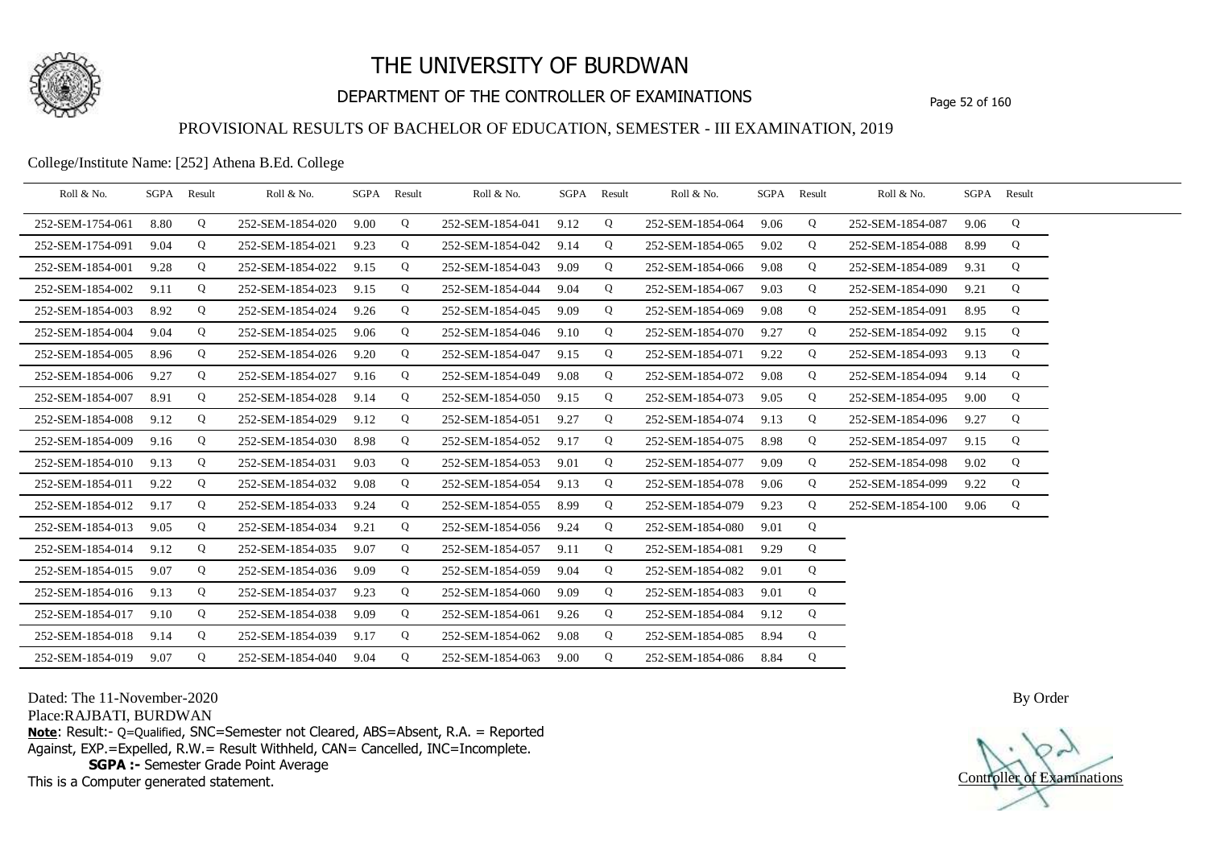

## DEPARTMENT OF THE CONTROLLER OF EXAMINATIONS Page 52 of 160

### PROVISIONAL RESULTS OF BACHELOR OF EDUCATION, SEMESTER - III EXAMINATION, 2019

College/Institute Name: [252] Athena B.Ed. College

| Roll & No.       | SGPA | Result | Roll & No.       |      | SGPA Result | Roll & No.       | SGPA Result |   | Roll & No.       | SGPA Result |   | Roll & No.       |      | SGPA Result |  |
|------------------|------|--------|------------------|------|-------------|------------------|-------------|---|------------------|-------------|---|------------------|------|-------------|--|
| 252-SEM-1754-061 | 8.80 | Q      | 252-SEM-1854-020 | 9.00 | Q           | 252-SEM-1854-041 | 9.12        | Q | 252-SEM-1854-064 | 9.06        | Q | 252-SEM-1854-087 | 9.06 | Q           |  |
| 252-SEM-1754-091 | 9.04 | Q      | 252-SEM-1854-021 | 9.23 | Q           | 252-SEM-1854-042 | 9.14        | Q | 252-SEM-1854-065 | 9.02        | Q | 252-SEM-1854-088 | 8.99 | Q           |  |
| 252-SEM-1854-001 | 9.28 | Q      | 252-SEM-1854-022 | 9.15 | Q           | 252-SEM-1854-043 | 9.09        | Q | 252-SEM-1854-066 | 9.08        | Q | 252-SEM-1854-089 | 9.31 | Q           |  |
| 252-SEM-1854-002 | 9.11 | Q      | 252-SEM-1854-023 | 9.15 | Q           | 252-SEM-1854-044 | 9.04        | Q | 252-SEM-1854-067 | 9.03        | Q | 252-SEM-1854-090 | 9.21 | Q           |  |
| 252-SEM-1854-003 | 8.92 | Q      | 252-SEM-1854-024 | 9.26 | Q           | 252-SEM-1854-045 | 9.09        | Q | 252-SEM-1854-069 | 9.08        | Q | 252-SEM-1854-091 | 8.95 | Q           |  |
| 252-SEM-1854-004 | 9.04 | Q      | 252-SEM-1854-025 | 9.06 | Q           | 252-SEM-1854-046 | 9.10        | Q | 252-SEM-1854-070 | 9.27        | Q | 252-SEM-1854-092 | 9.15 | Q           |  |
| 252-SEM-1854-005 | 8.96 | Q      | 252-SEM-1854-026 | 9.20 | Q           | 252-SEM-1854-047 | 9.15        | Q | 252-SEM-1854-071 | 9.22        | Q | 252-SEM-1854-093 | 9.13 | Q           |  |
| 252-SEM-1854-006 | 9.27 | Q      | 252-SEM-1854-027 | 9.16 | Q           | 252-SEM-1854-049 | 9.08        | Q | 252-SEM-1854-072 | 9.08        | Q | 252-SEM-1854-094 | 9.14 | Q           |  |
| 252-SEM-1854-007 | 8.91 | Q      | 252-SEM-1854-028 | 9.14 | Q           | 252-SEM-1854-050 | 9.15        | Q | 252-SEM-1854-073 | 9.05        | Q | 252-SEM-1854-095 | 9.00 | Q           |  |
| 252-SEM-1854-008 | 9.12 | Q      | 252-SEM-1854-029 | 9.12 | Q           | 252-SEM-1854-051 | 9.27        | Q | 252-SEM-1854-074 | 9.13        | Q | 252-SEM-1854-096 | 9.27 | Q           |  |
| 252-SEM-1854-009 | 9.16 | Q      | 252-SEM-1854-030 | 8.98 | Q           | 252-SEM-1854-052 | 9.17        | Q | 252-SEM-1854-075 | 8.98        | Q | 252-SEM-1854-097 | 9.15 | Q           |  |
| 252-SEM-1854-010 | 9.13 | Q      | 252-SEM-1854-031 | 9.03 | Q           | 252-SEM-1854-053 | 9.01        | Q | 252-SEM-1854-077 | 9.09        | Q | 252-SEM-1854-098 | 9.02 | Q           |  |
| 252-SEM-1854-011 | 9.22 | Q      | 252-SEM-1854-032 | 9.08 | Q           | 252-SEM-1854-054 | 9.13        | Q | 252-SEM-1854-078 | 9.06        | Q | 252-SEM-1854-099 | 9.22 | Q           |  |
| 252-SEM-1854-012 | 9.17 | Q      | 252-SEM-1854-033 | 9.24 | Q           | 252-SEM-1854-055 | 8.99        | Q | 252-SEM-1854-079 | 9.23        | Q | 252-SEM-1854-100 | 9.06 | Q           |  |
| 252-SEM-1854-013 | 9.05 | Q      | 252-SEM-1854-034 | 9.21 | Q           | 252-SEM-1854-056 | 9.24        | Q | 252-SEM-1854-080 | 9.01        | Q |                  |      |             |  |
| 252-SEM-1854-014 | 9.12 | Q      | 252-SEM-1854-035 | 9.07 | Q           | 252-SEM-1854-057 | 9.11        | Q | 252-SEM-1854-081 | 9.29        | Q |                  |      |             |  |
| 252-SEM-1854-015 | 9.07 | Q      | 252-SEM-1854-036 | 9.09 | Q           | 252-SEM-1854-059 | 9.04        | Q | 252-SEM-1854-082 | 9.01        | Q |                  |      |             |  |
| 252-SEM-1854-016 | 9.13 | Q      | 252-SEM-1854-037 | 9.23 | Q           | 252-SEM-1854-060 | 9.09        | Q | 252-SEM-1854-083 | 9.01        | Q |                  |      |             |  |
| 252-SEM-1854-017 | 9.10 | Q      | 252-SEM-1854-038 | 9.09 | Q           | 252-SEM-1854-061 | 9.26        | Q | 252-SEM-1854-084 | 9.12        | Q |                  |      |             |  |
| 252-SEM-1854-018 | 9.14 | Q      | 252-SEM-1854-039 | 9.17 | Q           | 252-SEM-1854-062 | 9.08        | Q | 252-SEM-1854-085 | 8.94        | Q |                  |      |             |  |
| 252-SEM-1854-019 | 9.07 | Q      | 252-SEM-1854-040 | 9.04 | Q           | 252-SEM-1854-063 | 9.00        | Q | 252-SEM-1854-086 | 8.84        | Q |                  |      |             |  |

Dated: The 11-November-2020

Place:RAJBATI, BURDWAN

**Note**: Result:- Q=Qualified, SNC=Semester not Cleared, ABS=Absent, R.A. = Reported Against, EXP.=Expelled, R.W.= Result Withheld, CAN= Cancelled, INC=Incomplete. **SGPA :-** Semester Grade Point Average

This is a Computer generated statement.

Controller of Examinations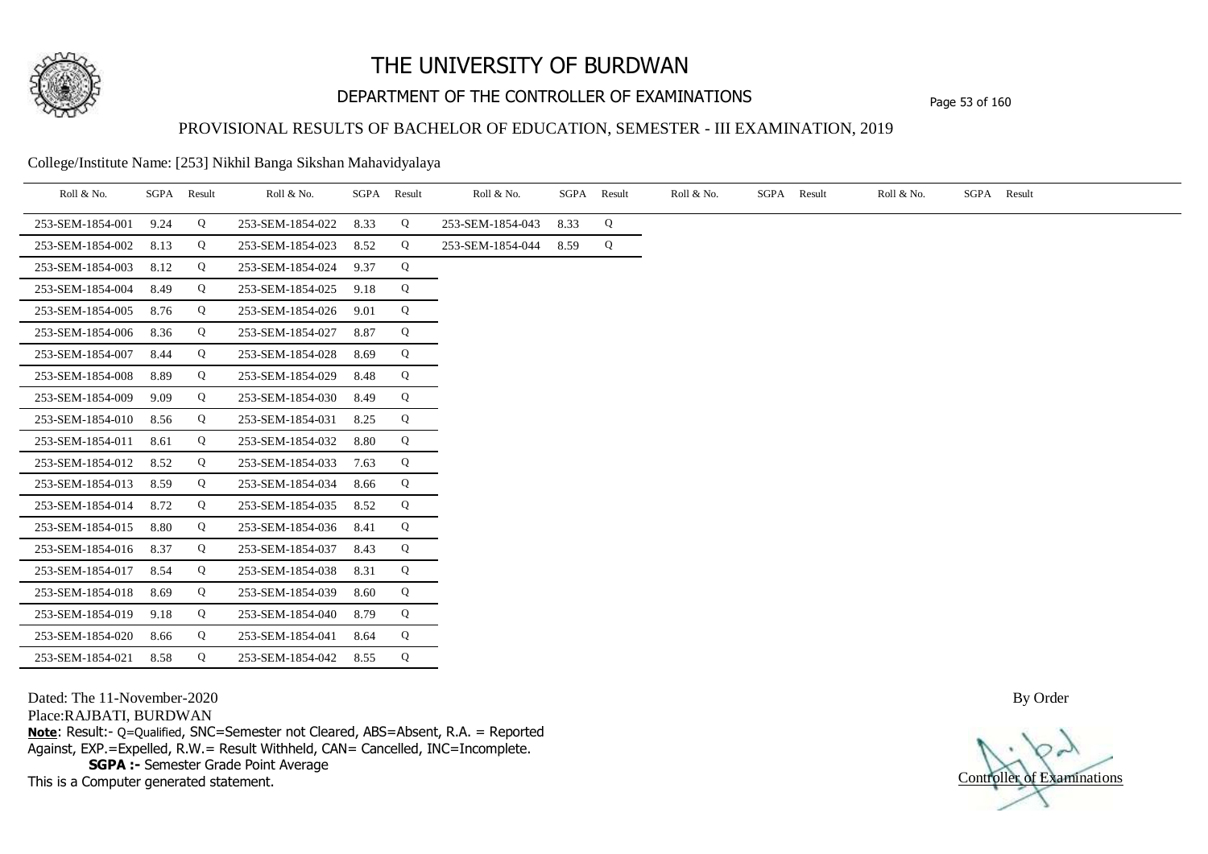

## DEPARTMENT OF THE CONTROLLER OF EXAMINATIONS Page 53 of 160

### PROVISIONAL RESULTS OF BACHELOR OF EDUCATION, SEMESTER - III EXAMINATION, 2019

College/Institute Name: [253] Nikhil Banga Sikshan Mahavidyalaya

| Roll & No.       | SGPA | Result | Roll & No.       | SGPA | Result | Roll & No.       | SGPA | Result | Roll & No. | SGPA | Result | Roll & No. | SGPA Result |
|------------------|------|--------|------------------|------|--------|------------------|------|--------|------------|------|--------|------------|-------------|
| 253-SEM-1854-001 | 9.24 | Q      | 253-SEM-1854-022 | 8.33 | Q      | 253-SEM-1854-043 | 8.33 | Q      |            |      |        |            |             |
| 253-SEM-1854-002 | 8.13 | Q      | 253-SEM-1854-023 | 8.52 | Q      | 253-SEM-1854-044 | 8.59 | Q      |            |      |        |            |             |
| 253-SEM-1854-003 | 8.12 | Q      | 253-SEM-1854-024 | 9.37 | Q      |                  |      |        |            |      |        |            |             |
| 253-SEM-1854-004 | 8.49 | Q      | 253-SEM-1854-025 | 9.18 | Q      |                  |      |        |            |      |        |            |             |
| 253-SEM-1854-005 | 8.76 | Q      | 253-SEM-1854-026 | 9.01 | Q      |                  |      |        |            |      |        |            |             |
| 253-SEM-1854-006 | 8.36 | Q      | 253-SEM-1854-027 | 8.87 | Q      |                  |      |        |            |      |        |            |             |
| 253-SEM-1854-007 | 8.44 | Q      | 253-SEM-1854-028 | 8.69 | Q      |                  |      |        |            |      |        |            |             |
| 253-SEM-1854-008 | 8.89 | Q      | 253-SEM-1854-029 | 8.48 | Q      |                  |      |        |            |      |        |            |             |
| 253-SEM-1854-009 | 9.09 | Q      | 253-SEM-1854-030 | 8.49 | Q      |                  |      |        |            |      |        |            |             |
| 253-SEM-1854-010 | 8.56 | Q      | 253-SEM-1854-031 | 8.25 | Q      |                  |      |        |            |      |        |            |             |
| 253-SEM-1854-011 | 8.61 | Q      | 253-SEM-1854-032 | 8.80 | Q      |                  |      |        |            |      |        |            |             |
| 253-SEM-1854-012 | 8.52 | Q      | 253-SEM-1854-033 | 7.63 | Q      |                  |      |        |            |      |        |            |             |
| 253-SEM-1854-013 | 8.59 | Q      | 253-SEM-1854-034 | 8.66 | Q      |                  |      |        |            |      |        |            |             |
| 253-SEM-1854-014 | 8.72 | Q      | 253-SEM-1854-035 | 8.52 | Q      |                  |      |        |            |      |        |            |             |
| 253-SEM-1854-015 | 8.80 | Q      | 253-SEM-1854-036 | 8.41 | Q      |                  |      |        |            |      |        |            |             |
| 253-SEM-1854-016 | 8.37 | Q      | 253-SEM-1854-037 | 8.43 | Q      |                  |      |        |            |      |        |            |             |
| 253-SEM-1854-017 | 8.54 | Q      | 253-SEM-1854-038 | 8.31 | Q      |                  |      |        |            |      |        |            |             |
| 253-SEM-1854-018 | 8.69 | Q      | 253-SEM-1854-039 | 8.60 | Q      |                  |      |        |            |      |        |            |             |
| 253-SEM-1854-019 | 9.18 | Q      | 253-SEM-1854-040 | 8.79 | Q      |                  |      |        |            |      |        |            |             |
| 253-SEM-1854-020 | 8.66 | Q      | 253-SEM-1854-041 | 8.64 | Q      |                  |      |        |            |      |        |            |             |
| 253-SEM-1854-021 | 8.58 | Q      | 253-SEM-1854-042 | 8.55 | Q      |                  |      |        |            |      |        |            |             |

Dated: The 11-November-2020

Place:RAJBATI, BURDWAN

**Note**: Result:- Q=Qualified, SNC=Semester not Cleared, ABS=Absent, R.A. = Reported Against, EXP.=Expelled, R.W.= Result Withheld, CAN= Cancelled, INC=Incomplete. **SGPA :-** Semester Grade Point Average

This is a Computer generated statement.

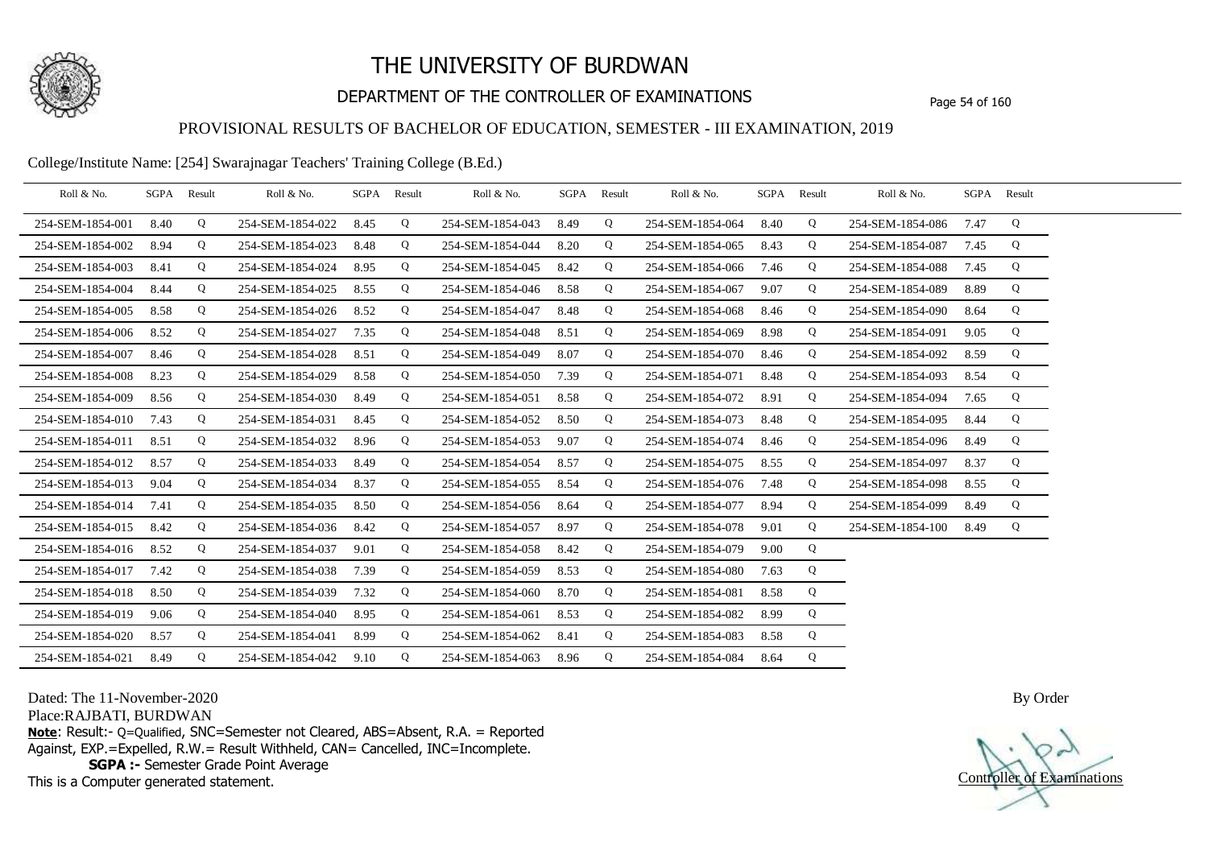

## DEPARTMENT OF THE CONTROLLER OF EXAMINATIONS Page 54 of 160

### PROVISIONAL RESULTS OF BACHELOR OF EDUCATION, SEMESTER - III EXAMINATION, 2019

College/Institute Name: [254] Swarajnagar Teachers' Training College (B.Ed.)

| Roll & No.       |      | SGPA Result | Roll & No.       | SGPA | Result | Roll & No.       | SGPA Result |   | Roll & No.       |      | SGPA Result | Roll & No.       | SGPA Result |   |  |
|------------------|------|-------------|------------------|------|--------|------------------|-------------|---|------------------|------|-------------|------------------|-------------|---|--|
| 254-SEM-1854-001 | 8.40 | Q           | 254-SEM-1854-022 | 8.45 | Q      | 254-SEM-1854-043 | 8.49        | Q | 254-SEM-1854-064 | 8.40 | Q           | 254-SEM-1854-086 | 7.47        | Q |  |
| 254-SEM-1854-002 | 8.94 | Q           | 254-SEM-1854-023 | 8.48 | Q      | 254-SEM-1854-044 | 8.20        | Q | 254-SEM-1854-065 | 8.43 | Q           | 254-SEM-1854-087 | 7.45        | Q |  |
| 254-SEM-1854-003 | 8.41 | Q           | 254-SEM-1854-024 | 8.95 | Q      | 254-SEM-1854-045 | 8.42        | Q | 254-SEM-1854-066 | 7.46 | Q           | 254-SEM-1854-088 | 7.45        | Q |  |
| 254-SEM-1854-004 | 8.44 | Q           | 254-SEM-1854-025 | 8.55 | Q      | 254-SEM-1854-046 | 8.58        | Q | 254-SEM-1854-067 | 9.07 | Q           | 254-SEM-1854-089 | 8.89        | Q |  |
| 254-SEM-1854-005 | 8.58 | Q           | 254-SEM-1854-026 | 8.52 | Q      | 254-SEM-1854-047 | 8.48        | Q | 254-SEM-1854-068 | 8.46 | Q           | 254-SEM-1854-090 | 8.64        | Q |  |
| 254-SEM-1854-006 | 8.52 | Q           | 254-SEM-1854-027 | 7.35 | Q      | 254-SEM-1854-048 | 8.51        | Q | 254-SEM-1854-069 | 8.98 | Q           | 254-SEM-1854-091 | 9.05        | Q |  |
| 254-SEM-1854-007 | 8.46 | Q           | 254-SEM-1854-028 | 8.51 | Q      | 254-SEM-1854-049 | 8.07        | Q | 254-SEM-1854-070 | 8.46 | Q           | 254-SEM-1854-092 | 8.59        | Q |  |
| 254-SEM-1854-008 | 8.23 | Q           | 254-SEM-1854-029 | 8.58 | Q      | 254-SEM-1854-050 | 7.39        | Q | 254-SEM-1854-071 | 8.48 | Q           | 254-SEM-1854-093 | 8.54        | Q |  |
| 254-SEM-1854-009 | 8.56 | Q           | 254-SEM-1854-030 | 8.49 | Q      | 254-SEM-1854-051 | 8.58        | Q | 254-SEM-1854-072 | 8.91 | Q           | 254-SEM-1854-094 | 7.65        | Q |  |
| 254-SEM-1854-010 | 7.43 | Q           | 254-SEM-1854-031 | 8.45 | Q      | 254-SEM-1854-052 | 8.50        | Q | 254-SEM-1854-073 | 8.48 | Q           | 254-SEM-1854-095 | 8.44        | Q |  |
| 254-SEM-1854-011 | 8.51 | Q           | 254-SEM-1854-032 | 8.96 | Q      | 254-SEM-1854-053 | 9.07        | Q | 254-SEM-1854-074 | 8.46 | Q           | 254-SEM-1854-096 | 8.49        | Q |  |
| 254-SEM-1854-012 | 8.57 | Q           | 254-SEM-1854-033 | 8.49 | Q      | 254-SEM-1854-054 | 8.57        | Q | 254-SEM-1854-075 | 8.55 | Q           | 254-SEM-1854-097 | 8.37        | Q |  |
| 254-SEM-1854-013 | 9.04 | Q           | 254-SEM-1854-034 | 8.37 | Q      | 254-SEM-1854-055 | 8.54        | Q | 254-SEM-1854-076 | 7.48 | Q           | 254-SEM-1854-098 | 8.55        | Q |  |
| 254-SEM-1854-014 | 7.41 | Q           | 254-SEM-1854-035 | 8.50 | Q      | 254-SEM-1854-056 | 8.64        | Q | 254-SEM-1854-077 | 8.94 | Q           | 254-SEM-1854-099 | 8.49        | Q |  |
| 254-SEM-1854-015 | 8.42 | Q           | 254-SEM-1854-036 | 8.42 | Q      | 254-SEM-1854-057 | 8.97        | Q | 254-SEM-1854-078 | 9.01 | Q           | 254-SEM-1854-100 | 8.49        | Q |  |
| 254-SEM-1854-016 | 8.52 | Q           | 254-SEM-1854-037 | 9.01 | Q      | 254-SEM-1854-058 | 8.42        | Q | 254-SEM-1854-079 | 9.00 | Q           |                  |             |   |  |
| 254-SEM-1854-017 | 7.42 | Q           | 254-SEM-1854-038 | 7.39 | Q      | 254-SEM-1854-059 | 8.53        | Q | 254-SEM-1854-080 | 7.63 | Q           |                  |             |   |  |
| 254-SEM-1854-018 | 8.50 | Q           | 254-SEM-1854-039 | 7.32 | Q      | 254-SEM-1854-060 | 8.70        | Q | 254-SEM-1854-081 | 8.58 | Q           |                  |             |   |  |
| 254-SEM-1854-019 | 9.06 | Q           | 254-SEM-1854-040 | 8.95 | Q      | 254-SEM-1854-061 | 8.53        | Q | 254-SEM-1854-082 | 8.99 | Q           |                  |             |   |  |
| 254-SEM-1854-020 | 8.57 | Q           | 254-SEM-1854-041 | 8.99 | Q      | 254-SEM-1854-062 | 8.41        | Q | 254-SEM-1854-083 | 8.58 | Q           |                  |             |   |  |
| 254-SEM-1854-021 | 8.49 | Q           | 254-SEM-1854-042 | 9.10 | Q      | 254-SEM-1854-063 | 8.96        | Q | 254-SEM-1854-084 | 8.64 | Q           |                  |             |   |  |

Dated: The 11-November-2020

Place:RAJBATI, BURDWAN

**Note**: Result:- Q=Qualified, SNC=Semester not Cleared, ABS=Absent, R.A. = Reported Against, EXP.=Expelled, R.W.= Result Withheld, CAN= Cancelled, INC=Incomplete. **SGPA :-** Semester Grade Point Average

This is a Computer generated statement.

Controller of Examinations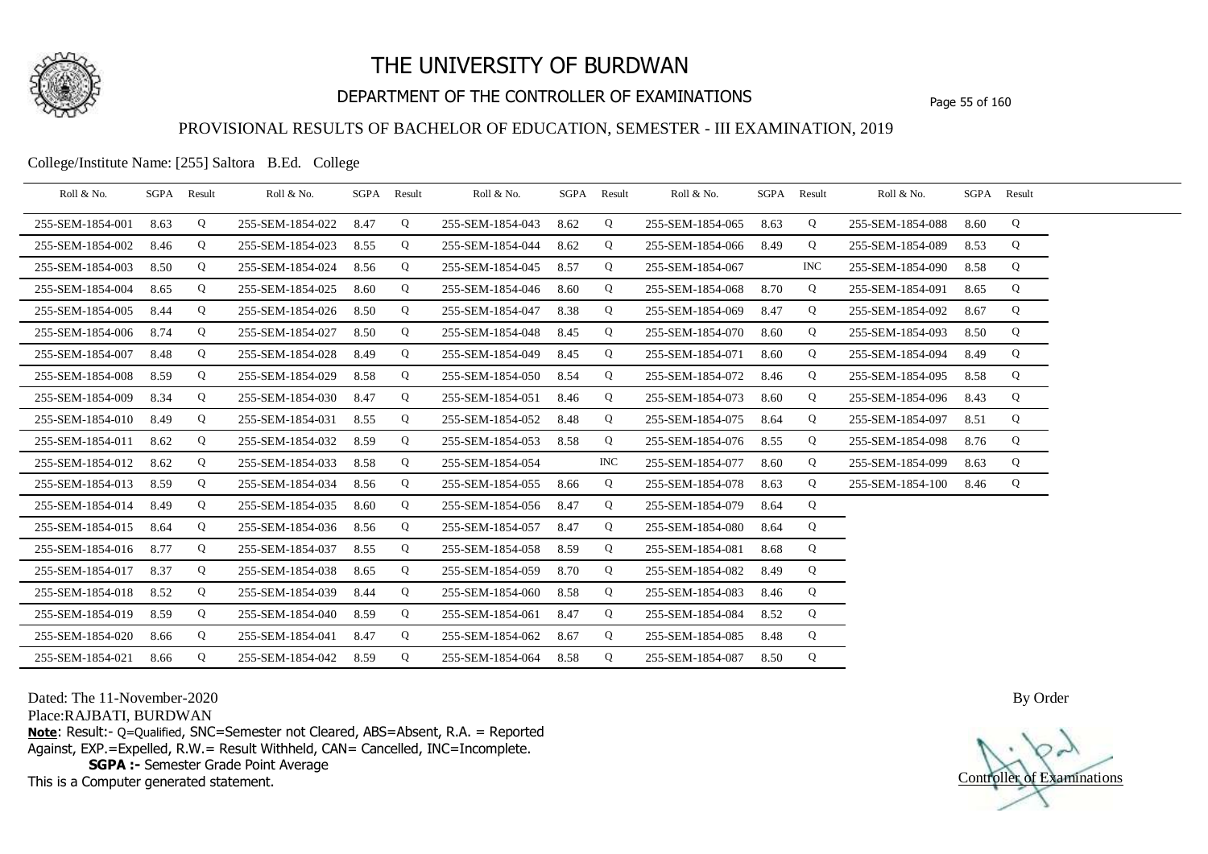

## DEPARTMENT OF THE CONTROLLER OF EXAMINATIONS Page 55 of 160

### PROVISIONAL RESULTS OF BACHELOR OF EDUCATION, SEMESTER - III EXAMINATION, 2019

College/Institute Name: [255] Saltora B.Ed. College

| Roll & No.       |      | SGPA Result | Roll & No.       |      | SGPA Result | Roll & No.       |      | SGPA Result | Roll & No.       | SGPA | Result | Roll & No.       |      | SGPA Result |  |
|------------------|------|-------------|------------------|------|-------------|------------------|------|-------------|------------------|------|--------|------------------|------|-------------|--|
| 255-SEM-1854-001 | 8.63 | Q           | 255-SEM-1854-022 | 8.47 | Q           | 255-SEM-1854-043 | 8.62 | Q           | 255-SEM-1854-065 | 8.63 | Q      | 255-SEM-1854-088 | 8.60 | Q           |  |
| 255-SEM-1854-002 | 8.46 | Q           | 255-SEM-1854-023 | 8.55 | Q           | 255-SEM-1854-044 | 8.62 | Q           | 255-SEM-1854-066 | 8.49 | Q      | 255-SEM-1854-089 | 8.53 | Q           |  |
| 255-SEM-1854-003 | 8.50 | Q           | 255-SEM-1854-024 | 8.56 | Q           | 255-SEM-1854-045 | 8.57 | Q           | 255-SEM-1854-067 |      | INC.   | 255-SEM-1854-090 | 8.58 | Q           |  |
| 255-SEM-1854-004 | 8.65 | Q           | 255-SEM-1854-025 | 8.60 | Q           | 255-SEM-1854-046 | 8.60 | Q           | 255-SEM-1854-068 | 8.70 | Q      | 255-SEM-1854-091 | 8.65 | Q           |  |
| 255-SEM-1854-005 | 8.44 | Q           | 255-SEM-1854-026 | 8.50 | Q           | 255-SEM-1854-047 | 8.38 | Q           | 255-SEM-1854-069 | 8.47 | Q      | 255-SEM-1854-092 | 8.67 | Q           |  |
| 255-SEM-1854-006 | 8.74 | Q           | 255-SEM-1854-027 | 8.50 | Q           | 255-SEM-1854-048 | 8.45 | Q           | 255-SEM-1854-070 | 8.60 | Q      | 255-SEM-1854-093 | 8.50 | Q           |  |
| 255-SEM-1854-007 | 8.48 | Q           | 255-SEM-1854-028 | 8.49 | Q           | 255-SEM-1854-049 | 8.45 | Q           | 255-SEM-1854-071 | 8.60 | Q      | 255-SEM-1854-094 | 8.49 | Q           |  |
| 255-SEM-1854-008 | 8.59 | Q           | 255-SEM-1854-029 | 8.58 | Q           | 255-SEM-1854-050 | 8.54 | Q           | 255-SEM-1854-072 | 8.46 | Q      | 255-SEM-1854-095 | 8.58 | Q           |  |
| 255-SEM-1854-009 | 8.34 | Q           | 255-SEM-1854-030 | 8.47 | Q           | 255-SEM-1854-051 | 8.46 | Q           | 255-SEM-1854-073 | 8.60 | Q      | 255-SEM-1854-096 | 8.43 | Q           |  |
| 255-SEM-1854-010 | 8.49 | Q           | 255-SEM-1854-031 | 8.55 | Q           | 255-SEM-1854-052 | 8.48 | Q           | 255-SEM-1854-075 | 8.64 | Q      | 255-SEM-1854-097 | 8.51 | Q           |  |
| 255-SEM-1854-011 | 8.62 | Q           | 255-SEM-1854-032 | 8.59 | Q           | 255-SEM-1854-053 | 8.58 | Q           | 255-SEM-1854-076 | 8.55 | Q      | 255-SEM-1854-098 | 8.76 | Q           |  |
| 255-SEM-1854-012 | 8.62 | Q           | 255-SEM-1854-033 | 8.58 | Q           | 255-SEM-1854-054 |      | <b>INC</b>  | 255-SEM-1854-077 | 8.60 | Q      | 255-SEM-1854-099 | 8.63 | Q           |  |
| 255-SEM-1854-013 | 8.59 | Q           | 255-SEM-1854-034 | 8.56 | Q           | 255-SEM-1854-055 | 8.66 | Q           | 255-SEM-1854-078 | 8.63 | Q      | 255-SEM-1854-100 | 8.46 | Q           |  |
| 255-SEM-1854-014 | 8.49 | Q           | 255-SEM-1854-035 | 8.60 | Q           | 255-SEM-1854-056 | 8.47 | Q           | 255-SEM-1854-079 | 8.64 | Q      |                  |      |             |  |
| 255-SEM-1854-015 | 8.64 | Q           | 255-SEM-1854-036 | 8.56 | Q           | 255-SEM-1854-057 | 8.47 | Q           | 255-SEM-1854-080 | 8.64 | Q      |                  |      |             |  |
| 255-SEM-1854-016 | 8.77 | Q           | 255-SEM-1854-037 | 8.55 | Q           | 255-SEM-1854-058 | 8.59 | Q           | 255-SEM-1854-081 | 8.68 | Q      |                  |      |             |  |
| 255-SEM-1854-017 | 8.37 | Q           | 255-SEM-1854-038 | 8.65 | Q           | 255-SEM-1854-059 | 8.70 | Q           | 255-SEM-1854-082 | 8.49 | Q      |                  |      |             |  |
| 255-SEM-1854-018 | 8.52 | Q           | 255-SEM-1854-039 | 8.44 | Q           | 255-SEM-1854-060 | 8.58 | Q           | 255-SEM-1854-083 | 8.46 | Q      |                  |      |             |  |
| 255-SEM-1854-019 | 8.59 | Q           | 255-SEM-1854-040 | 8.59 | Q           | 255-SEM-1854-061 | 8.47 | Q           | 255-SEM-1854-084 | 8.52 | Q      |                  |      |             |  |
| 255-SEM-1854-020 | 8.66 | Q           | 255-SEM-1854-041 | 8.47 | Q           | 255-SEM-1854-062 | 8.67 | Q           | 255-SEM-1854-085 | 8.48 | Q      |                  |      |             |  |
| 255-SEM-1854-021 | 8.66 | Q           | 255-SEM-1854-042 | 8.59 | Q           | 255-SEM-1854-064 | 8.58 | Q           | 255-SEM-1854-087 | 8.50 | Q      |                  |      |             |  |

Dated: The 11-November-2020

Place:RAJBATI, BURDWAN

**Note**: Result:- Q=Qualified, SNC=Semester not Cleared, ABS=Absent, R.A. = Reported Against, EXP.=Expelled, R.W.= Result Withheld, CAN= Cancelled, INC=Incomplete. **SGPA :-** Semester Grade Point Average

This is a Computer generated statement.

Controller of Examinations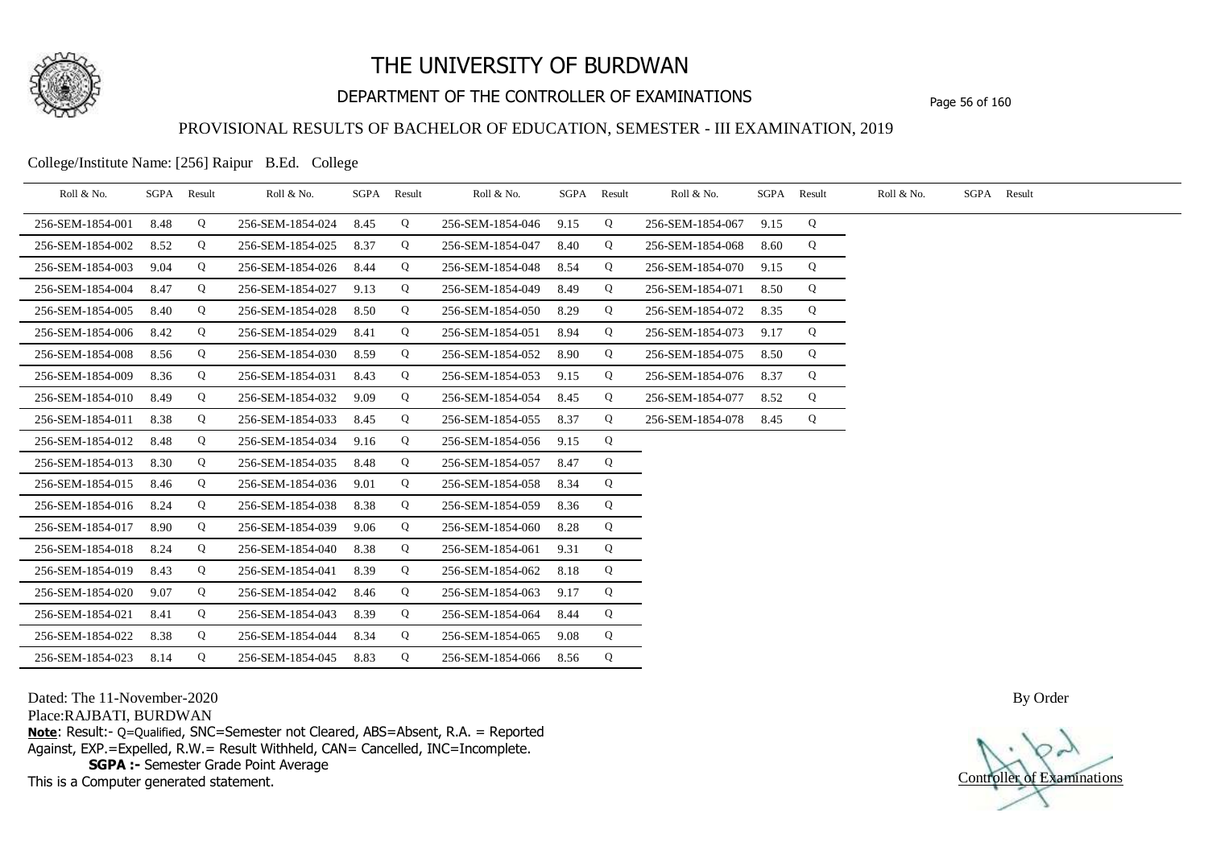

## DEPARTMENT OF THE CONTROLLER OF EXAMINATIONS Page 56 of 160

#### PROVISIONAL RESULTS OF BACHELOR OF EDUCATION, SEMESTER - III EXAMINATION, 2019

College/Institute Name: [256] Raipur B.Ed. College

| Roll & No.       |      | SGPA Result | Roll & No.       |      | SGPA Result | Roll & No.       |      | SGPA Result | Roll & No.       | SGPA | Result | Roll & No. | SGPA Result |
|------------------|------|-------------|------------------|------|-------------|------------------|------|-------------|------------------|------|--------|------------|-------------|
| 256-SEM-1854-001 | 8.48 | Q           | 256-SEM-1854-024 | 8.45 | Q           | 256-SEM-1854-046 | 9.15 | Q           | 256-SEM-1854-067 | 9.15 | Q      |            |             |
| 256-SEM-1854-002 | 8.52 | Q           | 256-SEM-1854-025 | 8.37 | Q           | 256-SEM-1854-047 | 8.40 | Q           | 256-SEM-1854-068 | 8.60 | Q      |            |             |
| 256-SEM-1854-003 | 9.04 | Q           | 256-SEM-1854-026 | 8.44 | Q           | 256-SEM-1854-048 | 8.54 | Q           | 256-SEM-1854-070 | 9.15 | Q      |            |             |
| 256-SEM-1854-004 | 8.47 | Q           | 256-SEM-1854-027 | 9.13 | Q           | 256-SEM-1854-049 | 8.49 | Q           | 256-SEM-1854-071 | 8.50 | Q      |            |             |
| 256-SEM-1854-005 | 8.40 | Q           | 256-SEM-1854-028 | 8.50 | Q           | 256-SEM-1854-050 | 8.29 | Q           | 256-SEM-1854-072 | 8.35 | Q      |            |             |
| 256-SEM-1854-006 | 8.42 | Q           | 256-SEM-1854-029 | 8.41 | Q           | 256-SEM-1854-051 | 8.94 | Q           | 256-SEM-1854-073 | 9.17 | Q      |            |             |
| 256-SEM-1854-008 | 8.56 | Q           | 256-SEM-1854-030 | 8.59 | Q           | 256-SEM-1854-052 | 8.90 | Q           | 256-SEM-1854-075 | 8.50 | Q      |            |             |
| 256-SEM-1854-009 | 8.36 | Q           | 256-SEM-1854-031 | 8.43 | Q           | 256-SEM-1854-053 | 9.15 | Q           | 256-SEM-1854-076 | 8.37 | Q      |            |             |
| 256-SEM-1854-010 | 8.49 | Q           | 256-SEM-1854-032 | 9.09 | Q           | 256-SEM-1854-054 | 8.45 | Q           | 256-SEM-1854-077 | 8.52 | Q      |            |             |
| 256-SEM-1854-011 | 8.38 | Q           | 256-SEM-1854-033 | 8.45 | Q           | 256-SEM-1854-055 | 8.37 | Q           | 256-SEM-1854-078 | 8.45 | Q      |            |             |
| 256-SEM-1854-012 | 8.48 | Q           | 256-SEM-1854-034 | 9.16 | Q           | 256-SEM-1854-056 | 9.15 | Q           |                  |      |        |            |             |
| 256-SEM-1854-013 | 8.30 | Q           | 256-SEM-1854-035 | 8.48 | Q           | 256-SEM-1854-057 | 8.47 | Q           |                  |      |        |            |             |
| 256-SEM-1854-015 | 8.46 | Q           | 256-SEM-1854-036 | 9.01 | Q           | 256-SEM-1854-058 | 8.34 | Q           |                  |      |        |            |             |
| 256-SEM-1854-016 | 8.24 | Q           | 256-SEM-1854-038 | 8.38 | Q           | 256-SEM-1854-059 | 8.36 | Q           |                  |      |        |            |             |
| 256-SEM-1854-017 | 8.90 | Q           | 256-SEM-1854-039 | 9.06 | Q           | 256-SEM-1854-060 | 8.28 | Q           |                  |      |        |            |             |
| 256-SEM-1854-018 | 8.24 | Q           | 256-SEM-1854-040 | 8.38 | Q           | 256-SEM-1854-061 | 9.31 | Q           |                  |      |        |            |             |
| 256-SEM-1854-019 | 8.43 | Q           | 256-SEM-1854-041 | 8.39 | Q           | 256-SEM-1854-062 | 8.18 | Q           |                  |      |        |            |             |
| 256-SEM-1854-020 | 9.07 | Q           | 256-SEM-1854-042 | 8.46 | Q           | 256-SEM-1854-063 | 9.17 | Q           |                  |      |        |            |             |
| 256-SEM-1854-021 | 8.41 | Q           | 256-SEM-1854-043 | 8.39 | Q           | 256-SEM-1854-064 | 8.44 | Q           |                  |      |        |            |             |
| 256-SEM-1854-022 | 8.38 | Q           | 256-SEM-1854-044 | 8.34 | Q           | 256-SEM-1854-065 | 9.08 | Q           |                  |      |        |            |             |
| 256-SEM-1854-023 | 8.14 | Q           | 256-SEM-1854-045 | 8.83 | Q           | 256-SEM-1854-066 | 8.56 | Q           |                  |      |        |            |             |

Dated: The 11-November-2020

Place:RAJBATI, BURDWAN

**Note**: Result:- Q=Qualified, SNC=Semester not Cleared, ABS=Absent, R.A. = Reported Against, EXP.=Expelled, R.W.= Result Withheld, CAN= Cancelled, INC=Incomplete. **SGPA :-** Semester Grade Point Average

This is a Computer generated statement.

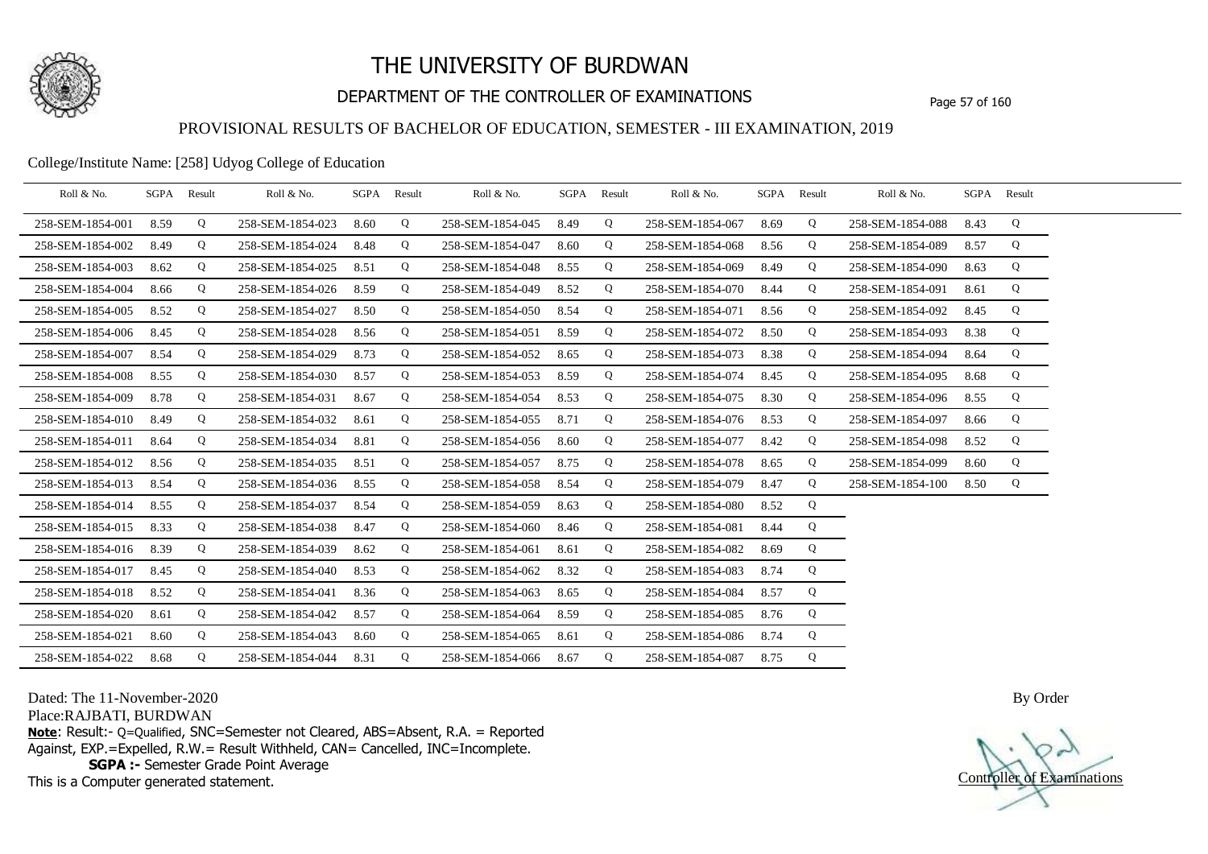

## DEPARTMENT OF THE CONTROLLER OF EXAMINATIONS Page 57 of 160

### PROVISIONAL RESULTS OF BACHELOR OF EDUCATION, SEMESTER - III EXAMINATION, 2019

College/Institute Name: [258] Udyog College of Education

| Roll & No.       |      | SGPA Result | Roll & No.       |      | SGPA Result | Roll & No.            | SGPA Result |   | Roll & No.       |      | SGPA Result | Roll & No.       |      | SGPA Result |  |
|------------------|------|-------------|------------------|------|-------------|-----------------------|-------------|---|------------------|------|-------------|------------------|------|-------------|--|
| 258-SEM-1854-001 | 8.59 | Q           | 258-SEM-1854-023 | 8.60 | Q           | 258-SEM-1854-045      | 8.49        | Q | 258-SEM-1854-067 | 8.69 | Q           | 258-SEM-1854-088 | 8.43 | Q           |  |
| 258-SEM-1854-002 | 8.49 | Q           | 258-SEM-1854-024 | 8.48 | Q           | 258-SEM-1854-047      | 8.60        | Q | 258-SEM-1854-068 | 8.56 | Q           | 258-SEM-1854-089 | 8.57 | Q           |  |
| 258-SEM-1854-003 | 8.62 | Q           | 258-SEM-1854-025 | 8.51 | Q           | 258-SEM-1854-048      | 8.55        | Q | 258-SEM-1854-069 | 8.49 | Q           | 258-SEM-1854-090 | 8.63 | Q           |  |
| 258-SEM-1854-004 | 8.66 | Q           | 258-SEM-1854-026 | 8.59 | Q           | 258-SEM-1854-049      | 8.52        | Q | 258-SEM-1854-070 | 8.44 | Q           | 258-SEM-1854-091 | 8.61 | Q           |  |
| 258-SEM-1854-005 | 8.52 | Q           | 258-SEM-1854-027 | 8.50 | Q           | 258-SEM-1854-050      | 8.54        | Q | 258-SEM-1854-071 | 8.56 | Q           | 258-SEM-1854-092 | 8.45 | Q           |  |
| 258-SEM-1854-006 | 8.45 | Q           | 258-SEM-1854-028 | 8.56 | Q           | 258-SEM-1854-051      | 8.59        | Q | 258-SEM-1854-072 | 8.50 | Q           | 258-SEM-1854-093 | 8.38 | Q           |  |
| 258-SEM-1854-007 | 8.54 | Q           | 258-SEM-1854-029 | 8.73 | Q           | 258-SEM-1854-052      | 8.65        | Q | 258-SEM-1854-073 | 8.38 | Q           | 258-SEM-1854-094 | 8.64 | Q           |  |
| 258-SEM-1854-008 | 8.55 | Q           | 258-SEM-1854-030 | 8.57 | Q           | 258-SEM-1854-053      | 8.59        | Q | 258-SEM-1854-074 | 8.45 | Q           | 258-SEM-1854-095 | 8.68 | Q           |  |
| 258-SEM-1854-009 | 8.78 | Q           | 258-SEM-1854-031 | 8.67 | Q           | 258-SEM-1854-054      | 8.53        | Q | 258-SEM-1854-075 | 8.30 | Q           | 258-SEM-1854-096 | 8.55 | Q           |  |
| 258-SEM-1854-010 | 8.49 | Q           | 258-SEM-1854-032 | 8.61 | Q           | 258-SEM-1854-055      | 8.71        | Q | 258-SEM-1854-076 | 8.53 | Q           | 258-SEM-1854-097 | 8.66 | Q           |  |
| 258-SEM-1854-011 | 8.64 | Q           | 258-SEM-1854-034 | 8.81 | Q           | 258-SEM-1854-056      | 8.60        | Q | 258-SEM-1854-077 | 8.42 | Q           | 258-SEM-1854-098 | 8.52 | Q           |  |
| 258-SEM-1854-012 | 8.56 | Q           | 258-SEM-1854-035 | 8.51 | Q           | 258-SEM-1854-057      | 8.75        | Q | 258-SEM-1854-078 | 8.65 | Q           | 258-SEM-1854-099 | 8.60 | Q           |  |
| 258-SEM-1854-013 | 8.54 | Q           | 258-SEM-1854-036 | 8.55 | Q           | 258-SEM-1854-058      | 8.54        | Q | 258-SEM-1854-079 | 8.47 | Q           | 258-SEM-1854-100 | 8.50 | Q           |  |
| 258-SEM-1854-014 | 8.55 | Q           | 258-SEM-1854-037 | 8.54 | Q           | 258-SEM-1854-059      | 8.63        | Q | 258-SEM-1854-080 | 8.52 | Q           |                  |      |             |  |
| 258-SEM-1854-015 | 8.33 | Q           | 258-SEM-1854-038 | 8.47 | Q           | 258-SEM-1854-060      | 8.46        | Q | 258-SEM-1854-081 | 8.44 | Q           |                  |      |             |  |
| 258-SEM-1854-016 | 8.39 | Q           | 258-SEM-1854-039 | 8.62 | Q           | 258-SEM-1854-061      | 8.61        | Q | 258-SEM-1854-082 | 8.69 | Q           |                  |      |             |  |
| 258-SEM-1854-017 | 8.45 | Q           | 258-SEM-1854-040 | 8.53 | Q           | 258-SEM-1854-062      | 8.32        | Q | 258-SEM-1854-083 | 8.74 | Q           |                  |      |             |  |
| 258-SEM-1854-018 | 8.52 | Q           | 258-SEM-1854-041 | 8.36 | Q           | 258-SEM-1854-063      | 8.65        | Q | 258-SEM-1854-084 | 8.57 | Q           |                  |      |             |  |
| 258-SEM-1854-020 | 8.61 | Q           | 258-SEM-1854-042 | 8.57 | Q           | 258-SEM-1854-064      | 8.59        | Q | 258-SEM-1854-085 | 8.76 | Q           |                  |      |             |  |
| 258-SEM-1854-021 | 8.60 | Q           | 258-SEM-1854-043 | 8.60 | Q           | 258-SEM-1854-065      | 8.61        | Q | 258-SEM-1854-086 | 8.74 | Q           |                  |      |             |  |
| 258-SEM-1854-022 | 8.68 | Q           | 258-SEM-1854-044 | 8.31 | Q           | 258-SEM-1854-066 8.67 |             | Q | 258-SEM-1854-087 | 8.75 | Q           |                  |      |             |  |

Dated: The 11-November-2020

Place:RAJBATI, BURDWAN

**Note**: Result:- Q=Qualified, SNC=Semester not Cleared, ABS=Absent, R.A. = Reported Against, EXP.=Expelled, R.W.= Result Withheld, CAN= Cancelled, INC=Incomplete. **SGPA :-** Semester Grade Point Average

This is a Computer generated statement.

Controller of Examinations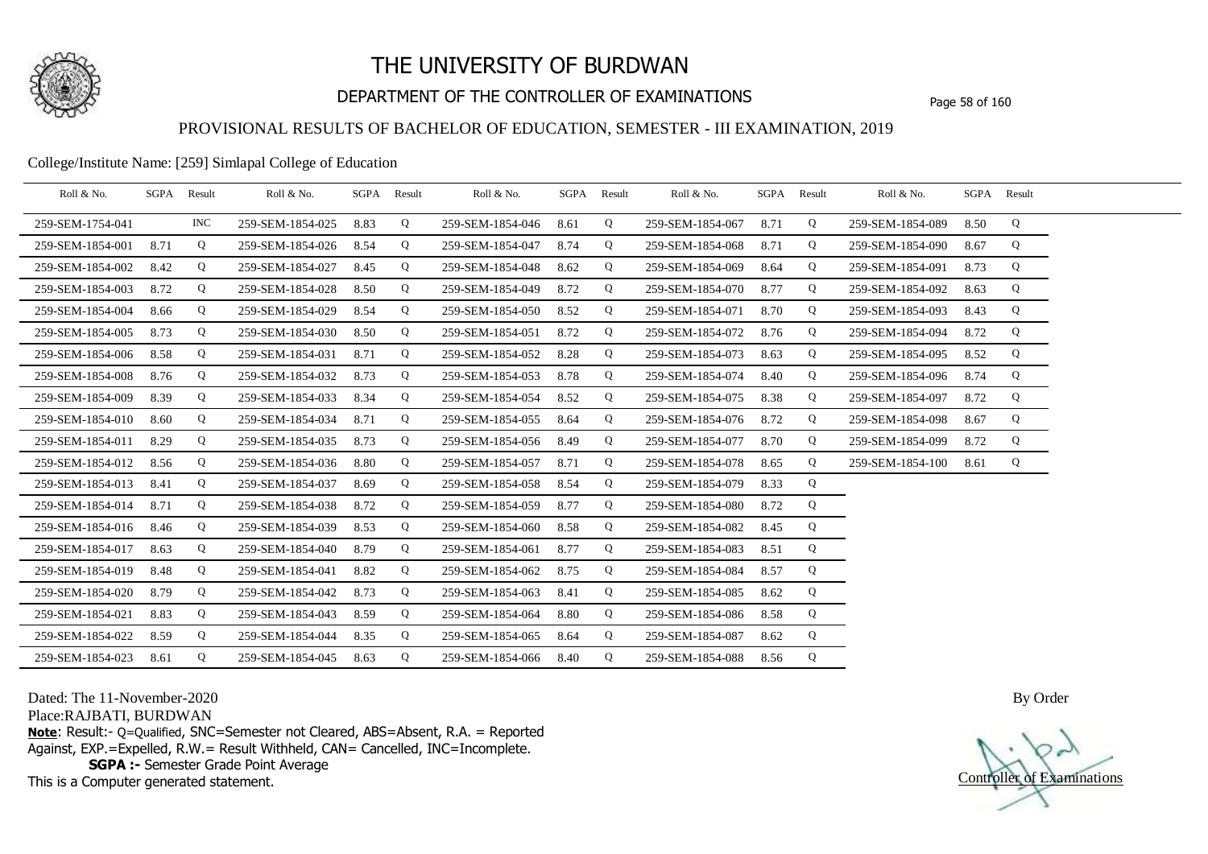

## DEPARTMENT OF THE CONTROLLER OF EXAMINATIONS Page 58 of 160

### PROVISIONAL RESULTS OF BACHELOR OF EDUCATION, SEMESTER - III EXAMINATION, 2019

#### College/Institute Name: [259] Simlapal College of Education

| Roll & No.       | SGPA | Result | Roll & No.       |      | SGPA Result | Roll & No.       |      | SGPA Result | Roll & No.       | SGPA | Result | Roll & No.       |      | SGPA Result |  |
|------------------|------|--------|------------------|------|-------------|------------------|------|-------------|------------------|------|--------|------------------|------|-------------|--|
| 259-SEM-1754-041 |      | INC.   | 259-SEM-1854-025 | 8.83 | Q           | 259-SEM-1854-046 | 8.61 | Q           | 259-SEM-1854-067 | 8.71 | Q      | 259-SEM-1854-089 | 8.50 | Q           |  |
| 259-SEM-1854-001 | 8.71 | Q      | 259-SEM-1854-026 | 8.54 | Q           | 259-SEM-1854-047 | 8.74 | Q           | 259-SEM-1854-068 | 8.71 | Q      | 259-SEM-1854-090 | 8.67 | Q           |  |
| 259-SEM-1854-002 | 8.42 | Q      | 259-SEM-1854-027 | 8.45 | Q           | 259-SEM-1854-048 | 8.62 | Q           | 259-SEM-1854-069 | 8.64 | Q      | 259-SEM-1854-091 | 8.73 | Q           |  |
| 259-SEM-1854-003 | 8.72 | Q      | 259-SEM-1854-028 | 8.50 | Q           | 259-SEM-1854-049 | 8.72 | Q           | 259-SEM-1854-070 | 8.77 | Q      | 259-SEM-1854-092 | 8.63 | Q           |  |
| 259-SEM-1854-004 | 8.66 | Q      | 259-SEM-1854-029 | 8.54 | Q           | 259-SEM-1854-050 | 8.52 | Q           | 259-SEM-1854-071 | 8.70 | Q      | 259-SEM-1854-093 | 8.43 | Q           |  |
| 259-SEM-1854-005 | 8.73 | Q      | 259-SEM-1854-030 | 8.50 | Q           | 259-SEM-1854-051 | 8.72 | Q           | 259-SEM-1854-072 | 8.76 | Q      | 259-SEM-1854-094 | 8.72 | Q           |  |
| 259-SEM-1854-006 | 8.58 | Q      | 259-SEM-1854-031 | 8.71 | Q           | 259-SEM-1854-052 | 8.28 | Q           | 259-SEM-1854-073 | 8.63 | Q      | 259-SEM-1854-095 | 8.52 | Q           |  |
| 259-SEM-1854-008 | 8.76 | Q      | 259-SEM-1854-032 | 8.73 | Q           | 259-SEM-1854-053 | 8.78 | Q           | 259-SEM-1854-074 | 8.40 | Q      | 259-SEM-1854-096 | 8.74 | Q           |  |
| 259-SEM-1854-009 | 8.39 | Q      | 259-SEM-1854-033 | 8.34 | Q           | 259-SEM-1854-054 | 8.52 | Q           | 259-SEM-1854-075 | 8.38 | Q      | 259-SEM-1854-097 | 8.72 | Q           |  |
| 259-SEM-1854-010 | 8.60 | Q      | 259-SEM-1854-034 | 8.71 | Q           | 259-SEM-1854-055 | 8.64 | Q           | 259-SEM-1854-076 | 8.72 | Q      | 259-SEM-1854-098 | 8.67 | Q           |  |
| 259-SEM-1854-011 | 8.29 | Q      | 259-SEM-1854-035 | 8.73 | Q           | 259-SEM-1854-056 | 8.49 | Q           | 259-SEM-1854-077 | 8.70 | Q      | 259-SEM-1854-099 | 8.72 | Q           |  |
| 259-SEM-1854-012 | 8.56 | Q      | 259-SEM-1854-036 | 8.80 | Q           | 259-SEM-1854-057 | 8.71 | Q           | 259-SEM-1854-078 | 8.65 | Q      | 259-SEM-1854-100 | 8.61 | Q           |  |
| 259-SEM-1854-013 | 8.41 | Q      | 259-SEM-1854-037 | 8.69 | Q           | 259-SEM-1854-058 | 8.54 | Q           | 259-SEM-1854-079 | 8.33 | Q      |                  |      |             |  |
| 259-SEM-1854-014 | 8.71 | Q      | 259-SEM-1854-038 | 8.72 | Q           | 259-SEM-1854-059 | 8.77 | Q           | 259-SEM-1854-080 | 8.72 | Q      |                  |      |             |  |
| 259-SEM-1854-016 | 8.46 | Q      | 259-SEM-1854-039 | 8.53 | Q           | 259-SEM-1854-060 | 8.58 | Q           | 259-SEM-1854-082 | 8.45 | Q      |                  |      |             |  |
| 259-SEM-1854-017 | 8.63 | Q      | 259-SEM-1854-040 | 8.79 | Q           | 259-SEM-1854-061 | 8.77 | Q           | 259-SEM-1854-083 | 8.51 | Q      |                  |      |             |  |
| 259-SEM-1854-019 | 8.48 | Q      | 259-SEM-1854-041 | 8.82 | Q           | 259-SEM-1854-062 | 8.75 | Q           | 259-SEM-1854-084 | 8.57 | Q      |                  |      |             |  |
| 259-SEM-1854-020 | 8.79 | Q      | 259-SEM-1854-042 | 8.73 | Q           | 259-SEM-1854-063 | 8.41 | Q           | 259-SEM-1854-085 | 8.62 | Q      |                  |      |             |  |
| 259-SEM-1854-021 | 8.83 | Q      | 259-SEM-1854-043 | 8.59 | Q           | 259-SEM-1854-064 | 8.80 | Q           | 259-SEM-1854-086 | 8.58 | Q      |                  |      |             |  |
| 259-SEM-1854-022 | 8.59 | Q      | 259-SEM-1854-044 | 8.35 | Q           | 259-SEM-1854-065 | 8.64 | Q           | 259-SEM-1854-087 | 8.62 | Q      |                  |      |             |  |
| 259-SEM-1854-023 | 8.61 | Q      | 259-SEM-1854-045 | 8.63 | Q           | 259-SEM-1854-066 | 8.40 | Q           | 259-SEM-1854-088 | 8.56 | Q      |                  |      |             |  |

Dated: The 11-November-2020

Place:RAJBATI, BURDWAN

**Note**: Result:- Q=Qualified, SNC=Semester not Cleared, ABS=Absent, R.A. = Reported Against, EXP.=Expelled, R.W.= Result Withheld, CAN= Cancelled, INC=Incomplete. **SGPA :-** Semester Grade Point Average

This is a Computer generated statement.

Controller of Examinations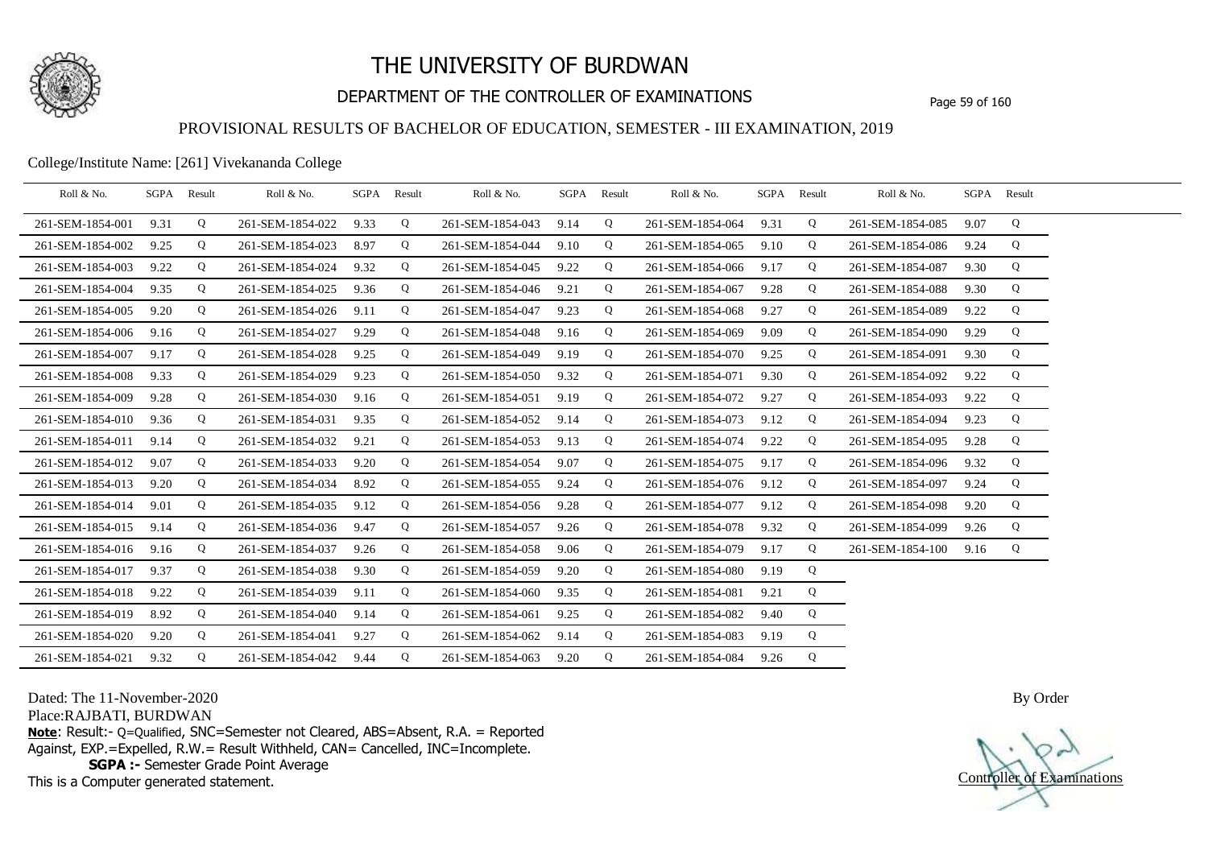

## DEPARTMENT OF THE CONTROLLER OF EXAMINATIONS Page 59 of 160

### PROVISIONAL RESULTS OF BACHELOR OF EDUCATION, SEMESTER - III EXAMINATION, 2019

College/Institute Name: [261] Vivekananda College

| Roll & No.       | SGPA | Result | Roll & No.       |      | SGPA Result | Roll & No.       |      | SGPA Result | Roll & No.       | SGPA | Result | Roll & No.       | SGPA Result |   |  |
|------------------|------|--------|------------------|------|-------------|------------------|------|-------------|------------------|------|--------|------------------|-------------|---|--|
| 261-SEM-1854-001 | 9.31 | Q      | 261-SEM-1854-022 | 9.33 | Q           | 261-SEM-1854-043 | 9.14 | Q           | 261-SEM-1854-064 | 9.31 | Q      | 261-SEM-1854-085 | 9.07        | Q |  |
| 261-SEM-1854-002 | 9.25 | Q      | 261-SEM-1854-023 | 8.97 | Q           | 261-SEM-1854-044 | 9.10 | Q           | 261-SEM-1854-065 | 9.10 | Q      | 261-SEM-1854-086 | 9.24        | Q |  |
| 261-SEM-1854-003 | 9.22 | Q      | 261-SEM-1854-024 | 9.32 | Q           | 261-SEM-1854-045 | 9.22 | Q           | 261-SEM-1854-066 | 9.17 | Q      | 261-SEM-1854-087 | 9.30        | Q |  |
| 261-SEM-1854-004 | 9.35 | Q      | 261-SEM-1854-025 | 9.36 | Q           | 261-SEM-1854-046 | 9.21 | Q           | 261-SEM-1854-067 | 9.28 | Q      | 261-SEM-1854-088 | 9.30        | Q |  |
| 261-SEM-1854-005 | 9.20 | Q      | 261-SEM-1854-026 | 9.11 | Q           | 261-SEM-1854-047 | 9.23 | Q           | 261-SEM-1854-068 | 9.27 | Q      | 261-SEM-1854-089 | 9.22        | Q |  |
| 261-SEM-1854-006 | 9.16 | Q      | 261-SEM-1854-027 | 9.29 | Q           | 261-SEM-1854-048 | 9.16 | Q           | 261-SEM-1854-069 | 9.09 | Q      | 261-SEM-1854-090 | 9.29        | Q |  |
| 261-SEM-1854-007 | 9.17 | Q      | 261-SEM-1854-028 | 9.25 | Q           | 261-SEM-1854-049 | 9.19 | Q           | 261-SEM-1854-070 | 9.25 | Q      | 261-SEM-1854-091 | 9.30        | Q |  |
| 261-SEM-1854-008 | 9.33 | Q      | 261-SEM-1854-029 | 9.23 | Q           | 261-SEM-1854-050 | 9.32 | Q           | 261-SEM-1854-071 | 9.30 | Q      | 261-SEM-1854-092 | 9.22        | Q |  |
| 261-SEM-1854-009 | 9.28 | Q      | 261-SEM-1854-030 | 9.16 | Q           | 261-SEM-1854-051 | 9.19 | Q           | 261-SEM-1854-072 | 9.27 | Q      | 261-SEM-1854-093 | 9.22        | Q |  |
| 261-SEM-1854-010 | 9.36 | Q      | 261-SEM-1854-031 | 9.35 | Q           | 261-SEM-1854-052 | 9.14 | Q           | 261-SEM-1854-073 | 9.12 | Q      | 261-SEM-1854-094 | 9.23        | Q |  |
| 261-SEM-1854-011 | 9.14 | Q      | 261-SEM-1854-032 | 9.21 | Q           | 261-SEM-1854-053 | 9.13 | Q           | 261-SEM-1854-074 | 9.22 | Q      | 261-SEM-1854-095 | 9.28        | Q |  |
| 261-SEM-1854-012 | 9.07 | Q      | 261-SEM-1854-033 | 9.20 | Q           | 261-SEM-1854-054 | 9.07 | Q           | 261-SEM-1854-075 | 9.17 | Q      | 261-SEM-1854-096 | 9.32        | Q |  |
| 261-SEM-1854-013 | 9.20 | Q      | 261-SEM-1854-034 | 8.92 | Q           | 261-SEM-1854-055 | 9.24 | Q           | 261-SEM-1854-076 | 9.12 | Q      | 261-SEM-1854-097 | 9.24        | Q |  |
| 261-SEM-1854-014 | 9.01 | Q      | 261-SEM-1854-035 | 9.12 | Q           | 261-SEM-1854-056 | 9.28 | Q           | 261-SEM-1854-077 | 9.12 | Q      | 261-SEM-1854-098 | 9.20        | Q |  |
| 261-SEM-1854-015 | 9.14 | Q      | 261-SEM-1854-036 | 9.47 | Q           | 261-SEM-1854-057 | 9.26 | Q           | 261-SEM-1854-078 | 9.32 | Q      | 261-SEM-1854-099 | 9.26        | Q |  |
| 261-SEM-1854-016 | 9.16 | Q      | 261-SEM-1854-037 | 9.26 | Q           | 261-SEM-1854-058 | 9.06 | Q           | 261-SEM-1854-079 | 9.17 | Q      | 261-SEM-1854-100 | 9.16        | Q |  |
| 261-SEM-1854-017 | 9.37 | Q      | 261-SEM-1854-038 | 9.30 | Q           | 261-SEM-1854-059 | 9.20 | Q           | 261-SEM-1854-080 | 9.19 | Q      |                  |             |   |  |
| 261-SEM-1854-018 | 9.22 | Q      | 261-SEM-1854-039 | 9.11 | Q           | 261-SEM-1854-060 | 9.35 | Q           | 261-SEM-1854-081 | 9.21 | Q      |                  |             |   |  |
| 261-SEM-1854-019 | 8.92 | Q      | 261-SEM-1854-040 | 9.14 | Q           | 261-SEM-1854-061 | 9.25 | Q           | 261-SEM-1854-082 | 9.40 | Q      |                  |             |   |  |
| 261-SEM-1854-020 | 9.20 | Q      | 261-SEM-1854-041 | 9.27 | Q           | 261-SEM-1854-062 | 9.14 | Q           | 261-SEM-1854-083 | 9.19 | Q      |                  |             |   |  |
| 261-SEM-1854-021 | 9.32 | Q      | 261-SEM-1854-042 | 9.44 | Q           | 261-SEM-1854-063 | 9.20 | Q           | 261-SEM-1854-084 | 9.26 | Q      |                  |             |   |  |

Dated: The 11-November-2020

Place:RAJBATI, BURDWAN

**Note**: Result:- Q=Qualified, SNC=Semester not Cleared, ABS=Absent, R.A. = Reported Against, EXP.=Expelled, R.W.= Result Withheld, CAN= Cancelled, INC=Incomplete. **SGPA :-** Semester Grade Point Average

This is a Computer generated statement.

Controller of Examinations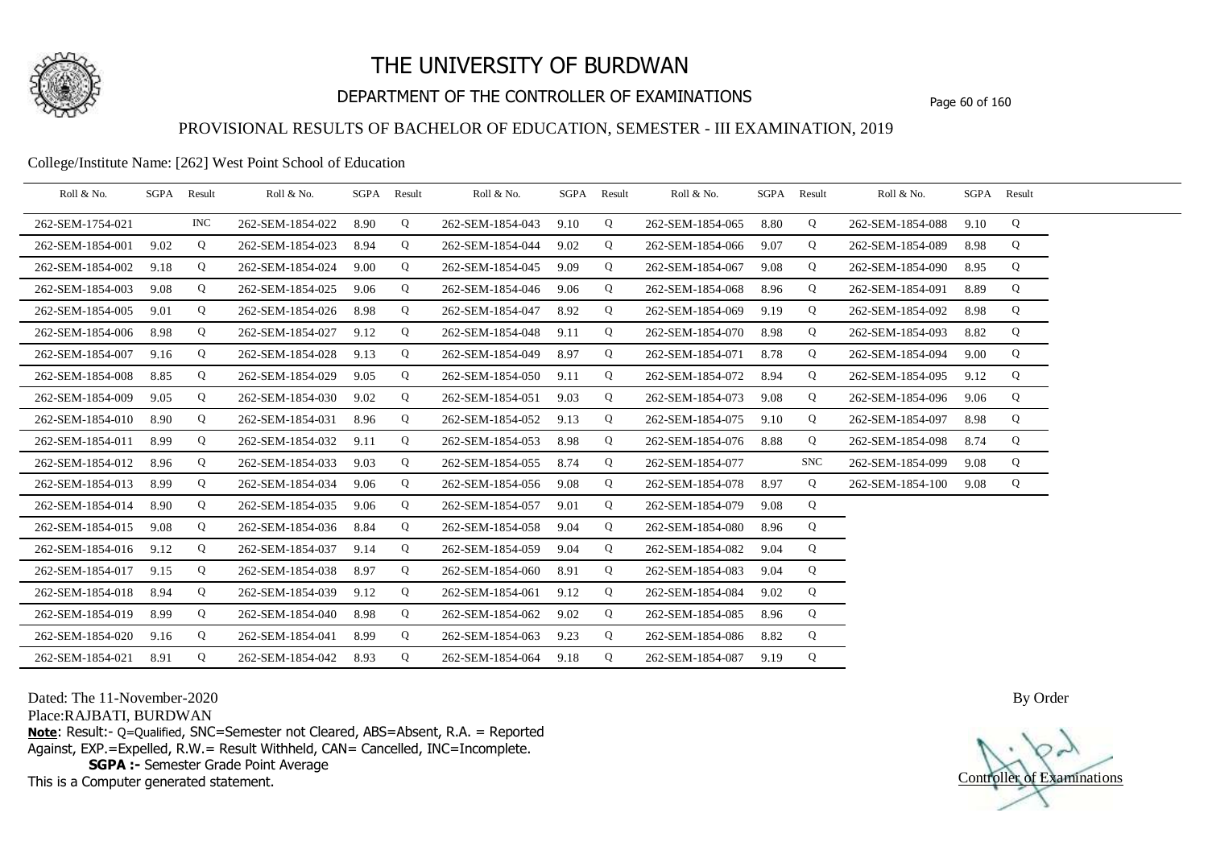

## DEPARTMENT OF THE CONTROLLER OF EXAMINATIONS Page 60 of 160

### PROVISIONAL RESULTS OF BACHELOR OF EDUCATION, SEMESTER - III EXAMINATION, 2019

#### College/Institute Name: [262] West Point School of Education

| Roll & No.       |      | SGPA Result | Roll & No.       | SGPA | Result | Roll & No.       |      | SGPA Result | Roll & No.       | SGPA | Result     | Roll & No.       |      | SGPA Result |  |
|------------------|------|-------------|------------------|------|--------|------------------|------|-------------|------------------|------|------------|------------------|------|-------------|--|
| 262-SEM-1754-021 |      | <b>INC</b>  | 262-SEM-1854-022 | 8.90 | Q      | 262-SEM-1854-043 | 9.10 | Q           | 262-SEM-1854-065 | 8.80 | Q          | 262-SEM-1854-088 | 9.10 | Q           |  |
| 262-SEM-1854-001 | 9.02 | Q           | 262-SEM-1854-023 | 8.94 | Q      | 262-SEM-1854-044 | 9.02 | Q           | 262-SEM-1854-066 | 9.07 | Q          | 262-SEM-1854-089 | 8.98 | Q           |  |
| 262-SEM-1854-002 | 9.18 | Q           | 262-SEM-1854-024 | 9.00 | Q      | 262-SEM-1854-045 | 9.09 | Q           | 262-SEM-1854-067 | 9.08 | Q          | 262-SEM-1854-090 | 8.95 | Q           |  |
| 262-SEM-1854-003 | 9.08 | Q           | 262-SEM-1854-025 | 9.06 | Q      | 262-SEM-1854-046 | 9.06 | Q           | 262-SEM-1854-068 | 8.96 | Q          | 262-SEM-1854-091 | 8.89 | Q           |  |
| 262-SEM-1854-005 | 9.01 | Q           | 262-SEM-1854-026 | 8.98 | Q      | 262-SEM-1854-047 | 8.92 | Q           | 262-SEM-1854-069 | 9.19 | Q          | 262-SEM-1854-092 | 8.98 | Q           |  |
| 262-SEM-1854-006 | 8.98 | Q           | 262-SEM-1854-027 | 9.12 | Q      | 262-SEM-1854-048 | 9.11 | Q           | 262-SEM-1854-070 | 8.98 | Q          | 262-SEM-1854-093 | 8.82 | Q           |  |
| 262-SEM-1854-007 | 9.16 | Q           | 262-SEM-1854-028 | 9.13 | Q      | 262-SEM-1854-049 | 8.97 | Q           | 262-SEM-1854-071 | 8.78 | Q          | 262-SEM-1854-094 | 9.00 | Q           |  |
| 262-SEM-1854-008 | 8.85 | Q           | 262-SEM-1854-029 | 9.05 | Q      | 262-SEM-1854-050 | 9.11 | Q           | 262-SEM-1854-072 | 8.94 | Q          | 262-SEM-1854-095 | 9.12 | Q           |  |
| 262-SEM-1854-009 | 9.05 | Q           | 262-SEM-1854-030 | 9.02 | Q      | 262-SEM-1854-051 | 9.03 | Q           | 262-SEM-1854-073 | 9.08 | Q          | 262-SEM-1854-096 | 9.06 | Q           |  |
| 262-SEM-1854-010 | 8.90 | Q           | 262-SEM-1854-031 | 8.96 | Q      | 262-SEM-1854-052 | 9.13 | Q           | 262-SEM-1854-075 | 9.10 | Q          | 262-SEM-1854-097 | 8.98 | Q           |  |
| 262-SEM-1854-011 | 8.99 | Q           | 262-SEM-1854-032 | 9.11 | Q      | 262-SEM-1854-053 | 8.98 | Q           | 262-SEM-1854-076 | 8.88 | Q          | 262-SEM-1854-098 | 8.74 | Q           |  |
| 262-SEM-1854-012 | 8.96 | Q           | 262-SEM-1854-033 | 9.03 | Q      | 262-SEM-1854-055 | 8.74 | Q           | 262-SEM-1854-077 |      | <b>SNC</b> | 262-SEM-1854-099 | 9.08 | Q           |  |
| 262-SEM-1854-013 | 8.99 | Q           | 262-SEM-1854-034 | 9.06 | Q      | 262-SEM-1854-056 | 9.08 | Q           | 262-SEM-1854-078 | 8.97 | Q          | 262-SEM-1854-100 | 9.08 | Q           |  |
| 262-SEM-1854-014 | 8.90 | Q           | 262-SEM-1854-035 | 9.06 | Q      | 262-SEM-1854-057 | 9.01 | Q           | 262-SEM-1854-079 | 9.08 | Q          |                  |      |             |  |
| 262-SEM-1854-015 | 9.08 | Q           | 262-SEM-1854-036 | 8.84 | Q      | 262-SEM-1854-058 | 9.04 | Q           | 262-SEM-1854-080 | 8.96 | Q          |                  |      |             |  |
| 262-SEM-1854-016 | 9.12 | Q           | 262-SEM-1854-037 | 9.14 | Q      | 262-SEM-1854-059 | 9.04 | Q           | 262-SEM-1854-082 | 9.04 | Q          |                  |      |             |  |
| 262-SEM-1854-017 | 9.15 | Q           | 262-SEM-1854-038 | 8.97 | Q      | 262-SEM-1854-060 | 8.91 | Q           | 262-SEM-1854-083 | 9.04 | Q          |                  |      |             |  |
| 262-SEM-1854-018 | 8.94 | Q           | 262-SEM-1854-039 | 9.12 | Q      | 262-SEM-1854-061 | 9.12 | Q           | 262-SEM-1854-084 | 9.02 | Q          |                  |      |             |  |
| 262-SEM-1854-019 | 8.99 | Q           | 262-SEM-1854-040 | 8.98 | Q      | 262-SEM-1854-062 | 9.02 | Q           | 262-SEM-1854-085 | 8.96 | Q          |                  |      |             |  |
| 262-SEM-1854-020 | 9.16 | Q           | 262-SEM-1854-041 | 8.99 | Q      | 262-SEM-1854-063 | 9.23 | Q           | 262-SEM-1854-086 | 8.82 | Q          |                  |      |             |  |
| 262-SEM-1854-021 | 8.91 | Q           | 262-SEM-1854-042 | 8.93 | Q      | 262-SEM-1854-064 | 9.18 | Q           | 262-SEM-1854-087 | 9.19 | Q          |                  |      |             |  |

Dated: The 11-November-2020

Place:RAJBATI, BURDWAN

**Note**: Result:- Q=Qualified, SNC=Semester not Cleared, ABS=Absent, R.A. = Reported Against, EXP.=Expelled, R.W.= Result Withheld, CAN= Cancelled, INC=Incomplete. **SGPA :-** Semester Grade Point Average

This is a Computer generated statement.

Controller of Examinations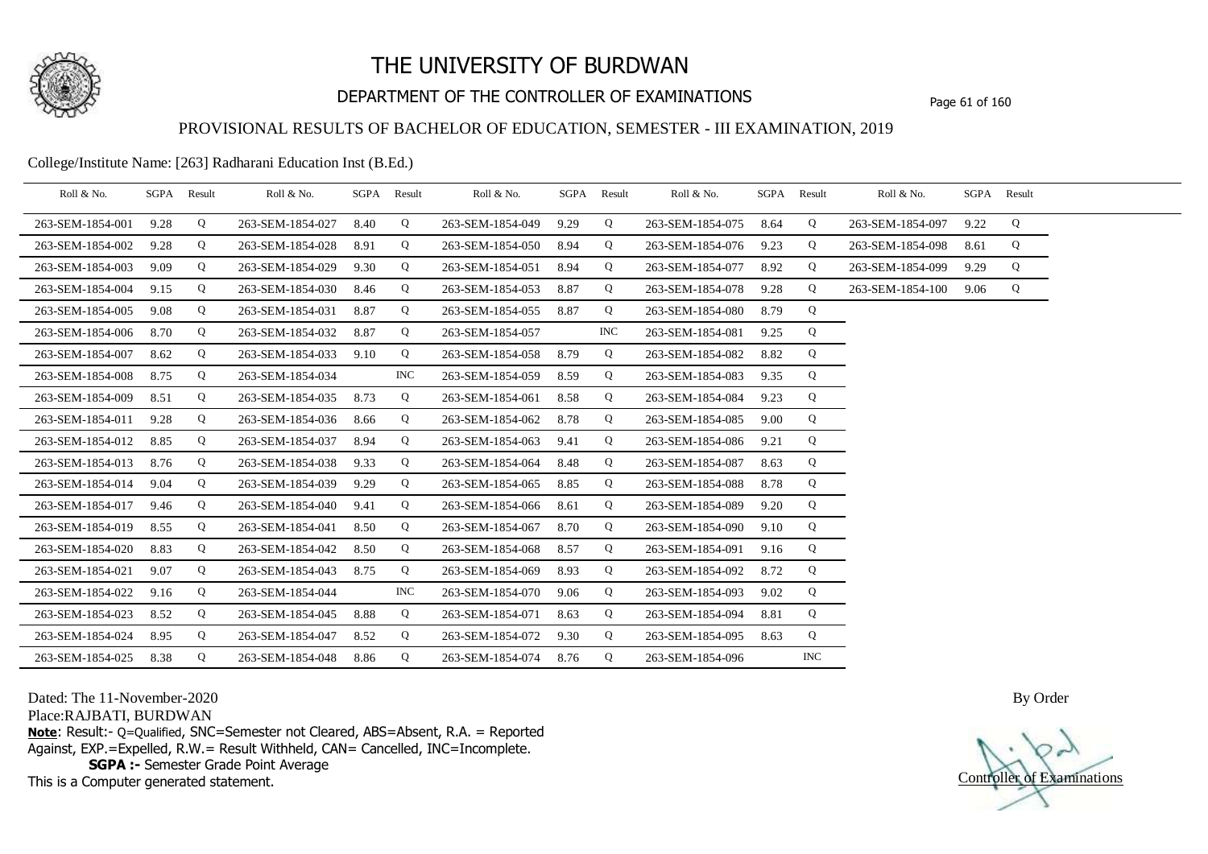

## DEPARTMENT OF THE CONTROLLER OF EXAMINATIONS Page 61 of 160

### PROVISIONAL RESULTS OF BACHELOR OF EDUCATION, SEMESTER - III EXAMINATION, 2019

College/Institute Name: [263] Radharani Education Inst (B.Ed.)

| Roll & No.       |      | SGPA Result | Roll & No.       |      | SGPA Result | Roll & No.       |      | SGPA Result | Roll & No.       |      | SGPA Result | Roll & No.       |      | SGPA Result |  |
|------------------|------|-------------|------------------|------|-------------|------------------|------|-------------|------------------|------|-------------|------------------|------|-------------|--|
| 263-SEM-1854-001 | 9.28 | Q           | 263-SEM-1854-027 | 8.40 | Q           | 263-SEM-1854-049 | 9.29 | Q           | 263-SEM-1854-075 | 8.64 | Q           | 263-SEM-1854-097 | 9.22 | Q           |  |
| 263-SEM-1854-002 | 9.28 | Q           | 263-SEM-1854-028 | 8.91 | Q           | 263-SEM-1854-050 | 8.94 | Q           | 263-SEM-1854-076 | 9.23 | Q           | 263-SEM-1854-098 | 8.61 | Q           |  |
| 263-SEM-1854-003 | 9.09 | Q           | 263-SEM-1854-029 | 9.30 | Q           | 263-SEM-1854-051 | 8.94 | Q           | 263-SEM-1854-077 | 8.92 | Q           | 263-SEM-1854-099 | 9.29 | Q           |  |
| 263-SEM-1854-004 | 9.15 | Q           | 263-SEM-1854-030 | 8.46 | Q           | 263-SEM-1854-053 | 8.87 | Q           | 263-SEM-1854-078 | 9.28 | Q           | 263-SEM-1854-100 | 9.06 | Q           |  |
| 263-SEM-1854-005 | 9.08 | Q           | 263-SEM-1854-031 | 8.87 | Q           | 263-SEM-1854-055 | 8.87 | Q           | 263-SEM-1854-080 | 8.79 | Q           |                  |      |             |  |
| 263-SEM-1854-006 | 8.70 | Q           | 263-SEM-1854-032 | 8.87 | Q           | 263-SEM-1854-057 |      | <b>INC</b>  | 263-SEM-1854-081 | 9.25 | Q           |                  |      |             |  |
| 263-SEM-1854-007 | 8.62 | Q           | 263-SEM-1854-033 | 9.10 | Q           | 263-SEM-1854-058 | 8.79 | Q           | 263-SEM-1854-082 | 8.82 | Q           |                  |      |             |  |
| 263-SEM-1854-008 | 8.75 | Q           | 263-SEM-1854-034 |      | <b>INC</b>  | 263-SEM-1854-059 | 8.59 | Q           | 263-SEM-1854-083 | 9.35 | Q           |                  |      |             |  |
| 263-SEM-1854-009 | 8.51 | Q           | 263-SEM-1854-035 | 8.73 | Q           | 263-SEM-1854-061 | 8.58 | Q           | 263-SEM-1854-084 | 9.23 | Q           |                  |      |             |  |
| 263-SEM-1854-011 | 9.28 | Q           | 263-SEM-1854-036 | 8.66 | Q           | 263-SEM-1854-062 | 8.78 | Q           | 263-SEM-1854-085 | 9.00 | Q           |                  |      |             |  |
| 263-SEM-1854-012 | 8.85 | Q           | 263-SEM-1854-037 | 8.94 | Q           | 263-SEM-1854-063 | 9.41 | Q           | 263-SEM-1854-086 | 9.21 | Q           |                  |      |             |  |
| 263-SEM-1854-013 | 8.76 | Q           | 263-SEM-1854-038 | 9.33 | Q           | 263-SEM-1854-064 | 8.48 | Q           | 263-SEM-1854-087 | 8.63 | Q           |                  |      |             |  |
| 263-SEM-1854-014 | 9.04 | Q           | 263-SEM-1854-039 | 9.29 | Q           | 263-SEM-1854-065 | 8.85 | Q           | 263-SEM-1854-088 | 8.78 | Q           |                  |      |             |  |
| 263-SEM-1854-017 | 9.46 | Q           | 263-SEM-1854-040 | 9.41 | Q           | 263-SEM-1854-066 | 8.61 | Q           | 263-SEM-1854-089 | 9.20 | Q           |                  |      |             |  |
| 263-SEM-1854-019 | 8.55 | Q           | 263-SEM-1854-041 | 8.50 | Q           | 263-SEM-1854-067 | 8.70 | Q           | 263-SEM-1854-090 | 9.10 | Q           |                  |      |             |  |
| 263-SEM-1854-020 | 8.83 | Q           | 263-SEM-1854-042 | 8.50 | Q           | 263-SEM-1854-068 | 8.57 | Q           | 263-SEM-1854-091 | 9.16 | Q           |                  |      |             |  |
| 263-SEM-1854-021 | 9.07 | Q           | 263-SEM-1854-043 | 8.75 | Q           | 263-SEM-1854-069 | 8.93 | Q           | 263-SEM-1854-092 | 8.72 | Q           |                  |      |             |  |
| 263-SEM-1854-022 | 9.16 | Q           | 263-SEM-1854-044 |      | <b>INC</b>  | 263-SEM-1854-070 | 9.06 | Q           | 263-SEM-1854-093 | 9.02 | Q           |                  |      |             |  |
| 263-SEM-1854-023 | 8.52 | Q           | 263-SEM-1854-045 | 8.88 | Q           | 263-SEM-1854-071 | 8.63 | Q           | 263-SEM-1854-094 | 8.81 | Q           |                  |      |             |  |
| 263-SEM-1854-024 | 8.95 | Q           | 263-SEM-1854-047 | 8.52 | Q           | 263-SEM-1854-072 | 9.30 | Q           | 263-SEM-1854-095 | 8.63 | Q           |                  |      |             |  |
| 263-SEM-1854-025 | 8.38 | Q           | 263-SEM-1854-048 | 8.86 | Q           | 263-SEM-1854-074 | 8.76 | Q           | 263-SEM-1854-096 |      | <b>INC</b>  |                  |      |             |  |

Dated: The 11-November-2020

Place:RAJBATI, BURDWAN

**Note**: Result:- Q=Qualified, SNC=Semester not Cleared, ABS=Absent, R.A. = Reported Against, EXP.=Expelled, R.W.= Result Withheld, CAN= Cancelled, INC=Incomplete. **SGPA :-** Semester Grade Point Average

This is a Computer generated statement.

Controller of Examinations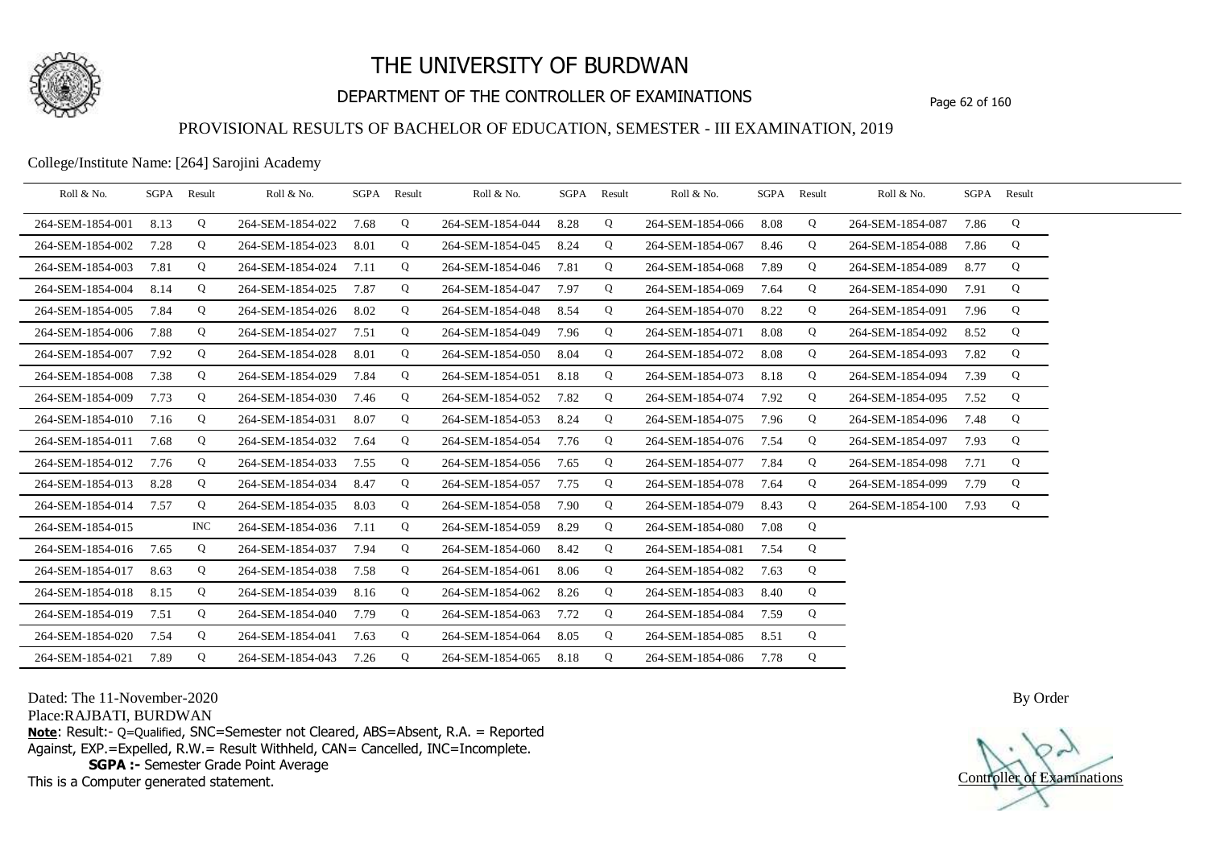

## DEPARTMENT OF THE CONTROLLER OF EXAMINATIONS Page 62 of 160

### PROVISIONAL RESULTS OF BACHELOR OF EDUCATION, SEMESTER - III EXAMINATION, 2019

College/Institute Name: [264] Sarojini Academy

| Roll & No.       | SGPA Result |            | Roll & No.       | SGPA | Result      | Roll & No.       | SGPA | Result | Roll & No.       |      | SGPA Result | Roll & No.       |      | SGPA Result |  |
|------------------|-------------|------------|------------------|------|-------------|------------------|------|--------|------------------|------|-------------|------------------|------|-------------|--|
| 264-SEM-1854-001 | 8.13        | Q          | 264-SEM-1854-022 | 7.68 | $\mathbf Q$ | 264-SEM-1854-044 | 8.28 | Q      | 264-SEM-1854-066 | 8.08 | Q           | 264-SEM-1854-087 | 7.86 | Q           |  |
| 264-SEM-1854-002 | 7.28        | Q          | 264-SEM-1854-023 | 8.01 | Q           | 264-SEM-1854-045 | 8.24 | Q      | 264-SEM-1854-067 | 8.46 | Q           | 264-SEM-1854-088 | 7.86 | Q           |  |
| 264-SEM-1854-003 | 7.81        | Q          | 264-SEM-1854-024 | 7.11 | Q           | 264-SEM-1854-046 | 7.81 | Q      | 264-SEM-1854-068 | 7.89 | Q           | 264-SEM-1854-089 | 8.77 | Q           |  |
| 264-SEM-1854-004 | 8.14        | Q          | 264-SEM-1854-025 | 7.87 | Q           | 264-SEM-1854-047 | 7.97 | Q      | 264-SEM-1854-069 | 7.64 | Q           | 264-SEM-1854-090 | 7.91 | Q           |  |
| 264-SEM-1854-005 | 7.84        | Q          | 264-SEM-1854-026 | 8.02 | Q           | 264-SEM-1854-048 | 8.54 | Q      | 264-SEM-1854-070 | 8.22 | Q           | 264-SEM-1854-091 | 7.96 | Q           |  |
| 264-SEM-1854-006 | 7.88        | Q          | 264-SEM-1854-027 | 7.51 | Q           | 264-SEM-1854-049 | 7.96 | Q      | 264-SEM-1854-071 | 8.08 | Q           | 264-SEM-1854-092 | 8.52 | Q           |  |
| 264-SEM-1854-007 | 7.92        | Q          | 264-SEM-1854-028 | 8.01 | Q           | 264-SEM-1854-050 | 8.04 | Q      | 264-SEM-1854-072 | 8.08 | Q           | 264-SEM-1854-093 | 7.82 | Q           |  |
| 264-SEM-1854-008 | 7.38        | Q          | 264-SEM-1854-029 | 7.84 | Q           | 264-SEM-1854-051 | 8.18 | Q      | 264-SEM-1854-073 | 8.18 | Q           | 264-SEM-1854-094 | 7.39 | Q           |  |
| 264-SEM-1854-009 | 7.73        | Q          | 264-SEM-1854-030 | 7.46 | Q           | 264-SEM-1854-052 | 7.82 | Q      | 264-SEM-1854-074 | 7.92 | Q           | 264-SEM-1854-095 | 7.52 | Q           |  |
| 264-SEM-1854-010 | 7.16        | Q          | 264-SEM-1854-031 | 8.07 | Q           | 264-SEM-1854-053 | 8.24 | Q      | 264-SEM-1854-075 | 7.96 | Q           | 264-SEM-1854-096 | 7.48 | Q           |  |
| 264-SEM-1854-011 | 7.68        | Q          | 264-SEM-1854-032 | 7.64 | Q           | 264-SEM-1854-054 | 7.76 | Q      | 264-SEM-1854-076 | 7.54 | Q           | 264-SEM-1854-097 | 7.93 | Q           |  |
| 264-SEM-1854-012 | 7.76        | Q          | 264-SEM-1854-033 | 7.55 | Q           | 264-SEM-1854-056 | 7.65 | Q      | 264-SEM-1854-077 | 7.84 | Q           | 264-SEM-1854-098 | 7.71 | Q           |  |
| 264-SEM-1854-013 | 8.28        | Q          | 264-SEM-1854-034 | 8.47 | Q           | 264-SEM-1854-057 | 7.75 | Q      | 264-SEM-1854-078 | 7.64 | Q           | 264-SEM-1854-099 | 7.79 | Q           |  |
| 264-SEM-1854-014 | 7.57        | Q          | 264-SEM-1854-035 | 8.03 | Q           | 264-SEM-1854-058 | 7.90 | Q      | 264-SEM-1854-079 | 8.43 | Q           | 264-SEM-1854-100 | 7.93 | Q           |  |
| 264-SEM-1854-015 |             | <b>INC</b> | 264-SEM-1854-036 | 7.11 | Q           | 264-SEM-1854-059 | 8.29 | Q      | 264-SEM-1854-080 | 7.08 | Q           |                  |      |             |  |
| 264-SEM-1854-016 | 7.65        | Q          | 264-SEM-1854-037 | 7.94 | Q           | 264-SEM-1854-060 | 8.42 | Q      | 264-SEM-1854-081 | 7.54 | Q           |                  |      |             |  |
| 264-SEM-1854-017 | 8.63        | Q          | 264-SEM-1854-038 | 7.58 | Q           | 264-SEM-1854-061 | 8.06 | Q      | 264-SEM-1854-082 | 7.63 | Q           |                  |      |             |  |
| 264-SEM-1854-018 | 8.15        | Q          | 264-SEM-1854-039 | 8.16 | Q           | 264-SEM-1854-062 | 8.26 | Q      | 264-SEM-1854-083 | 8.40 | Q           |                  |      |             |  |
| 264-SEM-1854-019 | 7.51        | Q          | 264-SEM-1854-040 | 7.79 | Q           | 264-SEM-1854-063 | 7.72 | Q      | 264-SEM-1854-084 | 7.59 | Q           |                  |      |             |  |
| 264-SEM-1854-020 | 7.54        | Q          | 264-SEM-1854-041 | 7.63 | Q           | 264-SEM-1854-064 | 8.05 | Q      | 264-SEM-1854-085 | 8.51 | Q           |                  |      |             |  |
| 264-SEM-1854-021 | 7.89        | Q          | 264-SEM-1854-043 | 7.26 | Q           | 264-SEM-1854-065 | 8.18 | Q      | 264-SEM-1854-086 | 7.78 | Q           |                  |      |             |  |

Dated: The 11-November-2020

Place:RAJBATI, BURDWAN

**Note**: Result:- Q=Qualified, SNC=Semester not Cleared, ABS=Absent, R.A. = Reported Against, EXP.=Expelled, R.W.= Result Withheld, CAN= Cancelled, INC=Incomplete. **SGPA :-** Semester Grade Point Average

This is a Computer generated statement.

Controller of Examinations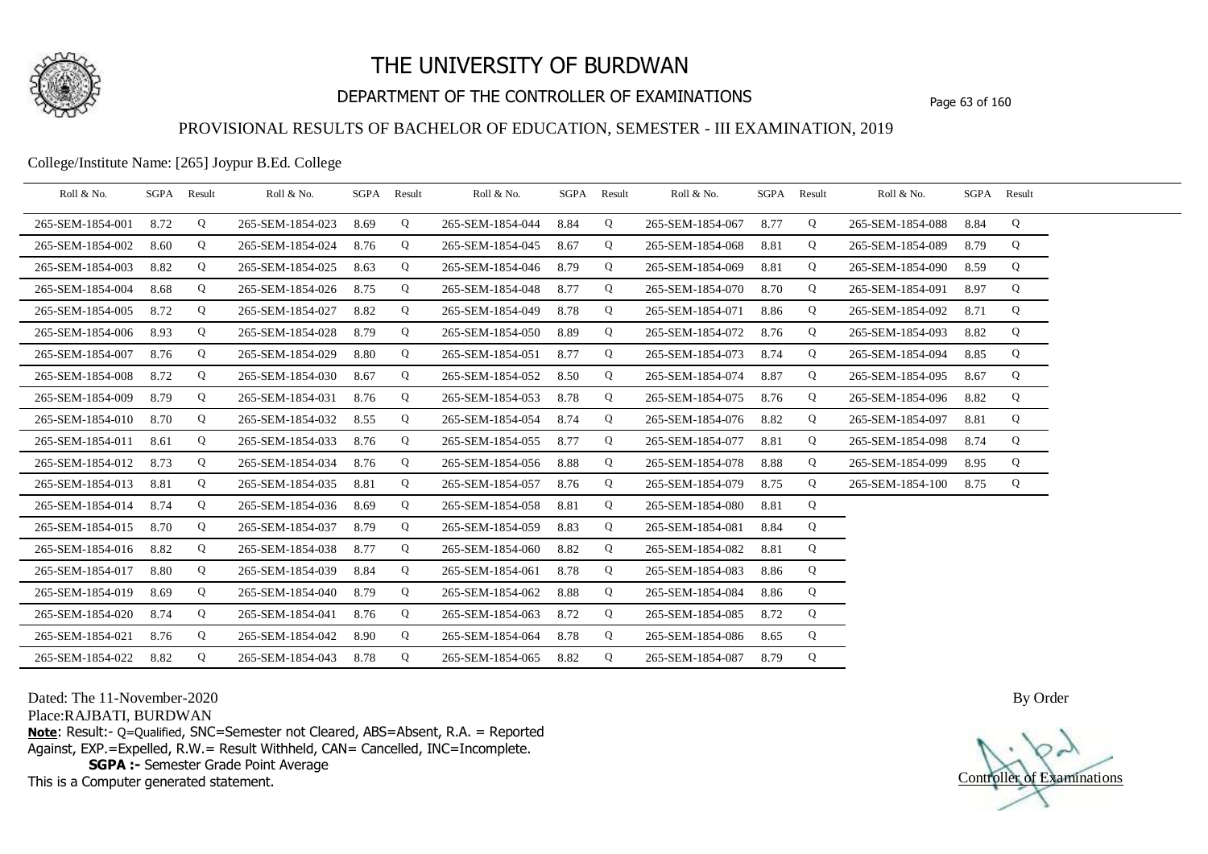

## DEPARTMENT OF THE CONTROLLER OF EXAMINATIONS Page 63 of 160

### PROVISIONAL RESULTS OF BACHELOR OF EDUCATION, SEMESTER - III EXAMINATION, 2019

College/Institute Name: [265] Joypur B.Ed. College

| Roll & No.       | SGPA Result |   | Roll & No.       |      | SGPA Result | Roll & No.       | SGPA Result |   | Roll & No.       | SGPA Result |   | Roll & No.       |      | SGPA Result |  |
|------------------|-------------|---|------------------|------|-------------|------------------|-------------|---|------------------|-------------|---|------------------|------|-------------|--|
| 265-SEM-1854-001 | 8.72        | Q | 265-SEM-1854-023 | 8.69 | Q           | 265-SEM-1854-044 | 8.84        | Q | 265-SEM-1854-067 | 8.77        | Q | 265-SEM-1854-088 | 8.84 | Q           |  |
| 265-SEM-1854-002 | 8.60        | Q | 265-SEM-1854-024 | 8.76 | Q           | 265-SEM-1854-045 | 8.67        | Q | 265-SEM-1854-068 | 8.81        | Q | 265-SEM-1854-089 | 8.79 | Q           |  |
| 265-SEM-1854-003 | 8.82        | Q | 265-SEM-1854-025 | 8.63 | Q           | 265-SEM-1854-046 | 8.79        | Q | 265-SEM-1854-069 | 8.81        | Q | 265-SEM-1854-090 | 8.59 | Q           |  |
| 265-SEM-1854-004 | 8.68        | Q | 265-SEM-1854-026 | 8.75 | Q           | 265-SEM-1854-048 | 8.77        | Q | 265-SEM-1854-070 | 8.70        | Q | 265-SEM-1854-091 | 8.97 | Q           |  |
| 265-SEM-1854-005 | 8.72        | Q | 265-SEM-1854-027 | 8.82 | Q           | 265-SEM-1854-049 | 8.78        | Q | 265-SEM-1854-071 | 8.86        | Q | 265-SEM-1854-092 | 8.71 | Q           |  |
| 265-SEM-1854-006 | 8.93        | Q | 265-SEM-1854-028 | 8.79 | Q           | 265-SEM-1854-050 | 8.89        | Q | 265-SEM-1854-072 | 8.76        | Q | 265-SEM-1854-093 | 8.82 | Q           |  |
| 265-SEM-1854-007 | 8.76        | Q | 265-SEM-1854-029 | 8.80 | Q           | 265-SEM-1854-051 | 8.77        | Q | 265-SEM-1854-073 | 8.74        | Q | 265-SEM-1854-094 | 8.85 | Q           |  |
| 265-SEM-1854-008 | 8.72        | Q | 265-SEM-1854-030 | 8.67 | Q           | 265-SEM-1854-052 | 8.50        | Q | 265-SEM-1854-074 | 8.87        | Q | 265-SEM-1854-095 | 8.67 | Q           |  |
| 265-SEM-1854-009 | 8.79        | Q | 265-SEM-1854-031 | 8.76 | Q           | 265-SEM-1854-053 | 8.78        | Q | 265-SEM-1854-075 | 8.76        | Q | 265-SEM-1854-096 | 8.82 | Q           |  |
| 265-SEM-1854-010 | 8.70        | Q | 265-SEM-1854-032 | 8.55 | Q           | 265-SEM-1854-054 | 8.74        | Q | 265-SEM-1854-076 | 8.82        | Q | 265-SEM-1854-097 | 8.81 | Q           |  |
| 265-SEM-1854-011 | 8.61        | Q | 265-SEM-1854-033 | 8.76 | Q           | 265-SEM-1854-055 | 8.77        | Q | 265-SEM-1854-077 | 8.81        | Q | 265-SEM-1854-098 | 8.74 | Q           |  |
| 265-SEM-1854-012 | 8.73        | Q | 265-SEM-1854-034 | 8.76 | Q           | 265-SEM-1854-056 | 8.88        | Q | 265-SEM-1854-078 | 8.88        | Q | 265-SEM-1854-099 | 8.95 | Q           |  |
| 265-SEM-1854-013 | 8.81        | Q | 265-SEM-1854-035 | 8.81 | Q           | 265-SEM-1854-057 | 8.76        | Q | 265-SEM-1854-079 | 8.75        | Q | 265-SEM-1854-100 | 8.75 | Q           |  |
| 265-SEM-1854-014 | 8.74        | Q | 265-SEM-1854-036 | 8.69 | Q           | 265-SEM-1854-058 | 8.81        | Q | 265-SEM-1854-080 | 8.81        | Q |                  |      |             |  |
| 265-SEM-1854-015 | 8.70        | Q | 265-SEM-1854-037 | 8.79 | Q           | 265-SEM-1854-059 | 8.83        | Q | 265-SEM-1854-081 | 8.84        | Q |                  |      |             |  |
| 265-SEM-1854-016 | 8.82        | Q | 265-SEM-1854-038 | 8.77 | Q           | 265-SEM-1854-060 | 8.82        | Q | 265-SEM-1854-082 | 8.81        | Q |                  |      |             |  |
| 265-SEM-1854-017 | 8.80        | Q | 265-SEM-1854-039 | 8.84 | Q           | 265-SEM-1854-061 | 8.78        | Q | 265-SEM-1854-083 | 8.86        | Q |                  |      |             |  |
| 265-SEM-1854-019 | 8.69        | Q | 265-SEM-1854-040 | 8.79 | Q           | 265-SEM-1854-062 | 8.88        | Q | 265-SEM-1854-084 | 8.86        | Q |                  |      |             |  |
| 265-SEM-1854-020 | 8.74        | Q | 265-SEM-1854-041 | 8.76 | Q           | 265-SEM-1854-063 | 8.72        | Q | 265-SEM-1854-085 | 8.72        | Q |                  |      |             |  |
| 265-SEM-1854-021 | 8.76        | Q | 265-SEM-1854-042 | 8.90 | Q           | 265-SEM-1854-064 | 8.78        | Q | 265-SEM-1854-086 | 8.65        | Q |                  |      |             |  |
| 265-SEM-1854-022 | 8.82        | Q | 265-SEM-1854-043 | 8.78 | Q           | 265-SEM-1854-065 | 8.82        | Q | 265-SEM-1854-087 | 8.79        | Q |                  |      |             |  |

Dated: The 11-November-2020

Place:RAJBATI, BURDWAN

**Note**: Result:- Q=Qualified, SNC=Semester not Cleared, ABS=Absent, R.A. = Reported Against, EXP.=Expelled, R.W.= Result Withheld, CAN= Cancelled, INC=Incomplete. **SGPA :-** Semester Grade Point Average

This is a Computer generated statement.

Controller of Examinations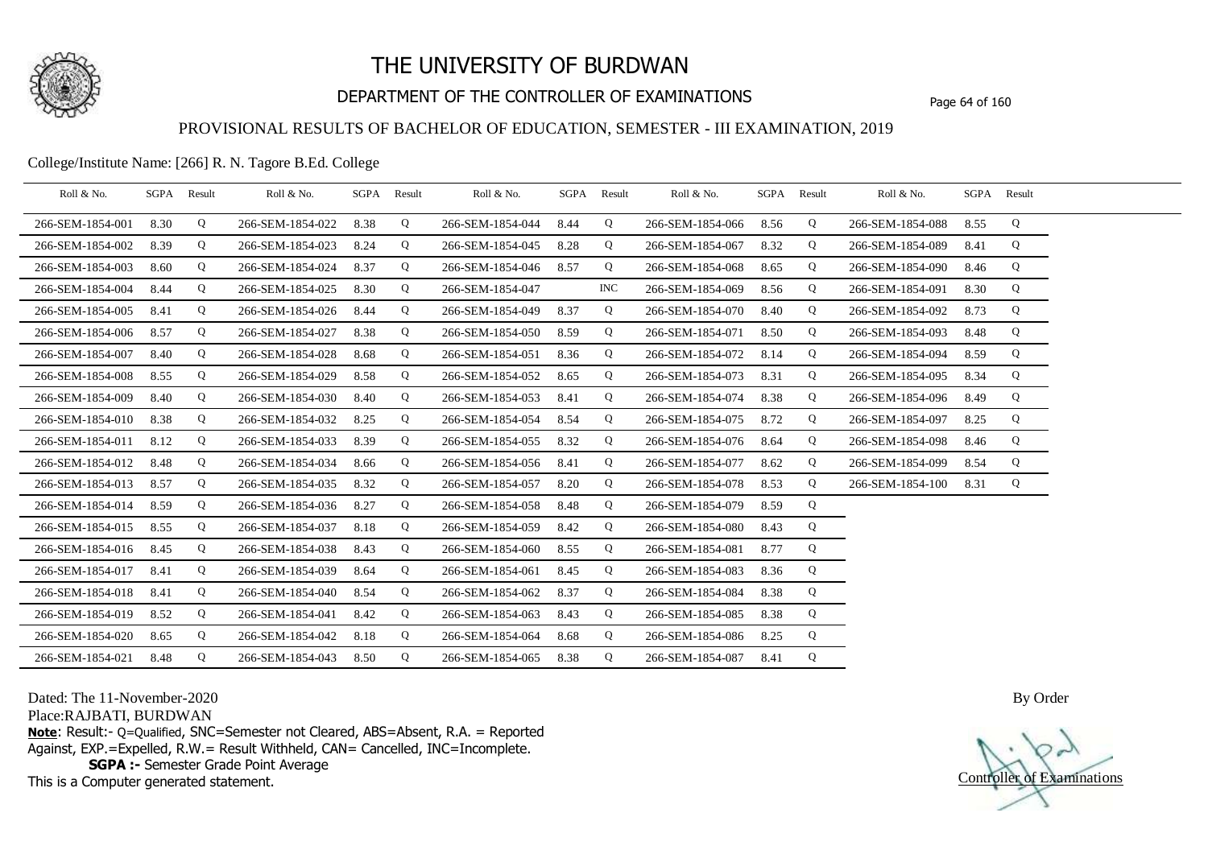

## DEPARTMENT OF THE CONTROLLER OF EXAMINATIONS Page 64 of 160

### PROVISIONAL RESULTS OF BACHELOR OF EDUCATION, SEMESTER - III EXAMINATION, 2019

College/Institute Name: [266] R. N. Tagore B.Ed. College

| Roll & No.       | SGPA Result |   | Roll & No.       |      | SGPA Result | Roll & No.       |      | SGPA Result | Roll & No.       |      | SGPA Result | Roll & No.       |      | SGPA Result |  |
|------------------|-------------|---|------------------|------|-------------|------------------|------|-------------|------------------|------|-------------|------------------|------|-------------|--|
| 266-SEM-1854-001 | 8.30        | Q | 266-SEM-1854-022 | 8.38 | Q           | 266-SEM-1854-044 | 8.44 | Q           | 266-SEM-1854-066 | 8.56 | Q           | 266-SEM-1854-088 | 8.55 | Q           |  |
| 266-SEM-1854-002 | 8.39        | Q | 266-SEM-1854-023 | 8.24 | Q           | 266-SEM-1854-045 | 8.28 | Q           | 266-SEM-1854-067 | 8.32 | Q           | 266-SEM-1854-089 | 8.41 | Q           |  |
| 266-SEM-1854-003 | 8.60        | Q | 266-SEM-1854-024 | 8.37 | Q           | 266-SEM-1854-046 | 8.57 | Q           | 266-SEM-1854-068 | 8.65 | Q           | 266-SEM-1854-090 | 8.46 | Q           |  |
| 266-SEM-1854-004 | 8.44        | Q | 266-SEM-1854-025 | 8.30 | Q           | 266-SEM-1854-047 |      | INC         | 266-SEM-1854-069 | 8.56 | Q           | 266-SEM-1854-091 | 8.30 | Q           |  |
| 266-SEM-1854-005 | 8.41        | Q | 266-SEM-1854-026 | 8.44 | Q           | 266-SEM-1854-049 | 8.37 | Q           | 266-SEM-1854-070 | 8.40 | Q           | 266-SEM-1854-092 | 8.73 | Q           |  |
| 266-SEM-1854-006 | 8.57        | Q | 266-SEM-1854-027 | 8.38 | Q           | 266-SEM-1854-050 | 8.59 | Q           | 266-SEM-1854-071 | 8.50 | Q           | 266-SEM-1854-093 | 8.48 | Q           |  |
| 266-SEM-1854-007 | 8.40        | Q | 266-SEM-1854-028 | 8.68 | Q           | 266-SEM-1854-051 | 8.36 | Q           | 266-SEM-1854-072 | 8.14 | Q           | 266-SEM-1854-094 | 8.59 | Q           |  |
| 266-SEM-1854-008 | 8.55        | Q | 266-SEM-1854-029 | 8.58 | Q           | 266-SEM-1854-052 | 8.65 | Q           | 266-SEM-1854-073 | 8.31 | Q           | 266-SEM-1854-095 | 8.34 | Q           |  |
| 266-SEM-1854-009 | 8.40        | Q | 266-SEM-1854-030 | 8.40 | Q           | 266-SEM-1854-053 | 8.41 | Q           | 266-SEM-1854-074 | 8.38 | Q           | 266-SEM-1854-096 | 8.49 | Q           |  |
| 266-SEM-1854-010 | 8.38        | Q | 266-SEM-1854-032 | 8.25 | Q           | 266-SEM-1854-054 | 8.54 | Q           | 266-SEM-1854-075 | 8.72 | Q           | 266-SEM-1854-097 | 8.25 | Q           |  |
| 266-SEM-1854-011 | 8.12        | Q | 266-SEM-1854-033 | 8.39 | Q           | 266-SEM-1854-055 | 8.32 | Q           | 266-SEM-1854-076 | 8.64 | Q           | 266-SEM-1854-098 | 8.46 | Q           |  |
| 266-SEM-1854-012 | 8.48        | Q | 266-SEM-1854-034 | 8.66 | Q           | 266-SEM-1854-056 | 8.41 | Q           | 266-SEM-1854-077 | 8.62 | Q           | 266-SEM-1854-099 | 8.54 | Q           |  |
| 266-SEM-1854-013 | 8.57        | Q | 266-SEM-1854-035 | 8.32 | Q           | 266-SEM-1854-057 | 8.20 | Q           | 266-SEM-1854-078 | 8.53 | Q           | 266-SEM-1854-100 | 8.31 | Q           |  |
| 266-SEM-1854-014 | 8.59        | Q | 266-SEM-1854-036 | 8.27 | Q           | 266-SEM-1854-058 | 8.48 | Q           | 266-SEM-1854-079 | 8.59 | Q           |                  |      |             |  |
| 266-SEM-1854-015 | 8.55        | Q | 266-SEM-1854-037 | 8.18 | Q           | 266-SEM-1854-059 | 8.42 | Q           | 266-SEM-1854-080 | 8.43 | Q           |                  |      |             |  |
| 266-SEM-1854-016 | 8.45        | Q | 266-SEM-1854-038 | 8.43 | Q           | 266-SEM-1854-060 | 8.55 | Q           | 266-SEM-1854-081 | 8.77 | Q           |                  |      |             |  |
| 266-SEM-1854-017 | 8.41        | Q | 266-SEM-1854-039 | 8.64 | Q           | 266-SEM-1854-061 | 8.45 | Q           | 266-SEM-1854-083 | 8.36 | Q           |                  |      |             |  |
| 266-SEM-1854-018 | 8.41        | Q | 266-SEM-1854-040 | 8.54 | Q           | 266-SEM-1854-062 | 8.37 | Q           | 266-SEM-1854-084 | 8.38 | Q           |                  |      |             |  |
| 266-SEM-1854-019 | 8.52        | Q | 266-SEM-1854-041 | 8.42 | Q           | 266-SEM-1854-063 | 8.43 | Q           | 266-SEM-1854-085 | 8.38 | Q           |                  |      |             |  |
| 266-SEM-1854-020 | 8.65        | Q | 266-SEM-1854-042 | 8.18 | Q           | 266-SEM-1854-064 | 8.68 | Q           | 266-SEM-1854-086 | 8.25 | Q           |                  |      |             |  |
| 266-SEM-1854-021 | 8.48        | Q | 266-SEM-1854-043 | 8.50 | Q           | 266-SEM-1854-065 | 8.38 | Q           | 266-SEM-1854-087 | 8.41 | Q           |                  |      |             |  |

Dated: The 11-November-2020

Place:RAJBATI, BURDWAN

**Note**: Result:- Q=Qualified, SNC=Semester not Cleared, ABS=Absent, R.A. = Reported Against, EXP.=Expelled, R.W.= Result Withheld, CAN= Cancelled, INC=Incomplete. **SGPA :-** Semester Grade Point Average

This is a Computer generated statement.

Controller of Examinations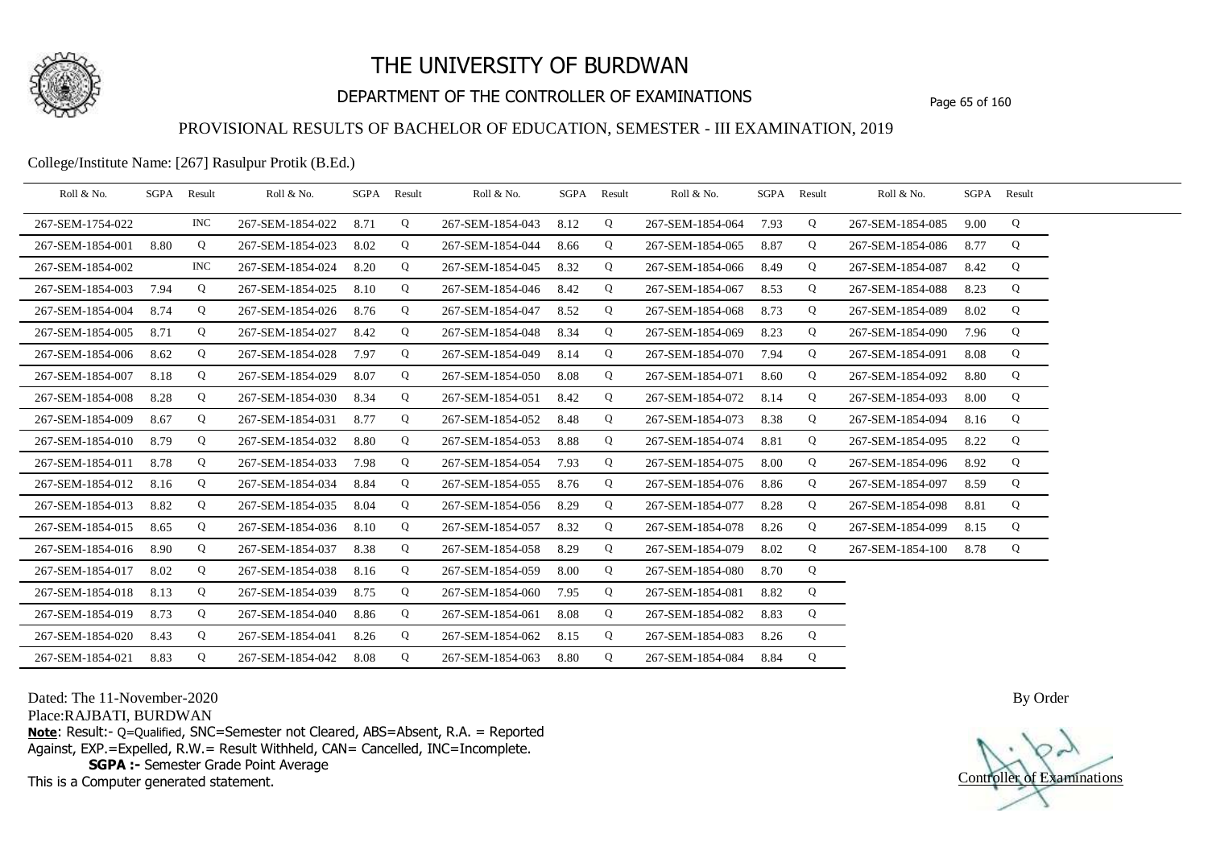

## DEPARTMENT OF THE CONTROLLER OF EXAMINATIONS Page 65 of 160

### PROVISIONAL RESULTS OF BACHELOR OF EDUCATION, SEMESTER - III EXAMINATION, 2019

College/Institute Name: [267] Rasulpur Protik (B.Ed.)

| Roll & No.       | SGPA | Result     | Roll & No.       |      | SGPA Result | Roll & No.       | SGPA Result |   | Roll & No.       |      | SGPA Result | Roll & No.       | SGPA Result |   |  |
|------------------|------|------------|------------------|------|-------------|------------------|-------------|---|------------------|------|-------------|------------------|-------------|---|--|
| 267-SEM-1754-022 |      | <b>INC</b> | 267-SEM-1854-022 | 8.71 | Q           | 267-SEM-1854-043 | 8.12        | Q | 267-SEM-1854-064 | 7.93 | Q           | 267-SEM-1854-085 | 9.00        | Q |  |
| 267-SEM-1854-001 | 8.80 | Q          | 267-SEM-1854-023 | 8.02 | Q           | 267-SEM-1854-044 | 8.66        | Q | 267-SEM-1854-065 | 8.87 | Q           | 267-SEM-1854-086 | 8.77        | Q |  |
| 267-SEM-1854-002 |      | INC.       | 267-SEM-1854-024 | 8.20 | Q           | 267-SEM-1854-045 | 8.32        | Q | 267-SEM-1854-066 | 8.49 | Q           | 267-SEM-1854-087 | 8.42        | Q |  |
| 267-SEM-1854-003 | 7.94 | Q          | 267-SEM-1854-025 | 8.10 | Q           | 267-SEM-1854-046 | 8.42        | Q | 267-SEM-1854-067 | 8.53 | Q           | 267-SEM-1854-088 | 8.23        | Q |  |
| 267-SEM-1854-004 | 8.74 | Q          | 267-SEM-1854-026 | 8.76 | Q           | 267-SEM-1854-047 | 8.52        | Q | 267-SEM-1854-068 | 8.73 | Q           | 267-SEM-1854-089 | 8.02        | Q |  |
| 267-SEM-1854-005 | 8.71 | Q          | 267-SEM-1854-027 | 8.42 | Q           | 267-SEM-1854-048 | 8.34        | Q | 267-SEM-1854-069 | 8.23 | Q           | 267-SEM-1854-090 | 7.96        | Q |  |
| 267-SEM-1854-006 | 8.62 | Q          | 267-SEM-1854-028 | 7.97 | Q           | 267-SEM-1854-049 | 8.14        | Q | 267-SEM-1854-070 | 7.94 | Q           | 267-SEM-1854-091 | 8.08        | Q |  |
| 267-SEM-1854-007 | 8.18 | Q          | 267-SEM-1854-029 | 8.07 | Q           | 267-SEM-1854-050 | 8.08        | Q | 267-SEM-1854-071 | 8.60 | Q           | 267-SEM-1854-092 | 8.80        | Q |  |
| 267-SEM-1854-008 | 8.28 | Q          | 267-SEM-1854-030 | 8.34 | Q           | 267-SEM-1854-051 | 8.42        | Q | 267-SEM-1854-072 | 8.14 | Q           | 267-SEM-1854-093 | 8.00        | Q |  |
| 267-SEM-1854-009 | 8.67 | Q          | 267-SEM-1854-031 | 8.77 | Q           | 267-SEM-1854-052 | 8.48        | Q | 267-SEM-1854-073 | 8.38 | Q           | 267-SEM-1854-094 | 8.16        | Q |  |
| 267-SEM-1854-010 | 8.79 | Q          | 267-SEM-1854-032 | 8.80 | Q           | 267-SEM-1854-053 | 8.88        | Q | 267-SEM-1854-074 | 8.81 | Q           | 267-SEM-1854-095 | 8.22        | Q |  |
| 267-SEM-1854-011 | 8.78 | Q          | 267-SEM-1854-033 | 7.98 | Q           | 267-SEM-1854-054 | 7.93        | Q | 267-SEM-1854-075 | 8.00 | Q           | 267-SEM-1854-096 | 8.92        | Q |  |
| 267-SEM-1854-012 | 8.16 | Q          | 267-SEM-1854-034 | 8.84 | Q           | 267-SEM-1854-055 | 8.76        | Q | 267-SEM-1854-076 | 8.86 | Q           | 267-SEM-1854-097 | 8.59        | Q |  |
| 267-SEM-1854-013 | 8.82 | Q          | 267-SEM-1854-035 | 8.04 | Q           | 267-SEM-1854-056 | 8.29        | Q | 267-SEM-1854-077 | 8.28 | Q           | 267-SEM-1854-098 | 8.81        | Q |  |
| 267-SEM-1854-015 | 8.65 | Q          | 267-SEM-1854-036 | 8.10 | Q           | 267-SEM-1854-057 | 8.32        | Q | 267-SEM-1854-078 | 8.26 | Q           | 267-SEM-1854-099 | 8.15        | Q |  |
| 267-SEM-1854-016 | 8.90 | Q          | 267-SEM-1854-037 | 8.38 | Q           | 267-SEM-1854-058 | 8.29        | Q | 267-SEM-1854-079 | 8.02 | Q           | 267-SEM-1854-100 | 8.78        | Q |  |
| 267-SEM-1854-017 | 8.02 | Q          | 267-SEM-1854-038 | 8.16 | Q           | 267-SEM-1854-059 | 8.00        | Q | 267-SEM-1854-080 | 8.70 | Q           |                  |             |   |  |
| 267-SEM-1854-018 | 8.13 | Q          | 267-SEM-1854-039 | 8.75 | Q           | 267-SEM-1854-060 | 7.95        | Q | 267-SEM-1854-081 | 8.82 | Q           |                  |             |   |  |
| 267-SEM-1854-019 | 8.73 | Q          | 267-SEM-1854-040 | 8.86 | Q           | 267-SEM-1854-061 | 8.08        | Q | 267-SEM-1854-082 | 8.83 | Q           |                  |             |   |  |
| 267-SEM-1854-020 | 8.43 | Q          | 267-SEM-1854-041 | 8.26 | Q           | 267-SEM-1854-062 | 8.15        | Q | 267-SEM-1854-083 | 8.26 | Q           |                  |             |   |  |
| 267-SEM-1854-021 | 8.83 | Q          | 267-SEM-1854-042 | 8.08 | Q           | 267-SEM-1854-063 | 8.80        | Q | 267-SEM-1854-084 | 8.84 | Q           |                  |             |   |  |

Dated: The 11-November-2020

Place:RAJBATI, BURDWAN

**Note**: Result:- Q=Qualified, SNC=Semester not Cleared, ABS=Absent, R.A. = Reported Against, EXP.=Expelled, R.W.= Result Withheld, CAN= Cancelled, INC=Incomplete. **SGPA :-** Semester Grade Point Average

This is a Computer generated statement.

Controller of Examinations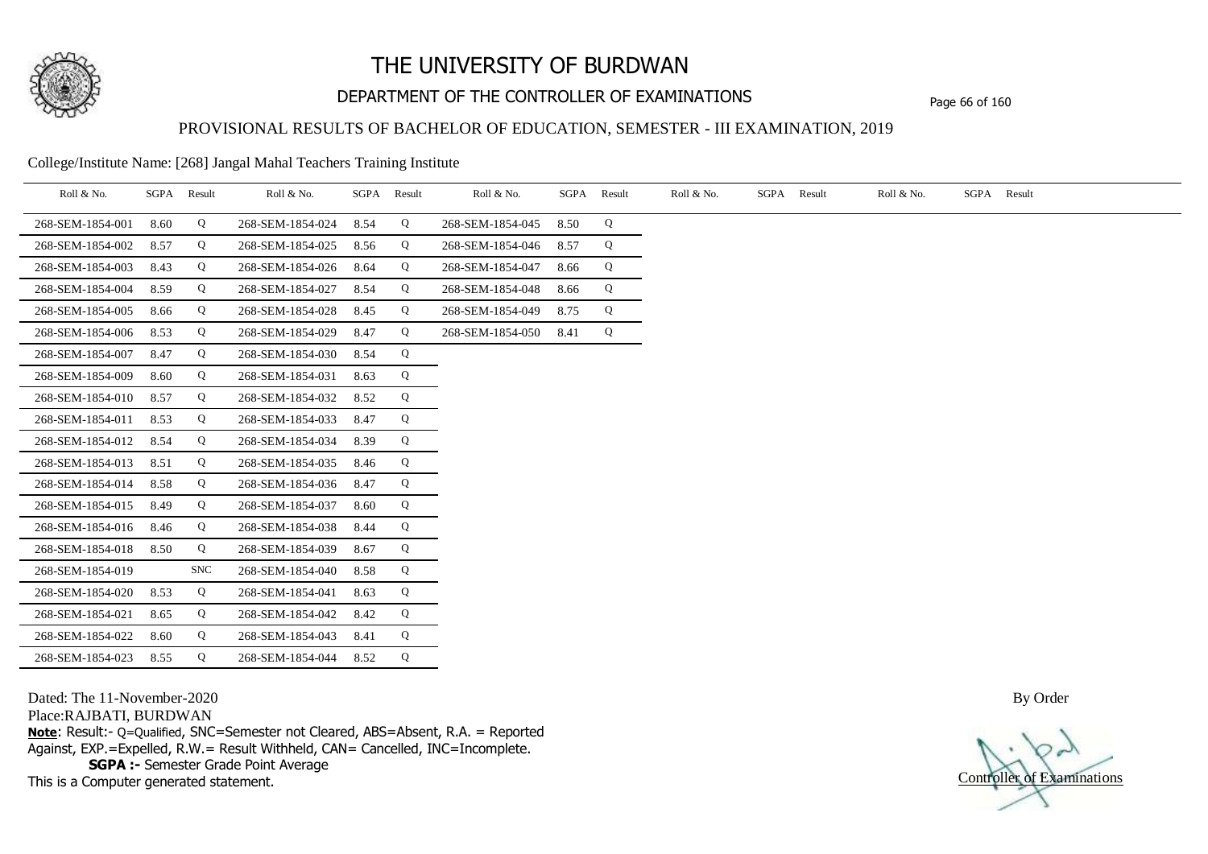

## DEPARTMENT OF THE CONTROLLER OF EXAMINATIONS Page 66 of 160

### PROVISIONAL RESULTS OF BACHELOR OF EDUCATION, SEMESTER - III EXAMINATION, 2019

College/Institute Name: [268] Jangal Mahal Teachers Training Institute

| Roll & No.       | SGPA | Result     | Roll & No.       |      | SGPA Result | Roll & No.       | SGPA | Result | Roll & No. | SGPA Result | Roll & No. | SGPA Result |
|------------------|------|------------|------------------|------|-------------|------------------|------|--------|------------|-------------|------------|-------------|
| 268-SEM-1854-001 | 8.60 | Q          | 268-SEM-1854-024 | 8.54 | Q           | 268-SEM-1854-045 | 8.50 | Q      |            |             |            |             |
| 268-SEM-1854-002 | 8.57 | Q          | 268-SEM-1854-025 | 8.56 | Q           | 268-SEM-1854-046 | 8.57 | Q      |            |             |            |             |
| 268-SEM-1854-003 | 8.43 | Q          | 268-SEM-1854-026 | 8.64 | Q           | 268-SEM-1854-047 | 8.66 | Q      |            |             |            |             |
| 268-SEM-1854-004 | 8.59 | Q          | 268-SEM-1854-027 | 8.54 | Q           | 268-SEM-1854-048 | 8.66 | Q      |            |             |            |             |
| 268-SEM-1854-005 | 8.66 | Q          | 268-SEM-1854-028 | 8.45 | Q           | 268-SEM-1854-049 | 8.75 | Q      |            |             |            |             |
| 268-SEM-1854-006 | 8.53 | Q          | 268-SEM-1854-029 | 8.47 | Q           | 268-SEM-1854-050 | 8.41 | Q      |            |             |            |             |
| 268-SEM-1854-007 | 8.47 | Q          | 268-SEM-1854-030 | 8.54 | Q           |                  |      |        |            |             |            |             |
| 268-SEM-1854-009 | 8.60 | Q          | 268-SEM-1854-031 | 8.63 | Q           |                  |      |        |            |             |            |             |
| 268-SEM-1854-010 | 8.57 | Q          | 268-SEM-1854-032 | 8.52 | Q           |                  |      |        |            |             |            |             |
| 268-SEM-1854-011 | 8.53 | Q          | 268-SEM-1854-033 | 8.47 | Q           |                  |      |        |            |             |            |             |
| 268-SEM-1854-012 | 8.54 | Q          | 268-SEM-1854-034 | 8.39 | Q           |                  |      |        |            |             |            |             |
| 268-SEM-1854-013 | 8.51 | Q          | 268-SEM-1854-035 | 8.46 | Q           |                  |      |        |            |             |            |             |
| 268-SEM-1854-014 | 8.58 | Q          | 268-SEM-1854-036 | 8.47 | Q           |                  |      |        |            |             |            |             |
| 268-SEM-1854-015 | 8.49 | Q          | 268-SEM-1854-037 | 8.60 | Q           |                  |      |        |            |             |            |             |
| 268-SEM-1854-016 | 8.46 | Q          | 268-SEM-1854-038 | 8.44 | Q           |                  |      |        |            |             |            |             |
| 268-SEM-1854-018 | 8.50 | Q          | 268-SEM-1854-039 | 8.67 | Q           |                  |      |        |            |             |            |             |
| 268-SEM-1854-019 |      | <b>SNC</b> | 268-SEM-1854-040 | 8.58 | Q           |                  |      |        |            |             |            |             |
| 268-SEM-1854-020 | 8.53 | Q          | 268-SEM-1854-041 | 8.63 | Q           |                  |      |        |            |             |            |             |
| 268-SEM-1854-021 | 8.65 | Q          | 268-SEM-1854-042 | 8.42 | Q           |                  |      |        |            |             |            |             |
| 268-SEM-1854-022 | 8.60 | Q          | 268-SEM-1854-043 | 8.41 | Q           |                  |      |        |            |             |            |             |
| 268-SEM-1854-023 | 8.55 | Q          | 268-SEM-1854-044 | 8.52 | Q           |                  |      |        |            |             |            |             |

Dated: The 11-November-2020

Place:RAJBATI, BURDWAN

**Note**: Result:- Q=Qualified, SNC=Semester not Cleared, ABS=Absent, R.A. = Reported Against, EXP.=Expelled, R.W.= Result Withheld, CAN= Cancelled, INC=Incomplete. **SGPA :-** Semester Grade Point Average

This is a Computer generated statement.

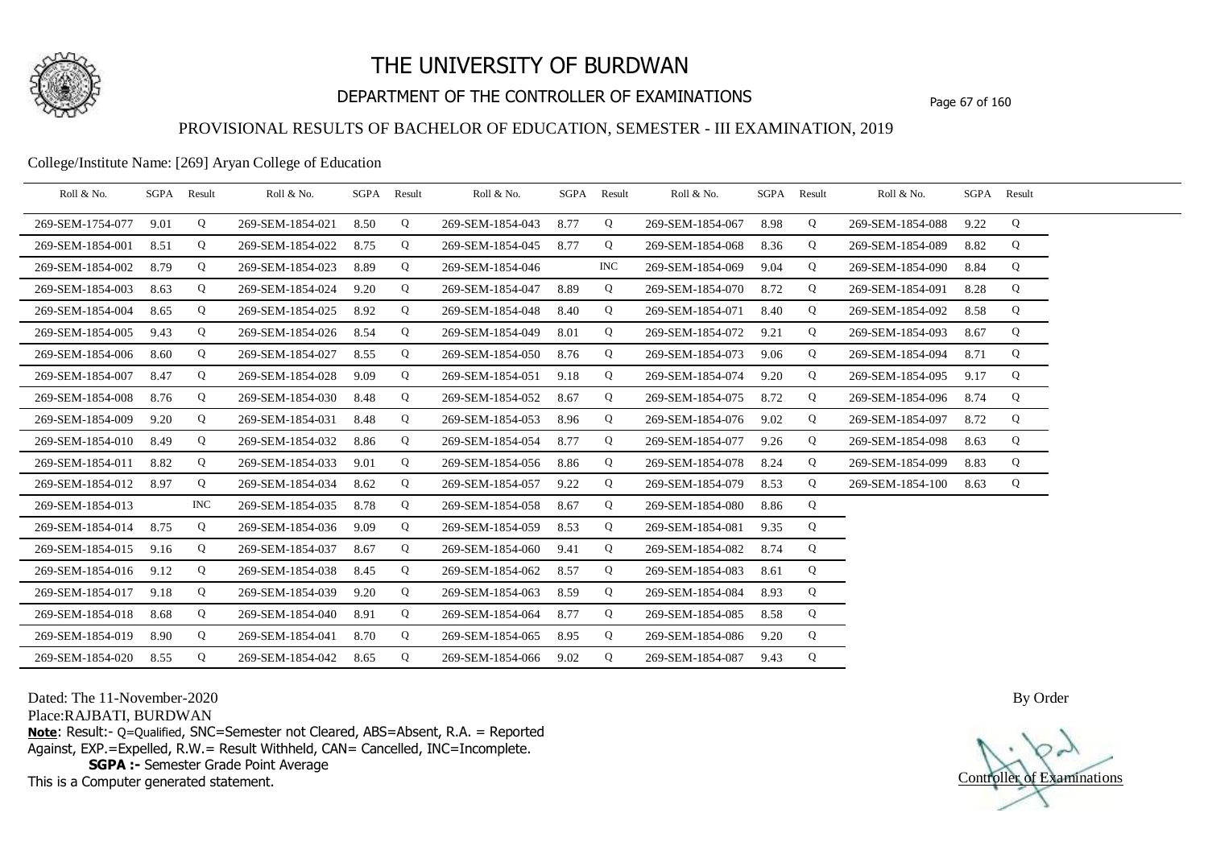

## DEPARTMENT OF THE CONTROLLER OF EXAMINATIONS Page 67 of 160

### PROVISIONAL RESULTS OF BACHELOR OF EDUCATION, SEMESTER - III EXAMINATION, 2019

#### College/Institute Name: [269] Aryan College of Education

| Roll & No.       |      | SGPA Result | Roll & No.       | SGPA | Result | Roll & No.       | SGPA | Result     | Roll & No.       |      | SGPA Result | Roll & No.       |      | SGPA Result |  |
|------------------|------|-------------|------------------|------|--------|------------------|------|------------|------------------|------|-------------|------------------|------|-------------|--|
| 269-SEM-1754-077 | 9.01 | Q           | 269-SEM-1854-021 | 8.50 | Q      | 269-SEM-1854-043 | 8.77 | Q          | 269-SEM-1854-067 | 8.98 | Q           | 269-SEM-1854-088 | 9.22 | Q           |  |
| 269-SEM-1854-001 | 8.51 | Q           | 269-SEM-1854-022 | 8.75 | Q      | 269-SEM-1854-045 | 8.77 | Q          | 269-SEM-1854-068 | 8.36 | Q           | 269-SEM-1854-089 | 8.82 | Q           |  |
| 269-SEM-1854-002 | 8.79 | Q           | 269-SEM-1854-023 | 8.89 | Q      | 269-SEM-1854-046 |      | <b>INC</b> | 269-SEM-1854-069 | 9.04 | Q           | 269-SEM-1854-090 | 8.84 | Q           |  |
| 269-SEM-1854-003 | 8.63 | Q           | 269-SEM-1854-024 | 9.20 | Q      | 269-SEM-1854-047 | 8.89 | Q          | 269-SEM-1854-070 | 8.72 | Q           | 269-SEM-1854-091 | 8.28 | Q           |  |
| 269-SEM-1854-004 | 8.65 | Q           | 269-SEM-1854-025 | 8.92 | Q      | 269-SEM-1854-048 | 8.40 | Q          | 269-SEM-1854-071 | 8.40 | Q           | 269-SEM-1854-092 | 8.58 | Q           |  |
| 269-SEM-1854-005 | 9.43 | Q           | 269-SEM-1854-026 | 8.54 | Q      | 269-SEM-1854-049 | 8.01 | Q          | 269-SEM-1854-072 | 9.21 | Q           | 269-SEM-1854-093 | 8.67 | Q           |  |
| 269-SEM-1854-006 | 8.60 | Q           | 269-SEM-1854-027 | 8.55 | Q      | 269-SEM-1854-050 | 8.76 | Q          | 269-SEM-1854-073 | 9.06 | Q           | 269-SEM-1854-094 | 8.71 | Q           |  |
| 269-SEM-1854-007 | 8.47 | Q           | 269-SEM-1854-028 | 9.09 | Q      | 269-SEM-1854-051 | 9.18 | Q          | 269-SEM-1854-074 | 9.20 | Q           | 269-SEM-1854-095 | 9.17 | Q           |  |
| 269-SEM-1854-008 | 8.76 | Q           | 269-SEM-1854-030 | 8.48 | Q      | 269-SEM-1854-052 | 8.67 | Q          | 269-SEM-1854-075 | 8.72 | Q           | 269-SEM-1854-096 | 8.74 | Q           |  |
| 269-SEM-1854-009 | 9.20 | Q           | 269-SEM-1854-031 | 8.48 | Q      | 269-SEM-1854-053 | 8.96 | Q          | 269-SEM-1854-076 | 9.02 | Q           | 269-SEM-1854-097 | 8.72 | Q           |  |
| 269-SEM-1854-010 | 8.49 | Q           | 269-SEM-1854-032 | 8.86 | Q      | 269-SEM-1854-054 | 8.77 | Q          | 269-SEM-1854-077 | 9.26 | Q           | 269-SEM-1854-098 | 8.63 | Q           |  |
| 269-SEM-1854-011 | 8.82 | Q           | 269-SEM-1854-033 | 9.01 | Q      | 269-SEM-1854-056 | 8.86 | Q          | 269-SEM-1854-078 | 8.24 | Q           | 269-SEM-1854-099 | 8.83 | Q           |  |
| 269-SEM-1854-012 | 8.97 | Q           | 269-SEM-1854-034 | 8.62 | Q      | 269-SEM-1854-057 | 9.22 | Q          | 269-SEM-1854-079 | 8.53 | Q           | 269-SEM-1854-100 | 8.63 | Q           |  |
| 269-SEM-1854-013 |      | INC.        | 269-SEM-1854-035 | 8.78 | Q      | 269-SEM-1854-058 | 8.67 | Q          | 269-SEM-1854-080 | 8.86 | Q           |                  |      |             |  |
| 269-SEM-1854-014 | 8.75 | Q           | 269-SEM-1854-036 | 9.09 | Q      | 269-SEM-1854-059 | 8.53 | Q          | 269-SEM-1854-081 | 9.35 | Q           |                  |      |             |  |
| 269-SEM-1854-015 | 9.16 | Q           | 269-SEM-1854-037 | 8.67 | Q      | 269-SEM-1854-060 | 9.41 | Q          | 269-SEM-1854-082 | 8.74 | Q           |                  |      |             |  |
| 269-SEM-1854-016 | 9.12 | Q           | 269-SEM-1854-038 | 8.45 | Q      | 269-SEM-1854-062 | 8.57 | Q          | 269-SEM-1854-083 | 8.61 | Q           |                  |      |             |  |
| 269-SEM-1854-017 | 9.18 | Q           | 269-SEM-1854-039 | 9.20 | Q      | 269-SEM-1854-063 | 8.59 | Q          | 269-SEM-1854-084 | 8.93 | Q           |                  |      |             |  |
| 269-SEM-1854-018 | 8.68 | Q           | 269-SEM-1854-040 | 8.91 | Q      | 269-SEM-1854-064 | 8.77 | Q          | 269-SEM-1854-085 | 8.58 | Q           |                  |      |             |  |
| 269-SEM-1854-019 | 8.90 | Q           | 269-SEM-1854-041 | 8.70 | Q      | 269-SEM-1854-065 | 8.95 | Q          | 269-SEM-1854-086 | 9.20 | Q           |                  |      |             |  |
| 269-SEM-1854-020 | 8.55 | Q           | 269-SEM-1854-042 | 8.65 | Q      | 269-SEM-1854-066 | 9.02 | Q          | 269-SEM-1854-087 | 9.43 | Q           |                  |      |             |  |

Dated: The 11-November-2020

Place:RAJBATI, BURDWAN

**Note**: Result:- Q=Qualified, SNC=Semester not Cleared, ABS=Absent, R.A. = Reported Against, EXP.=Expelled, R.W.= Result Withheld, CAN= Cancelled, INC=Incomplete. **SGPA :-** Semester Grade Point Average

This is a Computer generated statement.

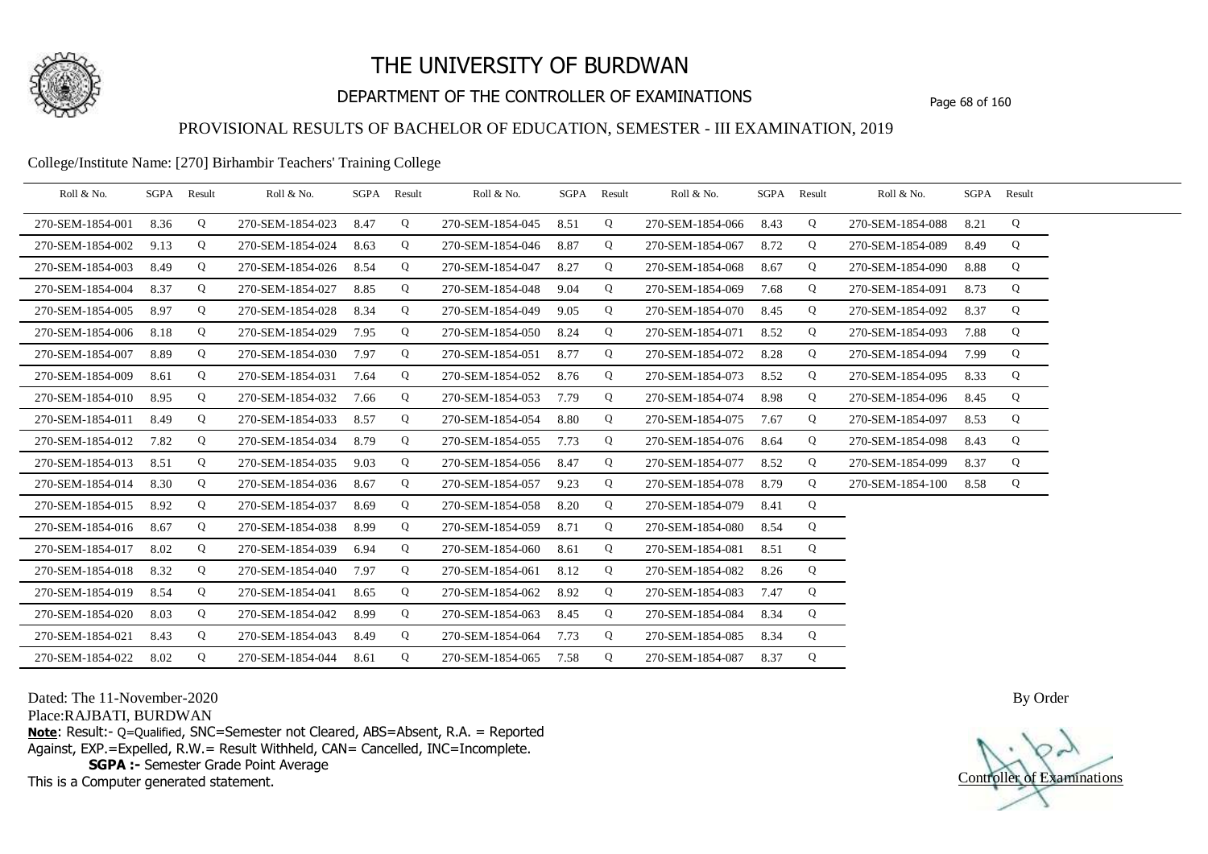

## DEPARTMENT OF THE CONTROLLER OF EXAMINATIONS Page 68 of 160

### PROVISIONAL RESULTS OF BACHELOR OF EDUCATION, SEMESTER - III EXAMINATION, 2019

#### College/Institute Name: [270] Birhambir Teachers' Training College

| Roll & No.       | SGPA | Result | Roll & No.       |      | SGPA Result | Roll & No.       | SGPA | Result | Roll & No.       | SGPA | Result | Roll & No.       |      | SGPA Result |  |
|------------------|------|--------|------------------|------|-------------|------------------|------|--------|------------------|------|--------|------------------|------|-------------|--|
| 270-SEM-1854-001 | 8.36 | Q      | 270-SEM-1854-023 | 8.47 | Q           | 270-SEM-1854-045 | 8.51 | Q      | 270-SEM-1854-066 | 8.43 | Q      | 270-SEM-1854-088 | 8.21 | Q           |  |
| 270-SEM-1854-002 | 9.13 | Q      | 270-SEM-1854-024 | 8.63 | Q           | 270-SEM-1854-046 | 8.87 | Q      | 270-SEM-1854-067 | 8.72 | Q      | 270-SEM-1854-089 | 8.49 | Q           |  |
| 270-SEM-1854-003 | 8.49 | Q      | 270-SEM-1854-026 | 8.54 | Q           | 270-SEM-1854-047 | 8.27 | Q      | 270-SEM-1854-068 | 8.67 | Q      | 270-SEM-1854-090 | 8.88 | Q           |  |
| 270-SEM-1854-004 | 8.37 | Q      | 270-SEM-1854-027 | 8.85 | Q           | 270-SEM-1854-048 | 9.04 | Q      | 270-SEM-1854-069 | 7.68 | Q      | 270-SEM-1854-091 | 8.73 | Q           |  |
| 270-SEM-1854-005 | 8.97 | Q      | 270-SEM-1854-028 | 8.34 | Q           | 270-SEM-1854-049 | 9.05 | Q      | 270-SEM-1854-070 | 8.45 | Q      | 270-SEM-1854-092 | 8.37 | Q           |  |
| 270-SEM-1854-006 | 8.18 | Q      | 270-SEM-1854-029 | 7.95 | Q           | 270-SEM-1854-050 | 8.24 | Q      | 270-SEM-1854-071 | 8.52 | Q      | 270-SEM-1854-093 | 7.88 | Q           |  |
| 270-SEM-1854-007 | 8.89 | Q      | 270-SEM-1854-030 | 7.97 | Q           | 270-SEM-1854-051 | 8.77 | Q      | 270-SEM-1854-072 | 8.28 | Q      | 270-SEM-1854-094 | 7.99 | Q           |  |
| 270-SEM-1854-009 | 8.61 | Q      | 270-SEM-1854-031 | 7.64 | Q           | 270-SEM-1854-052 | 8.76 | Q      | 270-SEM-1854-073 | 8.52 | Q      | 270-SEM-1854-095 | 8.33 | Q           |  |
| 270-SEM-1854-010 | 8.95 | Q      | 270-SEM-1854-032 | 7.66 | Q           | 270-SEM-1854-053 | 7.79 | Q      | 270-SEM-1854-074 | 8.98 | Q      | 270-SEM-1854-096 | 8.45 | Q           |  |
| 270-SEM-1854-011 | 8.49 | Q      | 270-SEM-1854-033 | 8.57 | Q           | 270-SEM-1854-054 | 8.80 | Q      | 270-SEM-1854-075 | 7.67 | Q      | 270-SEM-1854-097 | 8.53 | Q           |  |
| 270-SEM-1854-012 | 7.82 | Q      | 270-SEM-1854-034 | 8.79 | Q           | 270-SEM-1854-055 | 7.73 | Q      | 270-SEM-1854-076 | 8.64 | Q      | 270-SEM-1854-098 | 8.43 | Q           |  |
| 270-SEM-1854-013 | 8.51 | Q      | 270-SEM-1854-035 | 9.03 | Q           | 270-SEM-1854-056 | 8.47 | Q      | 270-SEM-1854-077 | 8.52 | Q      | 270-SEM-1854-099 | 8.37 | Q           |  |
| 270-SEM-1854-014 | 8.30 | Q      | 270-SEM-1854-036 | 8.67 | Q           | 270-SEM-1854-057 | 9.23 | Q      | 270-SEM-1854-078 | 8.79 | Q      | 270-SEM-1854-100 | 8.58 | Q           |  |
| 270-SEM-1854-015 | 8.92 | Q      | 270-SEM-1854-037 | 8.69 | Q           | 270-SEM-1854-058 | 8.20 | Q      | 270-SEM-1854-079 | 8.41 | Q      |                  |      |             |  |
| 270-SEM-1854-016 | 8.67 | Q      | 270-SEM-1854-038 | 8.99 | Q           | 270-SEM-1854-059 | 8.71 | Q      | 270-SEM-1854-080 | 8.54 | Q      |                  |      |             |  |
| 270-SEM-1854-017 | 8.02 | Q      | 270-SEM-1854-039 | 6.94 | Q           | 270-SEM-1854-060 | 8.61 | Q      | 270-SEM-1854-081 | 8.51 | Q      |                  |      |             |  |
| 270-SEM-1854-018 | 8.32 | Q      | 270-SEM-1854-040 | 7.97 | Q           | 270-SEM-1854-061 | 8.12 | Q      | 270-SEM-1854-082 | 8.26 | Q      |                  |      |             |  |
| 270-SEM-1854-019 | 8.54 | Q      | 270-SEM-1854-041 | 8.65 | Q           | 270-SEM-1854-062 | 8.92 | Q      | 270-SEM-1854-083 | 7.47 | Q      |                  |      |             |  |
| 270-SEM-1854-020 | 8.03 | Q      | 270-SEM-1854-042 | 8.99 | Q           | 270-SEM-1854-063 | 8.45 | Q      | 270-SEM-1854-084 | 8.34 | Q      |                  |      |             |  |
| 270-SEM-1854-021 | 8.43 | Q      | 270-SEM-1854-043 | 8.49 | Q           | 270-SEM-1854-064 | 7.73 | Q      | 270-SEM-1854-085 | 8.34 | Q      |                  |      |             |  |
| 270-SEM-1854-022 | 8.02 | Q      | 270-SEM-1854-044 | 8.61 | Q           | 270-SEM-1854-065 | 7.58 | Q      | 270-SEM-1854-087 | 8.37 | Q      |                  |      |             |  |

Dated: The 11-November-2020

Place:RAJBATI, BURDWAN

**Note**: Result:- Q=Qualified, SNC=Semester not Cleared, ABS=Absent, R.A. = Reported Against, EXP.=Expelled, R.W.= Result Withheld, CAN= Cancelled, INC=Incomplete. **SGPA :-** Semester Grade Point Average

This is a Computer generated statement.

Controller of Examinations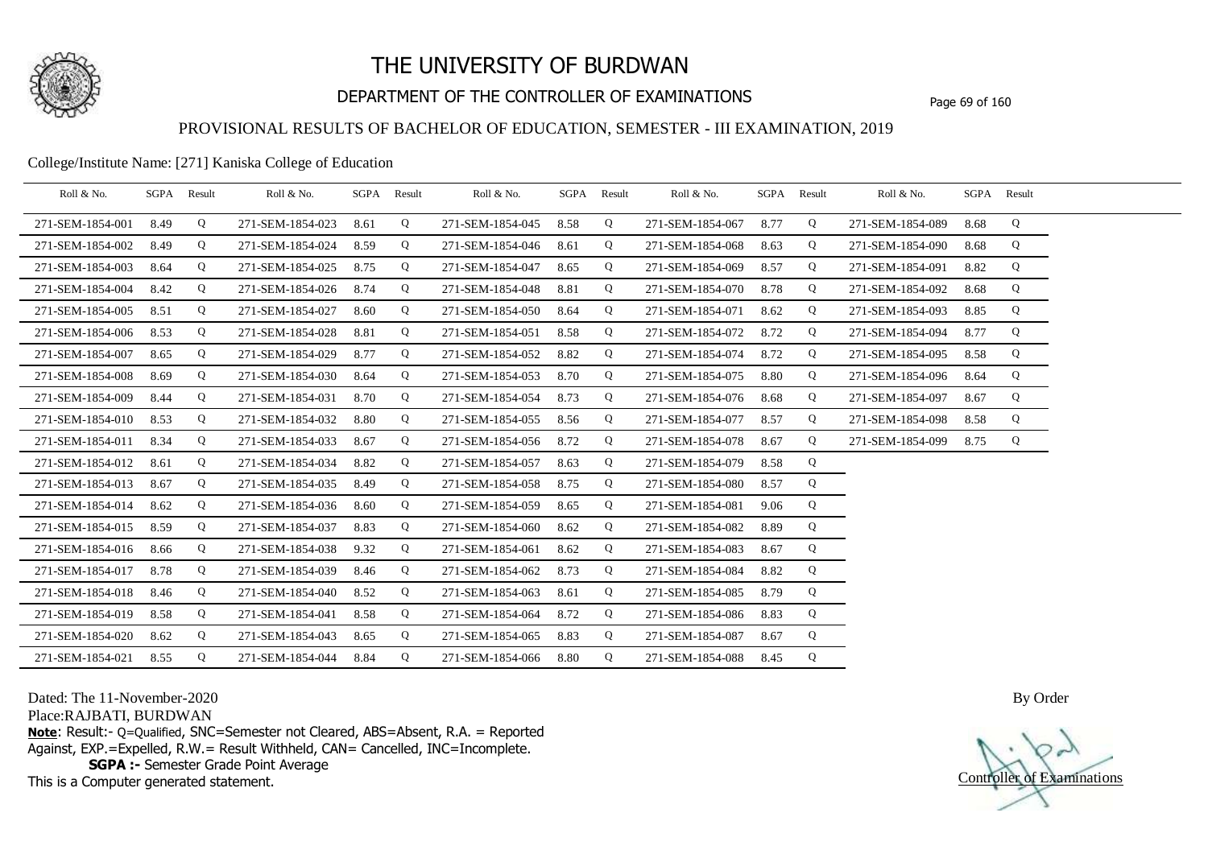

## DEPARTMENT OF THE CONTROLLER OF EXAMINATIONS Page 69 of 160

### PROVISIONAL RESULTS OF BACHELOR OF EDUCATION, SEMESTER - III EXAMINATION, 2019

#### College/Institute Name: [271] Kaniska College of Education

| Roll & No.       | SGPA | Result | Roll & No.       | SGPA Result |   | Roll & No.       |      | SGPA Result | Roll & No.       |      | SGPA Result | Roll & No.       |      | SGPA Result |  |
|------------------|------|--------|------------------|-------------|---|------------------|------|-------------|------------------|------|-------------|------------------|------|-------------|--|
| 271-SEM-1854-001 | 8.49 | Q      | 271-SEM-1854-023 | 8.61        | Q | 271-SEM-1854-045 | 8.58 | Q           | 271-SEM-1854-067 | 8.77 | Q           | 271-SEM-1854-089 | 8.68 | Q           |  |
| 271-SEM-1854-002 | 8.49 | Q      | 271-SEM-1854-024 | 8.59        | Q | 271-SEM-1854-046 | 8.61 | Q           | 271-SEM-1854-068 | 8.63 | Q           | 271-SEM-1854-090 | 8.68 | Q           |  |
| 271-SEM-1854-003 | 8.64 | Q      | 271-SEM-1854-025 | 8.75        | Q | 271-SEM-1854-047 | 8.65 | Q           | 271-SEM-1854-069 | 8.57 | Q           | 271-SEM-1854-091 | 8.82 | Q           |  |
| 271-SEM-1854-004 | 8.42 | Q      | 271-SEM-1854-026 | 8.74        | Q | 271-SEM-1854-048 | 8.81 | Q           | 271-SEM-1854-070 | 8.78 | Q           | 271-SEM-1854-092 | 8.68 | Q           |  |
| 271-SEM-1854-005 | 8.51 | Q      | 271-SEM-1854-027 | 8.60        | Q | 271-SEM-1854-050 | 8.64 | Q           | 271-SEM-1854-071 | 8.62 | Q           | 271-SEM-1854-093 | 8.85 | Q           |  |
| 271-SEM-1854-006 | 8.53 | Q      | 271-SEM-1854-028 | 8.81        | Q | 271-SEM-1854-051 | 8.58 | Q           | 271-SEM-1854-072 | 8.72 | Q           | 271-SEM-1854-094 | 8.77 | Q           |  |
| 271-SEM-1854-007 | 8.65 | Q      | 271-SEM-1854-029 | 8.77        | Q | 271-SEM-1854-052 | 8.82 | Q           | 271-SEM-1854-074 | 8.72 | Q           | 271-SEM-1854-095 | 8.58 | Q           |  |
| 271-SEM-1854-008 | 8.69 | Q      | 271-SEM-1854-030 | 8.64        | Q | 271-SEM-1854-053 | 8.70 | Q           | 271-SEM-1854-075 | 8.80 | Q           | 271-SEM-1854-096 | 8.64 | Q           |  |
| 271-SEM-1854-009 | 8.44 | Q      | 271-SEM-1854-031 | 8.70        | Q | 271-SEM-1854-054 | 8.73 | Q           | 271-SEM-1854-076 | 8.68 | Q           | 271-SEM-1854-097 | 8.67 | Q           |  |
| 271-SEM-1854-010 | 8.53 | Q      | 271-SEM-1854-032 | 8.80        | Q | 271-SEM-1854-055 | 8.56 | Q           | 271-SEM-1854-077 | 8.57 | Q           | 271-SEM-1854-098 | 8.58 | Q           |  |
| 271-SEM-1854-011 | 8.34 | Q      | 271-SEM-1854-033 | 8.67        | Q | 271-SEM-1854-056 | 8.72 | Q           | 271-SEM-1854-078 | 8.67 | Q           | 271-SEM-1854-099 | 8.75 | Q           |  |
| 271-SEM-1854-012 | 8.61 | Q      | 271-SEM-1854-034 | 8.82        | Q | 271-SEM-1854-057 | 8.63 | Q           | 271-SEM-1854-079 | 8.58 | Q           |                  |      |             |  |
| 271-SEM-1854-013 | 8.67 | Q      | 271-SEM-1854-035 | 8.49        | Q | 271-SEM-1854-058 | 8.75 | Q           | 271-SEM-1854-080 | 8.57 | Q           |                  |      |             |  |
| 271-SEM-1854-014 | 8.62 | Q      | 271-SEM-1854-036 | 8.60        | Q | 271-SEM-1854-059 | 8.65 | Q           | 271-SEM-1854-081 | 9.06 | Q           |                  |      |             |  |
| 271-SEM-1854-015 | 8.59 | Q      | 271-SEM-1854-037 | 8.83        | Q | 271-SEM-1854-060 | 8.62 | Q           | 271-SEM-1854-082 | 8.89 | Q           |                  |      |             |  |
| 271-SEM-1854-016 | 8.66 | Q      | 271-SEM-1854-038 | 9.32        | Q | 271-SEM-1854-061 | 8.62 | Q           | 271-SEM-1854-083 | 8.67 | Q           |                  |      |             |  |
| 271-SEM-1854-017 | 8.78 | Q      | 271-SEM-1854-039 | 8.46        | Q | 271-SEM-1854-062 | 8.73 | Q           | 271-SEM-1854-084 | 8.82 | Q           |                  |      |             |  |
| 271-SEM-1854-018 | 8.46 | Q      | 271-SEM-1854-040 | 8.52        | Q | 271-SEM-1854-063 | 8.61 | Q           | 271-SEM-1854-085 | 8.79 | Q           |                  |      |             |  |
| 271-SEM-1854-019 | 8.58 | Q      | 271-SEM-1854-041 | 8.58        | Q | 271-SEM-1854-064 | 8.72 | Q           | 271-SEM-1854-086 | 8.83 | Q           |                  |      |             |  |
| 271-SEM-1854-020 | 8.62 | Q      | 271-SEM-1854-043 | 8.65        | Q | 271-SEM-1854-065 | 8.83 | Q           | 271-SEM-1854-087 | 8.67 | Q           |                  |      |             |  |
| 271-SEM-1854-021 | 8.55 | Q      | 271-SEM-1854-044 | 8.84        | Q | 271-SEM-1854-066 | 8.80 | Q           | 271-SEM-1854-088 | 8.45 | Q           |                  |      |             |  |

Dated: The 11-November-2020

Place:RAJBATI, BURDWAN

**Note**: Result:- Q=Qualified, SNC=Semester not Cleared, ABS=Absent, R.A. = Reported Against, EXP.=Expelled, R.W.= Result Withheld, CAN= Cancelled, INC=Incomplete. **SGPA :-** Semester Grade Point Average

This is a Computer generated statement.

Controller of Examinations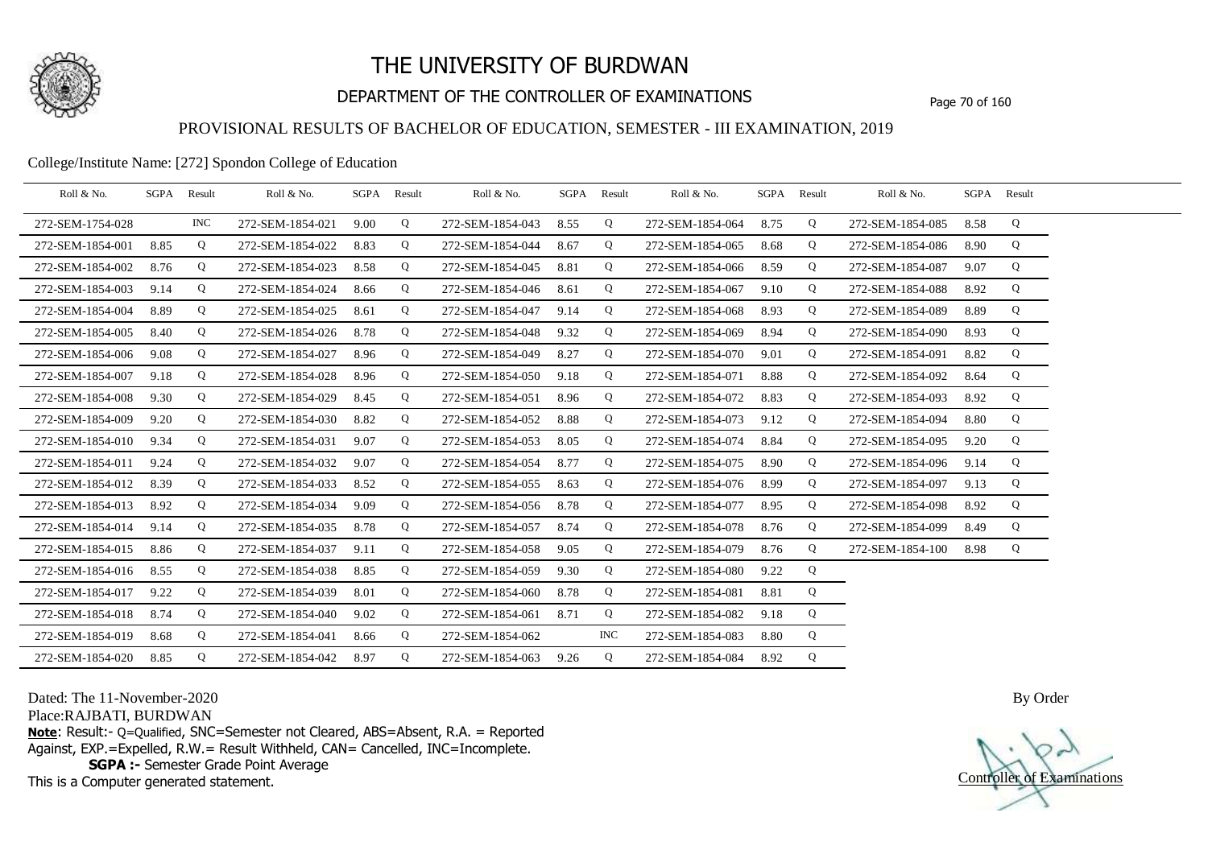

## DEPARTMENT OF THE CONTROLLER OF EXAMINATIONS Page 70 of 160

### PROVISIONAL RESULTS OF BACHELOR OF EDUCATION, SEMESTER - III EXAMINATION, 2019

#### College/Institute Name: [272] Spondon College of Education

| Roll & No.       |      | SGPA Result | Roll & No.       |      | SGPA Result | Roll & No.       |      | SGPA Result | Roll & No.       |      | SGPA Result | Roll & No.       | SGPA Result |   |  |
|------------------|------|-------------|------------------|------|-------------|------------------|------|-------------|------------------|------|-------------|------------------|-------------|---|--|
| 272-SEM-1754-028 |      | <b>INC</b>  | 272-SEM-1854-021 | 9.00 | Q           | 272-SEM-1854-043 | 8.55 | Q           | 272-SEM-1854-064 | 8.75 | Q           | 272-SEM-1854-085 | 8.58        | Q |  |
| 272-SEM-1854-001 | 8.85 | Q           | 272-SEM-1854-022 | 8.83 | Q           | 272-SEM-1854-044 | 8.67 | Q           | 272-SEM-1854-065 | 8.68 | Q           | 272-SEM-1854-086 | 8.90        | Q |  |
| 272-SEM-1854-002 | 8.76 | Q           | 272-SEM-1854-023 | 8.58 | Q           | 272-SEM-1854-045 | 8.81 | Q           | 272-SEM-1854-066 | 8.59 | Q           | 272-SEM-1854-087 | 9.07        | Q |  |
| 272-SEM-1854-003 | 9.14 | Q           | 272-SEM-1854-024 | 8.66 | Q           | 272-SEM-1854-046 | 8.61 | Q           | 272-SEM-1854-067 | 9.10 | Q           | 272-SEM-1854-088 | 8.92        | Q |  |
| 272-SEM-1854-004 | 8.89 | Q           | 272-SEM-1854-025 | 8.61 | Q           | 272-SEM-1854-047 | 9.14 | Q           | 272-SEM-1854-068 | 8.93 | Q           | 272-SEM-1854-089 | 8.89        | Q |  |
| 272-SEM-1854-005 | 8.40 | Q           | 272-SEM-1854-026 | 8.78 | Q           | 272-SEM-1854-048 | 9.32 | Q           | 272-SEM-1854-069 | 8.94 | Q           | 272-SEM-1854-090 | 8.93        | Q |  |
| 272-SEM-1854-006 | 9.08 | Q           | 272-SEM-1854-027 | 8.96 | Q           | 272-SEM-1854-049 | 8.27 | Q           | 272-SEM-1854-070 | 9.01 | Q           | 272-SEM-1854-091 | 8.82        | Q |  |
| 272-SEM-1854-007 | 9.18 | Q           | 272-SEM-1854-028 | 8.96 | Q           | 272-SEM-1854-050 | 9.18 | Q           | 272-SEM-1854-071 | 8.88 | Q           | 272-SEM-1854-092 | 8.64        | Q |  |
| 272-SEM-1854-008 | 9.30 | Q           | 272-SEM-1854-029 | 8.45 | Q           | 272-SEM-1854-051 | 8.96 | Q           | 272-SEM-1854-072 | 8.83 | Q           | 272-SEM-1854-093 | 8.92        | Q |  |
| 272-SEM-1854-009 | 9.20 | Q           | 272-SEM-1854-030 | 8.82 | Q           | 272-SEM-1854-052 | 8.88 | Q           | 272-SEM-1854-073 | 9.12 | Q           | 272-SEM-1854-094 | 8.80        | Q |  |
| 272-SEM-1854-010 | 9.34 | Q           | 272-SEM-1854-031 | 9.07 | Q           | 272-SEM-1854-053 | 8.05 | Q           | 272-SEM-1854-074 | 8.84 | Q           | 272-SEM-1854-095 | 9.20        | Q |  |
| 272-SEM-1854-011 | 9.24 | Q           | 272-SEM-1854-032 | 9.07 | Q           | 272-SEM-1854-054 | 8.77 | Q           | 272-SEM-1854-075 | 8.90 | Q           | 272-SEM-1854-096 | 9.14        | Q |  |
| 272-SEM-1854-012 | 8.39 | Q           | 272-SEM-1854-033 | 8.52 | Q           | 272-SEM-1854-055 | 8.63 | $\mathbf Q$ | 272-SEM-1854-076 | 8.99 | Q           | 272-SEM-1854-097 | 9.13        | Q |  |
| 272-SEM-1854-013 | 8.92 | Q           | 272-SEM-1854-034 | 9.09 | Q           | 272-SEM-1854-056 | 8.78 | Q           | 272-SEM-1854-077 | 8.95 | Q           | 272-SEM-1854-098 | 8.92        | Q |  |
| 272-SEM-1854-014 | 9.14 | Q           | 272-SEM-1854-035 | 8.78 | Q           | 272-SEM-1854-057 | 8.74 | Q           | 272-SEM-1854-078 | 8.76 | Q           | 272-SEM-1854-099 | 8.49        | Q |  |
| 272-SEM-1854-015 | 8.86 | Q           | 272-SEM-1854-037 | 9.11 | Q           | 272-SEM-1854-058 | 9.05 | Q           | 272-SEM-1854-079 | 8.76 | Q           | 272-SEM-1854-100 | 8.98        | Q |  |
| 272-SEM-1854-016 | 8.55 | Q           | 272-SEM-1854-038 | 8.85 | Q           | 272-SEM-1854-059 | 9.30 | Q           | 272-SEM-1854-080 | 9.22 | Q           |                  |             |   |  |
| 272-SEM-1854-017 | 9.22 | Q           | 272-SEM-1854-039 | 8.01 | Q           | 272-SEM-1854-060 | 8.78 | Q           | 272-SEM-1854-081 | 8.81 | Q           |                  |             |   |  |
| 272-SEM-1854-018 | 8.74 | Q           | 272-SEM-1854-040 | 9.02 | Q           | 272-SEM-1854-061 | 8.71 | Q           | 272-SEM-1854-082 | 9.18 | Q           |                  |             |   |  |
| 272-SEM-1854-019 | 8.68 | Q           | 272-SEM-1854-041 | 8.66 | Q           | 272-SEM-1854-062 |      | INC.        | 272-SEM-1854-083 | 8.80 | Q           |                  |             |   |  |
| 272-SEM-1854-020 | 8.85 | Q           | 272-SEM-1854-042 | 8.97 | Q           | 272-SEM-1854-063 | 9.26 | Q           | 272-SEM-1854-084 | 8.92 | Q           |                  |             |   |  |

Dated: The 11-November-2020

Place:RAJBATI, BURDWAN

**Note**: Result:- Q=Qualified, SNC=Semester not Cleared, ABS=Absent, R.A. = Reported Against, EXP.=Expelled, R.W.= Result Withheld, CAN= Cancelled, INC=Incomplete. **SGPA :-** Semester Grade Point Average

This is a Computer generated statement.

Controller of Examinations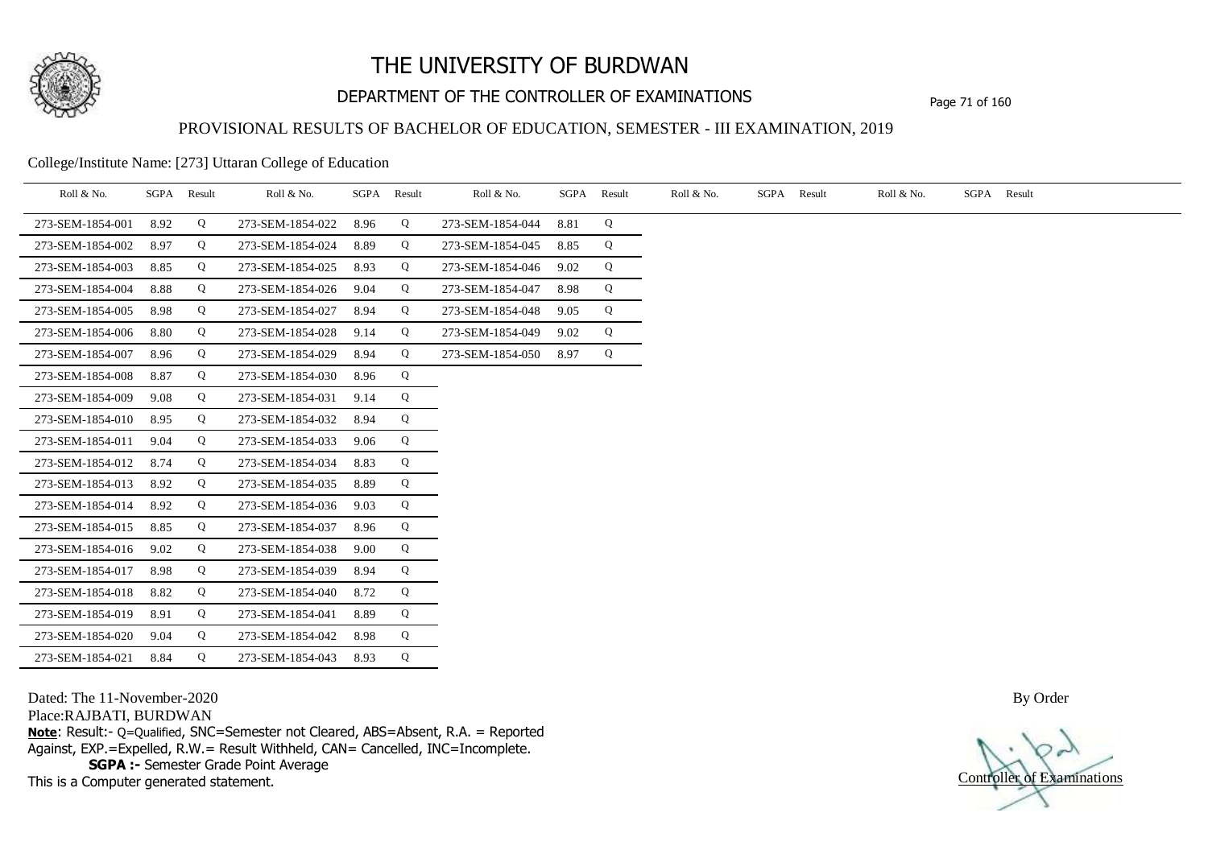

## DEPARTMENT OF THE CONTROLLER OF EXAMINATIONS Page 71 of 160

### PROVISIONAL RESULTS OF BACHELOR OF EDUCATION, SEMESTER - III EXAMINATION, 2019

College/Institute Name: [273] Uttaran College of Education

| Roll & No.       |      | SGPA Result | Roll & No.       |      | SGPA Result | Roll & No.       |      | SGPA Result | Roll & No. | SGPA Result | Roll & No. | SGPA Result |
|------------------|------|-------------|------------------|------|-------------|------------------|------|-------------|------------|-------------|------------|-------------|
| 273-SEM-1854-001 | 8.92 | Q           | 273-SEM-1854-022 | 8.96 | Q           | 273-SEM-1854-044 | 8.81 | Q           |            |             |            |             |
| 273-SEM-1854-002 | 8.97 | Q           | 273-SEM-1854-024 | 8.89 | Q           | 273-SEM-1854-045 | 8.85 | Q           |            |             |            |             |
| 273-SEM-1854-003 | 8.85 | Q           | 273-SEM-1854-025 | 8.93 | Q           | 273-SEM-1854-046 | 9.02 | Q           |            |             |            |             |
| 273-SEM-1854-004 | 8.88 | Q           | 273-SEM-1854-026 | 9.04 | Q           | 273-SEM-1854-047 | 8.98 | Q           |            |             |            |             |
| 273-SEM-1854-005 | 8.98 | Q           | 273-SEM-1854-027 | 8.94 | Q           | 273-SEM-1854-048 | 9.05 | Q           |            |             |            |             |
| 273-SEM-1854-006 | 8.80 | Q           | 273-SEM-1854-028 | 9.14 | Q           | 273-SEM-1854-049 | 9.02 | Q           |            |             |            |             |
| 273-SEM-1854-007 | 8.96 | Q           | 273-SEM-1854-029 | 8.94 | Q           | 273-SEM-1854-050 | 8.97 | Q           |            |             |            |             |
| 273-SEM-1854-008 | 8.87 | Q           | 273-SEM-1854-030 | 8.96 | Q           |                  |      |             |            |             |            |             |
| 273-SEM-1854-009 | 9.08 | Q           | 273-SEM-1854-031 | 9.14 | Q           |                  |      |             |            |             |            |             |
| 273-SEM-1854-010 | 8.95 | Q           | 273-SEM-1854-032 | 8.94 | Q           |                  |      |             |            |             |            |             |
| 273-SEM-1854-011 | 9.04 | Q           | 273-SEM-1854-033 | 9.06 | Q           |                  |      |             |            |             |            |             |
| 273-SEM-1854-012 | 8.74 | Q           | 273-SEM-1854-034 | 8.83 | Q           |                  |      |             |            |             |            |             |
| 273-SEM-1854-013 | 8.92 | Q           | 273-SEM-1854-035 | 8.89 | Q           |                  |      |             |            |             |            |             |
| 273-SEM-1854-014 | 8.92 | Q           | 273-SEM-1854-036 | 9.03 | Q           |                  |      |             |            |             |            |             |
| 273-SEM-1854-015 | 8.85 | Q           | 273-SEM-1854-037 | 8.96 | Q           |                  |      |             |            |             |            |             |
| 273-SEM-1854-016 | 9.02 | Q           | 273-SEM-1854-038 | 9.00 | Q           |                  |      |             |            |             |            |             |
| 273-SEM-1854-017 | 8.98 | Q           | 273-SEM-1854-039 | 8.94 | Q           |                  |      |             |            |             |            |             |
| 273-SEM-1854-018 | 8.82 | Q           | 273-SEM-1854-040 | 8.72 | Q           |                  |      |             |            |             |            |             |
| 273-SEM-1854-019 | 8.91 | Q           | 273-SEM-1854-041 | 8.89 | Q           |                  |      |             |            |             |            |             |
| 273-SEM-1854-020 | 9.04 | Q           | 273-SEM-1854-042 | 8.98 | Q           |                  |      |             |            |             |            |             |
| 273-SEM-1854-021 | 8.84 | Q           | 273-SEM-1854-043 | 8.93 | Q           |                  |      |             |            |             |            |             |

Dated: The 11-November-2020

Place:RAJBATI, BURDWAN

**Note**: Result:- Q=Qualified, SNC=Semester not Cleared, ABS=Absent, R.A. = Reported Against, EXP.=Expelled, R.W.= Result Withheld, CAN= Cancelled, INC=Incomplete. **SGPA :-** Semester Grade Point Average

This is a Computer generated statement.

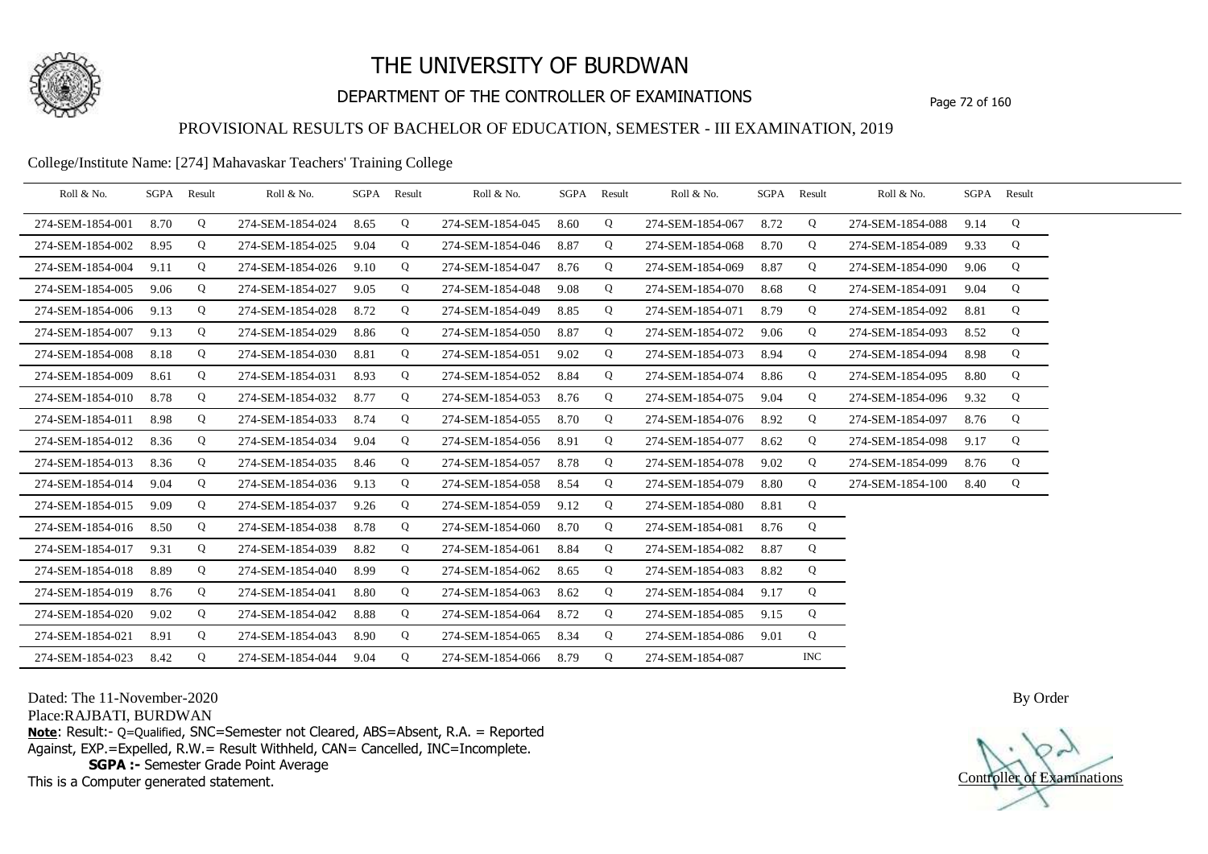

## DEPARTMENT OF THE CONTROLLER OF EXAMINATIONS Page 72 of 160

### PROVISIONAL RESULTS OF BACHELOR OF EDUCATION, SEMESTER - III EXAMINATION, 2019

College/Institute Name: [274] Mahavaskar Teachers' Training College

| Roll & No.       | SGPA Result |   | Roll & No.       |      | SGPA Result | Roll & No.       | SGPA Result |             | Roll & No.       |      | SGPA Result | Roll & No.       | SGPA Result |   |  |
|------------------|-------------|---|------------------|------|-------------|------------------|-------------|-------------|------------------|------|-------------|------------------|-------------|---|--|
| 274-SEM-1854-001 | 8.70        | Q | 274-SEM-1854-024 | 8.65 | Q           | 274-SEM-1854-045 | 8.60        | Q           | 274-SEM-1854-067 | 8.72 | Q           | 274-SEM-1854-088 | 9.14        | Q |  |
| 274-SEM-1854-002 | 8.95        | Q | 274-SEM-1854-025 | 9.04 | Q           | 274-SEM-1854-046 | 8.87        | Q           | 274-SEM-1854-068 | 8.70 | Q           | 274-SEM-1854-089 | 9.33        | Q |  |
| 274-SEM-1854-004 | 9.11        | Q | 274-SEM-1854-026 | 9.10 | Q           | 274-SEM-1854-047 | 8.76        | Q           | 274-SEM-1854-069 | 8.87 | Q           | 274-SEM-1854-090 | 9.06        | Q |  |
| 274-SEM-1854-005 | 9.06        | Q | 274-SEM-1854-027 | 9.05 | Q           | 274-SEM-1854-048 | 9.08        | Q           | 274-SEM-1854-070 | 8.68 | Q           | 274-SEM-1854-091 | 9.04        | Q |  |
| 274-SEM-1854-006 | 9.13        | Q | 274-SEM-1854-028 | 8.72 | Q           | 274-SEM-1854-049 | 8.85        | Q           | 274-SEM-1854-071 | 8.79 | Q           | 274-SEM-1854-092 | 8.81        | Q |  |
| 274-SEM-1854-007 | 9.13        | Q | 274-SEM-1854-029 | 8.86 | Q           | 274-SEM-1854-050 | 8.87        | Q           | 274-SEM-1854-072 | 9.06 | Q           | 274-SEM-1854-093 | 8.52        | Q |  |
| 274-SEM-1854-008 | 8.18        | Q | 274-SEM-1854-030 | 8.81 | Q           | 274-SEM-1854-051 | 9.02        | Q           | 274-SEM-1854-073 | 8.94 | Q           | 274-SEM-1854-094 | 8.98        | Q |  |
| 274-SEM-1854-009 | 8.61        | Q | 274-SEM-1854-031 | 8.93 | Q           | 274-SEM-1854-052 | 8.84        | $\mathbf Q$ | 274-SEM-1854-074 | 8.86 | Q           | 274-SEM-1854-095 | 8.80        | Q |  |
| 274-SEM-1854-010 | 8.78        | Q | 274-SEM-1854-032 | 8.77 | Q           | 274-SEM-1854-053 | 8.76        | Q           | 274-SEM-1854-075 | 9.04 | Q           | 274-SEM-1854-096 | 9.32        | Q |  |
| 274-SEM-1854-011 | 8.98        | Q | 274-SEM-1854-033 | 8.74 | Q           | 274-SEM-1854-055 | 8.70        | Q           | 274-SEM-1854-076 | 8.92 | Q           | 274-SEM-1854-097 | 8.76        | Q |  |
| 274-SEM-1854-012 | 8.36        | Q | 274-SEM-1854-034 | 9.04 | Q           | 274-SEM-1854-056 | 8.91        | Q           | 274-SEM-1854-077 | 8.62 | Q           | 274-SEM-1854-098 | 9.17        | Q |  |
| 274-SEM-1854-013 | 8.36        | Q | 274-SEM-1854-035 | 8.46 | Q           | 274-SEM-1854-057 | 8.78        | Q           | 274-SEM-1854-078 | 9.02 | Q           | 274-SEM-1854-099 | 8.76        | Q |  |
| 274-SEM-1854-014 | 9.04        | Q | 274-SEM-1854-036 | 9.13 | Q           | 274-SEM-1854-058 | 8.54        | Q           | 274-SEM-1854-079 | 8.80 | Q           | 274-SEM-1854-100 | 8.40        | Q |  |
| 274-SEM-1854-015 | 9.09        | Q | 274-SEM-1854-037 | 9.26 | Q           | 274-SEM-1854-059 | 9.12        | Q           | 274-SEM-1854-080 | 8.81 | Q           |                  |             |   |  |
| 274-SEM-1854-016 | 8.50        | Q | 274-SEM-1854-038 | 8.78 | Q           | 274-SEM-1854-060 | 8.70        | Q           | 274-SEM-1854-081 | 8.76 | Q           |                  |             |   |  |
| 274-SEM-1854-017 | 9.31        | Q | 274-SEM-1854-039 | 8.82 | Q           | 274-SEM-1854-061 | 8.84        | Q           | 274-SEM-1854-082 | 8.87 | Q           |                  |             |   |  |
| 274-SEM-1854-018 | 8.89        | Q | 274-SEM-1854-040 | 8.99 | Q           | 274-SEM-1854-062 | 8.65        | Q           | 274-SEM-1854-083 | 8.82 | Q           |                  |             |   |  |
| 274-SEM-1854-019 | 8.76        | Q | 274-SEM-1854-041 | 8.80 | Q           | 274-SEM-1854-063 | 8.62        | Q           | 274-SEM-1854-084 | 9.17 | Q           |                  |             |   |  |
| 274-SEM-1854-020 | 9.02        | Q | 274-SEM-1854-042 | 8.88 | Q           | 274-SEM-1854-064 | 8.72        | Q           | 274-SEM-1854-085 | 9.15 | Q           |                  |             |   |  |
| 274-SEM-1854-021 | 8.91        | Q | 274-SEM-1854-043 | 8.90 | Q           | 274-SEM-1854-065 | 8.34        | Q           | 274-SEM-1854-086 | 9.01 | Q           |                  |             |   |  |
| 274-SEM-1854-023 | 8.42        | Q | 274-SEM-1854-044 | 9.04 | Q           | 274-SEM-1854-066 | 8.79        | Q           | 274-SEM-1854-087 |      | <b>INC</b>  |                  |             |   |  |

Dated: The 11-November-2020

Place:RAJBATI, BURDWAN

**Note**: Result:- Q=Qualified, SNC=Semester not Cleared, ABS=Absent, R.A. = Reported Against, EXP.=Expelled, R.W.= Result Withheld, CAN= Cancelled, INC=Incomplete. **SGPA :-** Semester Grade Point Average

This is a Computer generated statement.

Controller of Examinations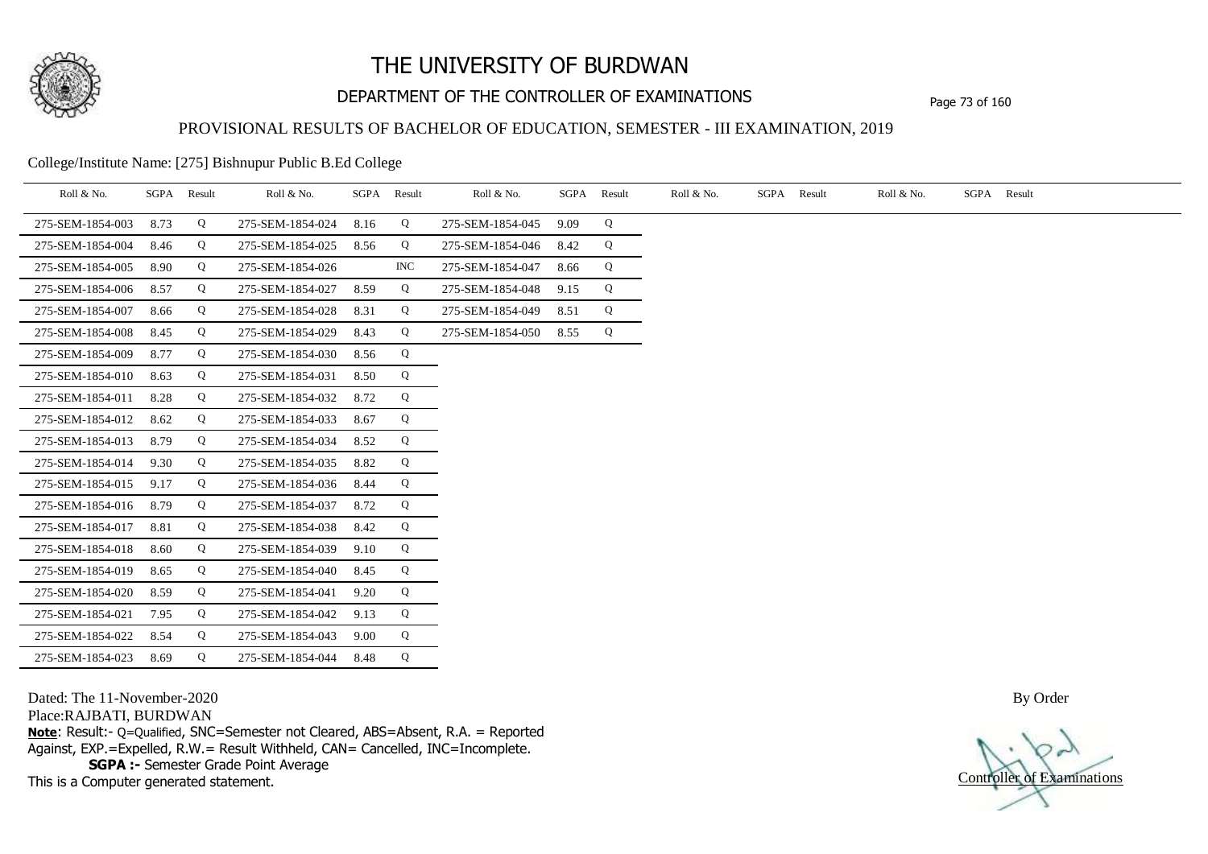

## DEPARTMENT OF THE CONTROLLER OF EXAMINATIONS Page 73 of 160

### PROVISIONAL RESULTS OF BACHELOR OF EDUCATION, SEMESTER - III EXAMINATION, 2019

College/Institute Name: [275] Bishnupur Public B.Ed College

| Roll & No.       |      | SGPA Result | Roll & No.       |      | SGPA Result | Roll & No.       | SGPA | Result | Roll & No. | SGPA Result | Roll & No. | SGPA Result |
|------------------|------|-------------|------------------|------|-------------|------------------|------|--------|------------|-------------|------------|-------------|
| 275-SEM-1854-003 | 8.73 | Q           | 275-SEM-1854-024 | 8.16 | Q           | 275-SEM-1854-045 | 9.09 | Q      |            |             |            |             |
| 275-SEM-1854-004 | 8.46 | Q           | 275-SEM-1854-025 | 8.56 | Q           | 275-SEM-1854-046 | 8.42 | Q      |            |             |            |             |
| 275-SEM-1854-005 | 8.90 | Q           | 275-SEM-1854-026 |      | <b>INC</b>  | 275-SEM-1854-047 | 8.66 | Q      |            |             |            |             |
| 275-SEM-1854-006 | 8.57 | Q           | 275-SEM-1854-027 | 8.59 | Q           | 275-SEM-1854-048 | 9.15 | Q      |            |             |            |             |
| 275-SEM-1854-007 | 8.66 | Q           | 275-SEM-1854-028 | 8.31 | Q           | 275-SEM-1854-049 | 8.51 | Q      |            |             |            |             |
| 275-SEM-1854-008 | 8.45 | Q           | 275-SEM-1854-029 | 8.43 | Q           | 275-SEM-1854-050 | 8.55 | Q      |            |             |            |             |
| 275-SEM-1854-009 | 8.77 | Q           | 275-SEM-1854-030 | 8.56 | Q           |                  |      |        |            |             |            |             |
| 275-SEM-1854-010 | 8.63 | Q           | 275-SEM-1854-031 | 8.50 | Q           |                  |      |        |            |             |            |             |
| 275-SEM-1854-011 | 8.28 | Q           | 275-SEM-1854-032 | 8.72 | Q           |                  |      |        |            |             |            |             |
| 275-SEM-1854-012 | 8.62 | Q           | 275-SEM-1854-033 | 8.67 | Q           |                  |      |        |            |             |            |             |
| 275-SEM-1854-013 | 8.79 | Q           | 275-SEM-1854-034 | 8.52 | Q           |                  |      |        |            |             |            |             |
| 275-SEM-1854-014 | 9.30 | Q           | 275-SEM-1854-035 | 8.82 | Q           |                  |      |        |            |             |            |             |
| 275-SEM-1854-015 | 9.17 | Q           | 275-SEM-1854-036 | 8.44 | Q           |                  |      |        |            |             |            |             |
| 275-SEM-1854-016 | 8.79 | Q           | 275-SEM-1854-037 | 8.72 | Q           |                  |      |        |            |             |            |             |
| 275-SEM-1854-017 | 8.81 | Q           | 275-SEM-1854-038 | 8.42 | Q           |                  |      |        |            |             |            |             |
| 275-SEM-1854-018 | 8.60 | Q           | 275-SEM-1854-039 | 9.10 | Q           |                  |      |        |            |             |            |             |
| 275-SEM-1854-019 | 8.65 | Q           | 275-SEM-1854-040 | 8.45 | Q           |                  |      |        |            |             |            |             |
| 275-SEM-1854-020 | 8.59 | Q           | 275-SEM-1854-041 | 9.20 | Q           |                  |      |        |            |             |            |             |
| 275-SEM-1854-021 | 7.95 | Q           | 275-SEM-1854-042 | 9.13 | Q           |                  |      |        |            |             |            |             |
| 275-SEM-1854-022 | 8.54 | Q           | 275-SEM-1854-043 | 9.00 | Q           |                  |      |        |            |             |            |             |
| 275-SEM-1854-023 | 8.69 | Q           | 275-SEM-1854-044 | 8.48 | Q           |                  |      |        |            |             |            |             |

Dated: The 11-November-2020

Place:RAJBATI, BURDWAN

**Note**: Result:- Q=Qualified, SNC=Semester not Cleared, ABS=Absent, R.A. = Reported Against, EXP.=Expelled, R.W.= Result Withheld, CAN= Cancelled, INC=Incomplete. **SGPA :-** Semester Grade Point Average

This is a Computer generated statement.

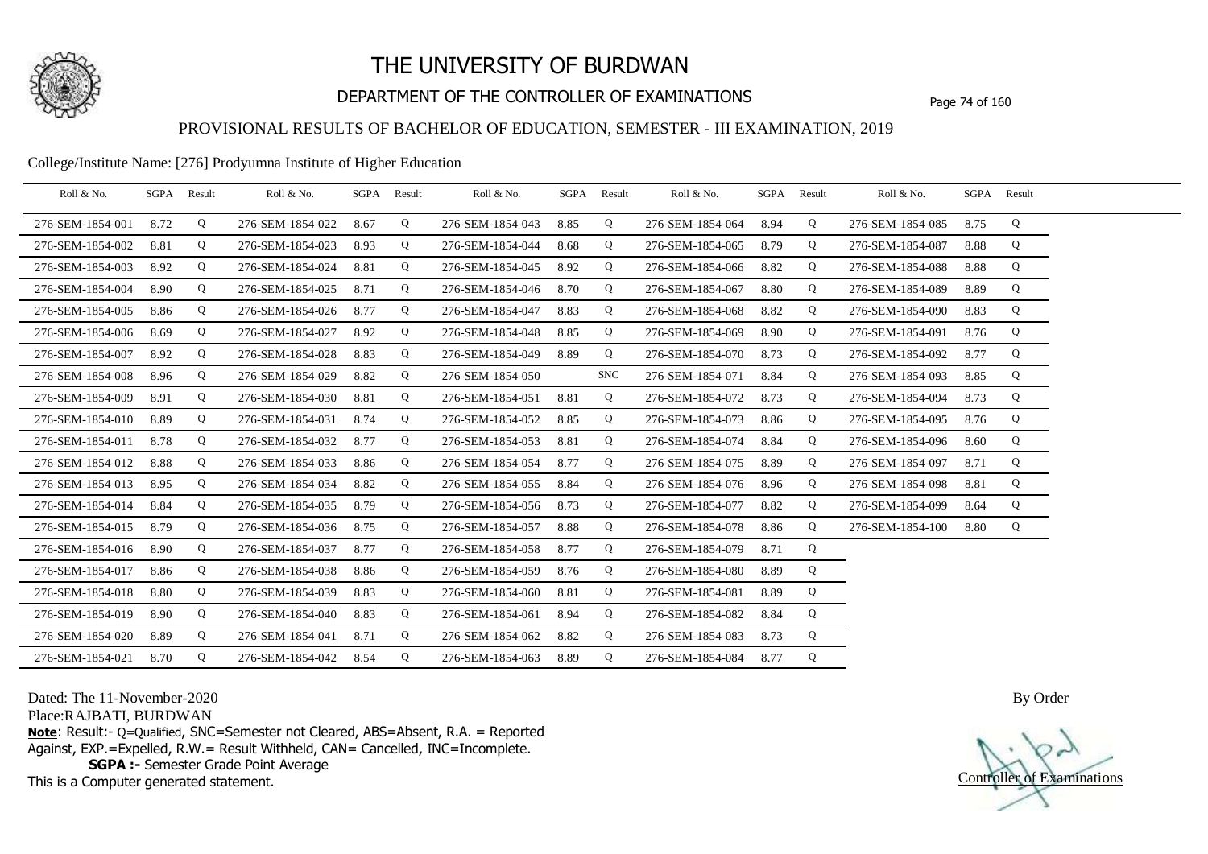

## DEPARTMENT OF THE CONTROLLER OF EXAMINATIONS Page 74 of 160

### PROVISIONAL RESULTS OF BACHELOR OF EDUCATION, SEMESTER - III EXAMINATION, 2019

### College/Institute Name: [276] Prodyumna Institute of Higher Education

| Roll & No.       | SGPA | Result | Roll & No.       | SGPA Result |   | Roll & No.       |      | SGPA Result | Roll & No.       |      | SGPA Result | Roll & No.       |      | SGPA Result |  |
|------------------|------|--------|------------------|-------------|---|------------------|------|-------------|------------------|------|-------------|------------------|------|-------------|--|
| 276-SEM-1854-001 | 8.72 | Q      | 276-SEM-1854-022 | 8.67        | Q | 276-SEM-1854-043 | 8.85 | Q           | 276-SEM-1854-064 | 8.94 | Q           | 276-SEM-1854-085 | 8.75 | Q           |  |
| 276-SEM-1854-002 | 8.81 | Q      | 276-SEM-1854-023 | 8.93        | Q | 276-SEM-1854-044 | 8.68 | Q           | 276-SEM-1854-065 | 8.79 | Q           | 276-SEM-1854-087 | 8.88 | Q           |  |
| 276-SEM-1854-003 | 8.92 | Q      | 276-SEM-1854-024 | 8.81        | Q | 276-SEM-1854-045 | 8.92 | Q           | 276-SEM-1854-066 | 8.82 | Q           | 276-SEM-1854-088 | 8.88 | Q           |  |
| 276-SEM-1854-004 | 8.90 | Q      | 276-SEM-1854-025 | 8.71        | Q | 276-SEM-1854-046 | 8.70 | Q           | 276-SEM-1854-067 | 8.80 | Q           | 276-SEM-1854-089 | 8.89 | Q           |  |
| 276-SEM-1854-005 | 8.86 | Q      | 276-SEM-1854-026 | 8.77        | Q | 276-SEM-1854-047 | 8.83 | Q           | 276-SEM-1854-068 | 8.82 | Q           | 276-SEM-1854-090 | 8.83 | Q           |  |
| 276-SEM-1854-006 | 8.69 | Q      | 276-SEM-1854-027 | 8.92        | Q | 276-SEM-1854-048 | 8.85 | Q           | 276-SEM-1854-069 | 8.90 | Q           | 276-SEM-1854-091 | 8.76 | Q           |  |
| 276-SEM-1854-007 | 8.92 | Q      | 276-SEM-1854-028 | 8.83        | Q | 276-SEM-1854-049 | 8.89 | Q           | 276-SEM-1854-070 | 8.73 | Q           | 276-SEM-1854-092 | 8.77 | Q           |  |
| 276-SEM-1854-008 | 8.96 | Q      | 276-SEM-1854-029 | 8.82        | Q | 276-SEM-1854-050 |      | <b>SNC</b>  | 276-SEM-1854-071 | 8.84 | Q           | 276-SEM-1854-093 | 8.85 | Q           |  |
| 276-SEM-1854-009 | 8.91 | Q      | 276-SEM-1854-030 | 8.81        | Q | 276-SEM-1854-051 | 8.81 | Q           | 276-SEM-1854-072 | 8.73 | Q           | 276-SEM-1854-094 | 8.73 | Q           |  |
| 276-SEM-1854-010 | 8.89 | Q      | 276-SEM-1854-031 | 8.74        | Q | 276-SEM-1854-052 | 8.85 | Q           | 276-SEM-1854-073 | 8.86 | Q           | 276-SEM-1854-095 | 8.76 | Q           |  |
| 276-SEM-1854-011 | 8.78 | Q      | 276-SEM-1854-032 | 8.77        | Q | 276-SEM-1854-053 | 8.81 | Q           | 276-SEM-1854-074 | 8.84 | Q           | 276-SEM-1854-096 | 8.60 | Q           |  |
| 276-SEM-1854-012 | 8.88 | Q      | 276-SEM-1854-033 | 8.86        | Q | 276-SEM-1854-054 | 8.77 | Q           | 276-SEM-1854-075 | 8.89 | Q           | 276-SEM-1854-097 | 8.71 | Q           |  |
| 276-SEM-1854-013 | 8.95 | Q      | 276-SEM-1854-034 | 8.82        | Q | 276-SEM-1854-055 | 8.84 | Q           | 276-SEM-1854-076 | 8.96 | Q           | 276-SEM-1854-098 | 8.81 | Q           |  |
| 276-SEM-1854-014 | 8.84 | Q      | 276-SEM-1854-035 | 8.79        | Q | 276-SEM-1854-056 | 8.73 | Q           | 276-SEM-1854-077 | 8.82 | Q           | 276-SEM-1854-099 | 8.64 | Q           |  |
| 276-SEM-1854-015 | 8.79 | Q      | 276-SEM-1854-036 | 8.75        | Q | 276-SEM-1854-057 | 8.88 | Q           | 276-SEM-1854-078 | 8.86 | Q           | 276-SEM-1854-100 | 8.80 | Q           |  |
| 276-SEM-1854-016 | 8.90 | Q      | 276-SEM-1854-037 | 8.77        | Q | 276-SEM-1854-058 | 8.77 | Q           | 276-SEM-1854-079 | 8.71 | Q           |                  |      |             |  |
| 276-SEM-1854-017 | 8.86 | Q      | 276-SEM-1854-038 | 8.86        | Q | 276-SEM-1854-059 | 8.76 | Q           | 276-SEM-1854-080 | 8.89 | Q           |                  |      |             |  |
| 276-SEM-1854-018 | 8.80 | Q      | 276-SEM-1854-039 | 8.83        | Q | 276-SEM-1854-060 | 8.81 | Q           | 276-SEM-1854-081 | 8.89 | Q           |                  |      |             |  |
| 276-SEM-1854-019 | 8.90 | Q      | 276-SEM-1854-040 | 8.83        | Q | 276-SEM-1854-061 | 8.94 | Q           | 276-SEM-1854-082 | 8.84 | Q           |                  |      |             |  |
| 276-SEM-1854-020 | 8.89 | Q      | 276-SEM-1854-041 | 8.71        | Q | 276-SEM-1854-062 | 8.82 | Q           | 276-SEM-1854-083 | 8.73 | Q           |                  |      |             |  |
| 276-SEM-1854-021 | 8.70 | Q      | 276-SEM-1854-042 | 8.54        | Q | 276-SEM-1854-063 | 8.89 | Q           | 276-SEM-1854-084 | 8.77 | Q           |                  |      |             |  |

Dated: The 11-November-2020

Place:RAJBATI, BURDWAN

**Note**: Result:- Q=Qualified, SNC=Semester not Cleared, ABS=Absent, R.A. = Reported Against, EXP.=Expelled, R.W.= Result Withheld, CAN= Cancelled, INC=Incomplete. **SGPA :-** Semester Grade Point Average

This is a Computer generated statement.

Controller of Examinations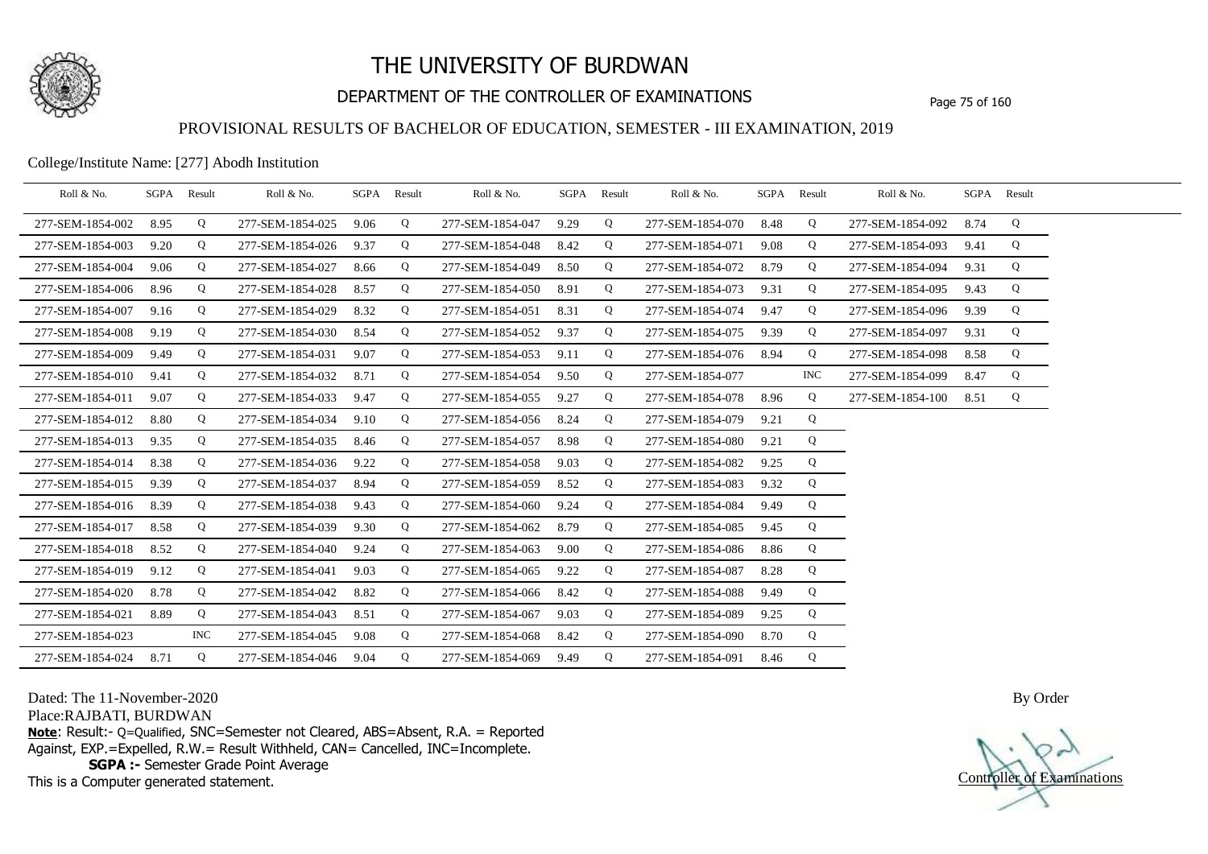

## DEPARTMENT OF THE CONTROLLER OF EXAMINATIONS Page 75 of 160

### PROVISIONAL RESULTS OF BACHELOR OF EDUCATION, SEMESTER - III EXAMINATION, 2019

College/Institute Name: [277] Abodh Institution

| Roll & No.       | SGPA Result |            | Roll & No.       |      | SGPA Result | Roll & No.       | SGPA Result |   | Roll & No.       | SGPA | Result     | Roll & No.            |      | SGPA Result |  |
|------------------|-------------|------------|------------------|------|-------------|------------------|-------------|---|------------------|------|------------|-----------------------|------|-------------|--|
| 277-SEM-1854-002 | 8.95        | Q          | 277-SEM-1854-025 | 9.06 | Q           | 277-SEM-1854-047 | 9.29        | Q | 277-SEM-1854-070 | 8.48 | Q          | 277-SEM-1854-092      | 8.74 | Q           |  |
| 277-SEM-1854-003 | 9.20        | Q          | 277-SEM-1854-026 | 9.37 | Q           | 277-SEM-1854-048 | 8.42        | Q | 277-SEM-1854-071 | 9.08 | Q          | 277-SEM-1854-093      | 9.41 | Q           |  |
| 277-SEM-1854-004 | 9.06        | Q          | 277-SEM-1854-027 | 8.66 | Q           | 277-SEM-1854-049 | 8.50        | Q | 277-SEM-1854-072 | 8.79 | Q          | 277-SEM-1854-094      | 9.31 | Q           |  |
| 277-SEM-1854-006 | 8.96        | Q          | 277-SEM-1854-028 | 8.57 | Q           | 277-SEM-1854-050 | 8.91        | Q | 277-SEM-1854-073 | 9.31 | Q          | 277-SEM-1854-095      | 9.43 | Q           |  |
| 277-SEM-1854-007 | 9.16        | Q          | 277-SEM-1854-029 | 8.32 | Q           | 277-SEM-1854-051 | 8.31        | Q | 277-SEM-1854-074 | 9.47 | Q          | 277-SEM-1854-096      | 9.39 | Q           |  |
| 277-SEM-1854-008 | 9.19        | Q          | 277-SEM-1854-030 | 8.54 | Q           | 277-SEM-1854-052 | 9.37        | Q | 277-SEM-1854-075 | 9.39 | Q          | 277-SEM-1854-097      | 9.31 | Q           |  |
| 277-SEM-1854-009 | 9.49        | Q          | 277-SEM-1854-031 | 9.07 | Q           | 277-SEM-1854-053 | 9.11        | Q | 277-SEM-1854-076 | 8.94 | Q          | 277-SEM-1854-098      | 8.58 | Q           |  |
| 277-SEM-1854-010 | 9.41        | Q          | 277-SEM-1854-032 | 8.71 | Q           | 277-SEM-1854-054 | 9.50        | Q | 277-SEM-1854-077 |      | <b>INC</b> | 277-SEM-1854-099      | 8.47 | Q           |  |
| 277-SEM-1854-011 | 9.07        | Q          | 277-SEM-1854-033 | 9.47 | Q           | 277-SEM-1854-055 | 9.27        | Q | 277-SEM-1854-078 | 8.96 | Q          | 277-SEM-1854-100 8.51 |      | Q           |  |
| 277-SEM-1854-012 | 8.80        | Q          | 277-SEM-1854-034 | 9.10 | Q           | 277-SEM-1854-056 | 8.24        | Q | 277-SEM-1854-079 | 9.21 | Q          |                       |      |             |  |
| 277-SEM-1854-013 | 9.35        | Q          | 277-SEM-1854-035 | 8.46 | Q           | 277-SEM-1854-057 | 8.98        | Q | 277-SEM-1854-080 | 9.21 | Q          |                       |      |             |  |
| 277-SEM-1854-014 | 8.38        | Q          | 277-SEM-1854-036 | 9.22 | Q           | 277-SEM-1854-058 | 9.03        | Q | 277-SEM-1854-082 | 9.25 | Q          |                       |      |             |  |
| 277-SEM-1854-015 | 9.39        | Q          | 277-SEM-1854-037 | 8.94 | Q           | 277-SEM-1854-059 | 8.52        | Q | 277-SEM-1854-083 | 9.32 | Q          |                       |      |             |  |
| 277-SEM-1854-016 | 8.39        | Q          | 277-SEM-1854-038 | 9.43 | Q           | 277-SEM-1854-060 | 9.24        | Q | 277-SEM-1854-084 | 9.49 | Q          |                       |      |             |  |
| 277-SEM-1854-017 | 8.58        | Q          | 277-SEM-1854-039 | 9.30 | Q           | 277-SEM-1854-062 | 8.79        | Q | 277-SEM-1854-085 | 9.45 | Q          |                       |      |             |  |
| 277-SEM-1854-018 | 8.52        | Q          | 277-SEM-1854-040 | 9.24 | Q           | 277-SEM-1854-063 | 9.00        | Q | 277-SEM-1854-086 | 8.86 | Q          |                       |      |             |  |
| 277-SEM-1854-019 | 9.12        | Q          | 277-SEM-1854-041 | 9.03 | Q           | 277-SEM-1854-065 | 9.22        | Q | 277-SEM-1854-087 | 8.28 | Q          |                       |      |             |  |
| 277-SEM-1854-020 | 8.78        | Q          | 277-SEM-1854-042 | 8.82 | Q           | 277-SEM-1854-066 | 8.42        | Q | 277-SEM-1854-088 | 9.49 | Q          |                       |      |             |  |
| 277-SEM-1854-021 | 8.89        | Q          | 277-SEM-1854-043 | 8.51 | Q           | 277-SEM-1854-067 | 9.03        | Q | 277-SEM-1854-089 | 9.25 | Q          |                       |      |             |  |
| 277-SEM-1854-023 |             | <b>INC</b> | 277-SEM-1854-045 | 9.08 | Q           | 277-SEM-1854-068 | 8.42        | Q | 277-SEM-1854-090 | 8.70 | Q          |                       |      |             |  |
| 277-SEM-1854-024 | 8.71        | Q          | 277-SEM-1854-046 | 9.04 | Q           | 277-SEM-1854-069 | 9.49        | Q | 277-SEM-1854-091 | 8.46 | Q          |                       |      |             |  |

Dated: The 11-November-2020

Place:RAJBATI, BURDWAN

**Note**: Result:- Q=Qualified, SNC=Semester not Cleared, ABS=Absent, R.A. = Reported Against, EXP.=Expelled, R.W.= Result Withheld, CAN= Cancelled, INC=Incomplete. **SGPA :-** Semester Grade Point Average

This is a Computer generated statement.

Controller of Examinations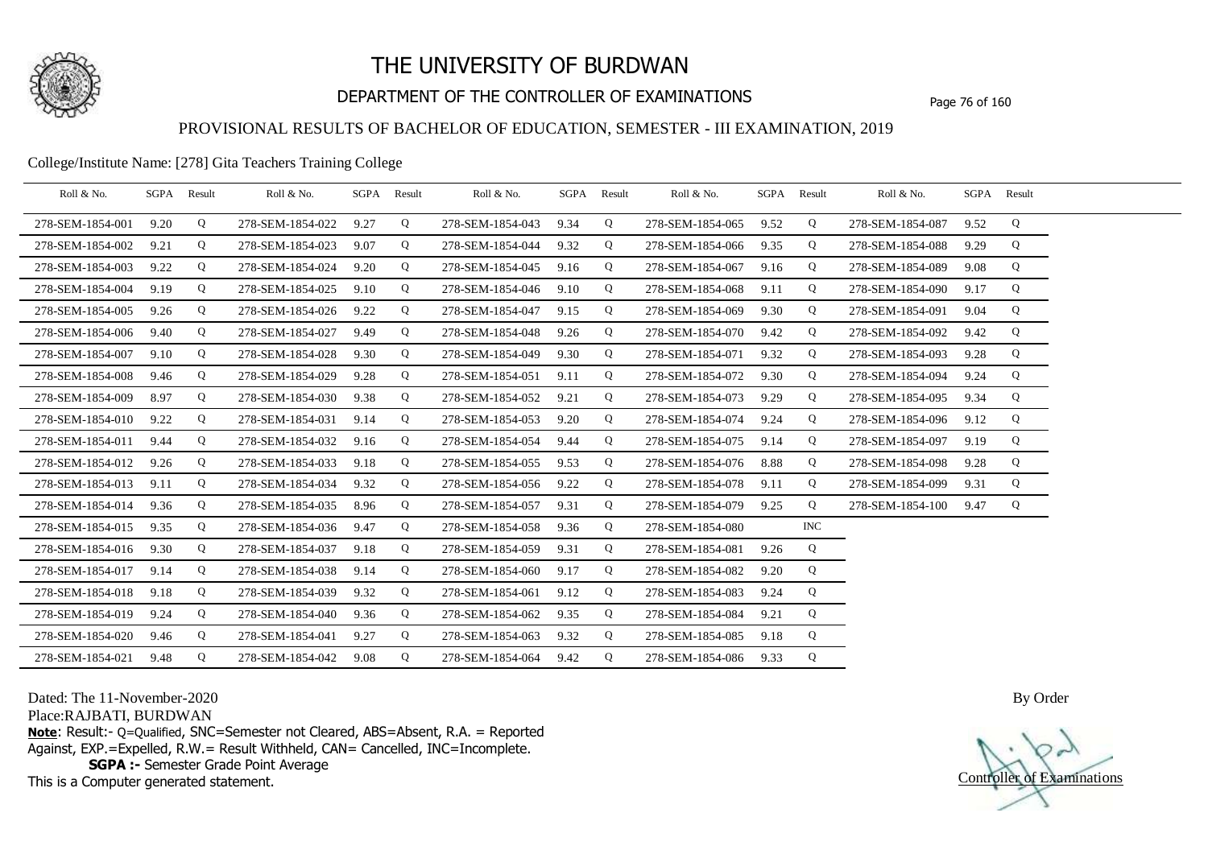

## DEPARTMENT OF THE CONTROLLER OF EXAMINATIONS Page 76 of 160

### PROVISIONAL RESULTS OF BACHELOR OF EDUCATION, SEMESTER - III EXAMINATION, 2019

College/Institute Name: [278] Gita Teachers Training College

| Roll & No.       | SGPA Result |   | Roll & No.       |      | SGPA Result | Roll & No.            | SGPA Result |   | Roll & No.       |      | SGPA Result | Roll & No.       |      | SGPA Result |  |
|------------------|-------------|---|------------------|------|-------------|-----------------------|-------------|---|------------------|------|-------------|------------------|------|-------------|--|
| 278-SEM-1854-001 | 9.20        | Q | 278-SEM-1854-022 | 9.27 | Q           | 278-SEM-1854-043      | 9.34        | Q | 278-SEM-1854-065 | 9.52 | Q           | 278-SEM-1854-087 | 9.52 | Q           |  |
| 278-SEM-1854-002 | 9.21        | Q | 278-SEM-1854-023 | 9.07 | Q           | 278-SEM-1854-044      | 9.32        | Q | 278-SEM-1854-066 | 9.35 | Q           | 278-SEM-1854-088 | 9.29 | Q           |  |
| 278-SEM-1854-003 | 9.22        | Q | 278-SEM-1854-024 | 9.20 | Q           | 278-SEM-1854-045      | 9.16        | Q | 278-SEM-1854-067 | 9.16 | Q           | 278-SEM-1854-089 | 9.08 | Q           |  |
| 278-SEM-1854-004 | 9.19        | Q | 278-SEM-1854-025 | 9.10 | Q           | 278-SEM-1854-046      | 9.10        | Q | 278-SEM-1854-068 | 9.11 | Q           | 278-SEM-1854-090 | 9.17 | Q           |  |
| 278-SEM-1854-005 | 9.26        | Q | 278-SEM-1854-026 | 9.22 | Q           | 278-SEM-1854-047      | 9.15        | Q | 278-SEM-1854-069 | 9.30 | Q           | 278-SEM-1854-091 | 9.04 | Q           |  |
| 278-SEM-1854-006 | 9.40        | Q | 278-SEM-1854-027 | 9.49 | Q           | 278-SEM-1854-048      | 9.26        | Q | 278-SEM-1854-070 | 9.42 | Q           | 278-SEM-1854-092 | 9.42 | Q           |  |
| 278-SEM-1854-007 | 9.10        | Q | 278-SEM-1854-028 | 9.30 | Q           | 278-SEM-1854-049      | 9.30        | Q | 278-SEM-1854-071 | 9.32 | Q           | 278-SEM-1854-093 | 9.28 | Q           |  |
| 278-SEM-1854-008 | 9.46        | Q | 278-SEM-1854-029 | 9.28 | Q           | 278-SEM-1854-051      | 9.11        | Q | 278-SEM-1854-072 | 9.30 | Q           | 278-SEM-1854-094 | 9.24 | Q           |  |
| 278-SEM-1854-009 | 8.97        | Q | 278-SEM-1854-030 | 9.38 | Q           | 278-SEM-1854-052      | 9.21        | Q | 278-SEM-1854-073 | 9.29 | Q           | 278-SEM-1854-095 | 9.34 | Q           |  |
| 278-SEM-1854-010 | 9.22        | Q | 278-SEM-1854-031 | 9.14 | Q           | 278-SEM-1854-053      | 9.20        | Q | 278-SEM-1854-074 | 9.24 | Q           | 278-SEM-1854-096 | 9.12 | Q           |  |
| 278-SEM-1854-011 | 9.44        | Q | 278-SEM-1854-032 | 9.16 | Q           | 278-SEM-1854-054      | 9.44        | Q | 278-SEM-1854-075 | 9.14 | Q           | 278-SEM-1854-097 | 9.19 | Q           |  |
| 278-SEM-1854-012 | 9.26        | Q | 278-SEM-1854-033 | 9.18 | Q           | 278-SEM-1854-055      | 9.53        | Q | 278-SEM-1854-076 | 8.88 | Q           | 278-SEM-1854-098 | 9.28 | Q           |  |
| 278-SEM-1854-013 | 9.11        | Q | 278-SEM-1854-034 | 9.32 | Q           | 278-SEM-1854-056      | 9.22        | Q | 278-SEM-1854-078 | 9.11 | Q           | 278-SEM-1854-099 | 9.31 | Q           |  |
| 278-SEM-1854-014 | 9.36        | Q | 278-SEM-1854-035 | 8.96 | Q           | 278-SEM-1854-057      | 9.31        | Q | 278-SEM-1854-079 | 9.25 | Q           | 278-SEM-1854-100 | 9.47 | Q           |  |
| 278-SEM-1854-015 | 9.35        | Q | 278-SEM-1854-036 | 9.47 | Q           | 278-SEM-1854-058      | 9.36        | Q | 278-SEM-1854-080 |      | $\rm{INC}$  |                  |      |             |  |
| 278-SEM-1854-016 | 9.30        | Q | 278-SEM-1854-037 | 9.18 | Q           | 278-SEM-1854-059      | 9.31        | Q | 278-SEM-1854-081 | 9.26 | Q           |                  |      |             |  |
| 278-SEM-1854-017 | 9.14        | Q | 278-SEM-1854-038 | 9.14 | Q           | 278-SEM-1854-060      | 9.17        | Q | 278-SEM-1854-082 | 9.20 | Q           |                  |      |             |  |
| 278-SEM-1854-018 | 9.18        | Q | 278-SEM-1854-039 | 9.32 | Q           | 278-SEM-1854-061      | 9.12        | Q | 278-SEM-1854-083 | 9.24 | Q           |                  |      |             |  |
| 278-SEM-1854-019 | 9.24        | Q | 278-SEM-1854-040 | 9.36 | Q           | 278-SEM-1854-062      | 9.35        | Q | 278-SEM-1854-084 | 9.21 | Q           |                  |      |             |  |
| 278-SEM-1854-020 | 9.46        | Q | 278-SEM-1854-041 | 9.27 | Q           | 278-SEM-1854-063      | 9.32        | Q | 278-SEM-1854-085 | 9.18 | Q           |                  |      |             |  |
| 278-SEM-1854-021 | 9.48        | Q | 278-SEM-1854-042 | 9.08 | Q           | 278-SEM-1854-064 9.42 |             | Q | 278-SEM-1854-086 | 9.33 | Q           |                  |      |             |  |

Dated: The 11-November-2020

Place:RAJBATI, BURDWAN

**Note**: Result:- Q=Qualified, SNC=Semester not Cleared, ABS=Absent, R.A. = Reported Against, EXP.=Expelled, R.W.= Result Withheld, CAN= Cancelled, INC=Incomplete. **SGPA :-** Semester Grade Point Average

This is a Computer generated statement.

Controller of Examinations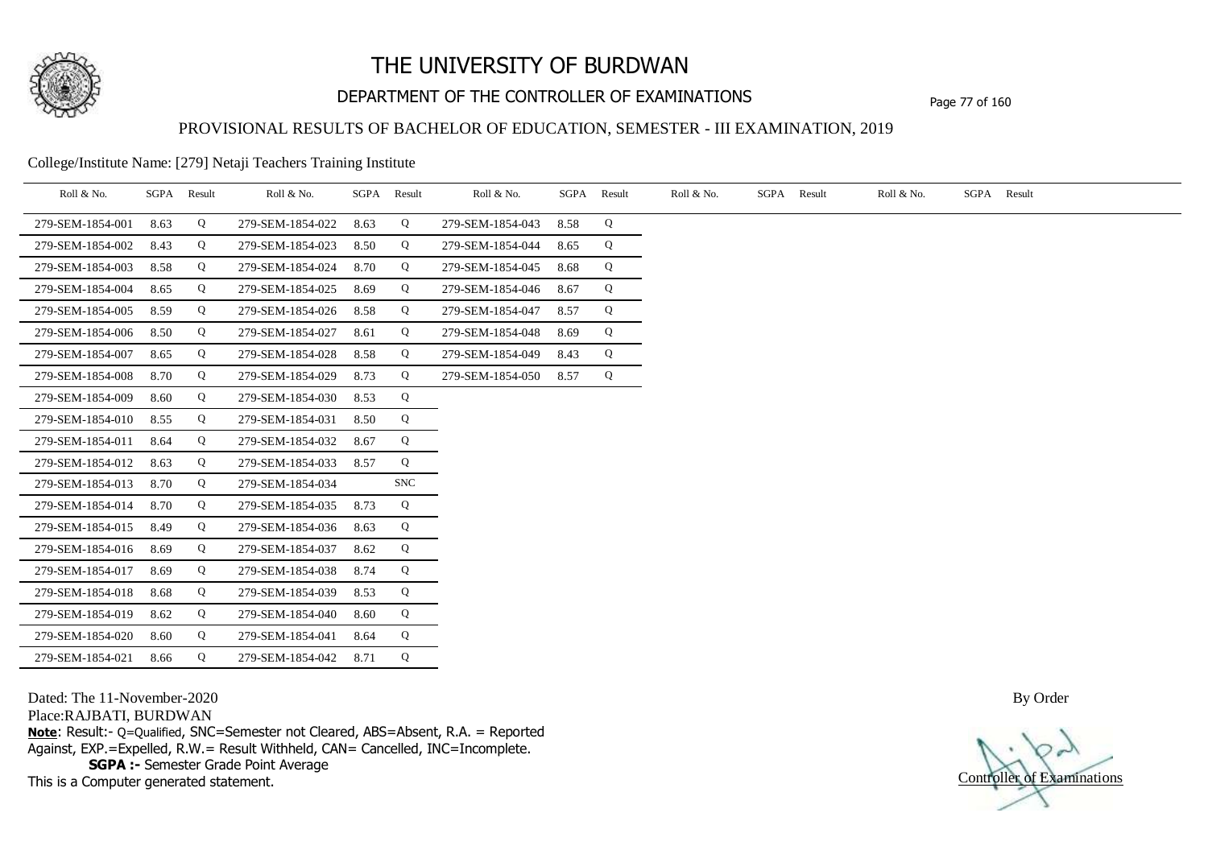

## DEPARTMENT OF THE CONTROLLER OF EXAMINATIONS Page 77 of 160

### PROVISIONAL RESULTS OF BACHELOR OF EDUCATION, SEMESTER - III EXAMINATION, 2019

College/Institute Name: [279] Netaji Teachers Training Institute

| Roll & No.       |      | SGPA Result | Roll & No.       |      | SGPA Result | Roll & No.       | SGPA | Result | Roll & No. | SGPA Result | Roll & No. | SGPA Result |  |
|------------------|------|-------------|------------------|------|-------------|------------------|------|--------|------------|-------------|------------|-------------|--|
| 279-SEM-1854-001 | 8.63 | Q           | 279-SEM-1854-022 | 8.63 | Q           | 279-SEM-1854-043 | 8.58 | Q      |            |             |            |             |  |
| 279-SEM-1854-002 | 8.43 | Q           | 279-SEM-1854-023 | 8.50 | Q           | 279-SEM-1854-044 | 8.65 | Q      |            |             |            |             |  |
| 279-SEM-1854-003 | 8.58 | Q           | 279-SEM-1854-024 | 8.70 | Q           | 279-SEM-1854-045 | 8.68 | Q      |            |             |            |             |  |
| 279-SEM-1854-004 | 8.65 | Q           | 279-SEM-1854-025 | 8.69 | Q           | 279-SEM-1854-046 | 8.67 | Q      |            |             |            |             |  |
| 279-SEM-1854-005 | 8.59 | Q           | 279-SEM-1854-026 | 8.58 | Q           | 279-SEM-1854-047 | 8.57 | Q      |            |             |            |             |  |
| 279-SEM-1854-006 | 8.50 | Q           | 279-SEM-1854-027 | 8.61 | Q           | 279-SEM-1854-048 | 8.69 | Q      |            |             |            |             |  |
| 279-SEM-1854-007 | 8.65 | Q           | 279-SEM-1854-028 | 8.58 | Q           | 279-SEM-1854-049 | 8.43 | Q      |            |             |            |             |  |
| 279-SEM-1854-008 | 8.70 | Q           | 279-SEM-1854-029 | 8.73 | Q           | 279-SEM-1854-050 | 8.57 | Q      |            |             |            |             |  |
| 279-SEM-1854-009 | 8.60 | Q           | 279-SEM-1854-030 | 8.53 | Q           |                  |      |        |            |             |            |             |  |
| 279-SEM-1854-010 | 8.55 | Q           | 279-SEM-1854-031 | 8.50 | Q           |                  |      |        |            |             |            |             |  |
| 279-SEM-1854-011 | 8.64 | Q           | 279-SEM-1854-032 | 8.67 | Q           |                  |      |        |            |             |            |             |  |
| 279-SEM-1854-012 | 8.63 | Q           | 279-SEM-1854-033 | 8.57 | Q           |                  |      |        |            |             |            |             |  |
| 279-SEM-1854-013 | 8.70 | Q           | 279-SEM-1854-034 |      | <b>SNC</b>  |                  |      |        |            |             |            |             |  |
| 279-SEM-1854-014 | 8.70 | Q           | 279-SEM-1854-035 | 8.73 | Q           |                  |      |        |            |             |            |             |  |
| 279-SEM-1854-015 | 8.49 | Q           | 279-SEM-1854-036 | 8.63 | Q           |                  |      |        |            |             |            |             |  |
| 279-SEM-1854-016 | 8.69 | Q           | 279-SEM-1854-037 | 8.62 | Q           |                  |      |        |            |             |            |             |  |
| 279-SEM-1854-017 | 8.69 | Q           | 279-SEM-1854-038 | 8.74 | Q           |                  |      |        |            |             |            |             |  |
| 279-SEM-1854-018 | 8.68 | Q           | 279-SEM-1854-039 | 8.53 | Q           |                  |      |        |            |             |            |             |  |
| 279-SEM-1854-019 | 8.62 | Q           | 279-SEM-1854-040 | 8.60 | Q           |                  |      |        |            |             |            |             |  |
| 279-SEM-1854-020 | 8.60 | Q           | 279-SEM-1854-041 | 8.64 | Q           |                  |      |        |            |             |            |             |  |
| 279-SEM-1854-021 | 8.66 | Q           | 279-SEM-1854-042 | 8.71 | Q           |                  |      |        |            |             |            |             |  |

Dated: The 11-November-2020

Place:RAJBATI, BURDWAN

**Note**: Result:- Q=Qualified, SNC=Semester not Cleared, ABS=Absent, R.A. = Reported Against, EXP.=Expelled, R.W.= Result Withheld, CAN= Cancelled, INC=Incomplete. **SGPA :-** Semester Grade Point Average

This is a Computer generated statement.

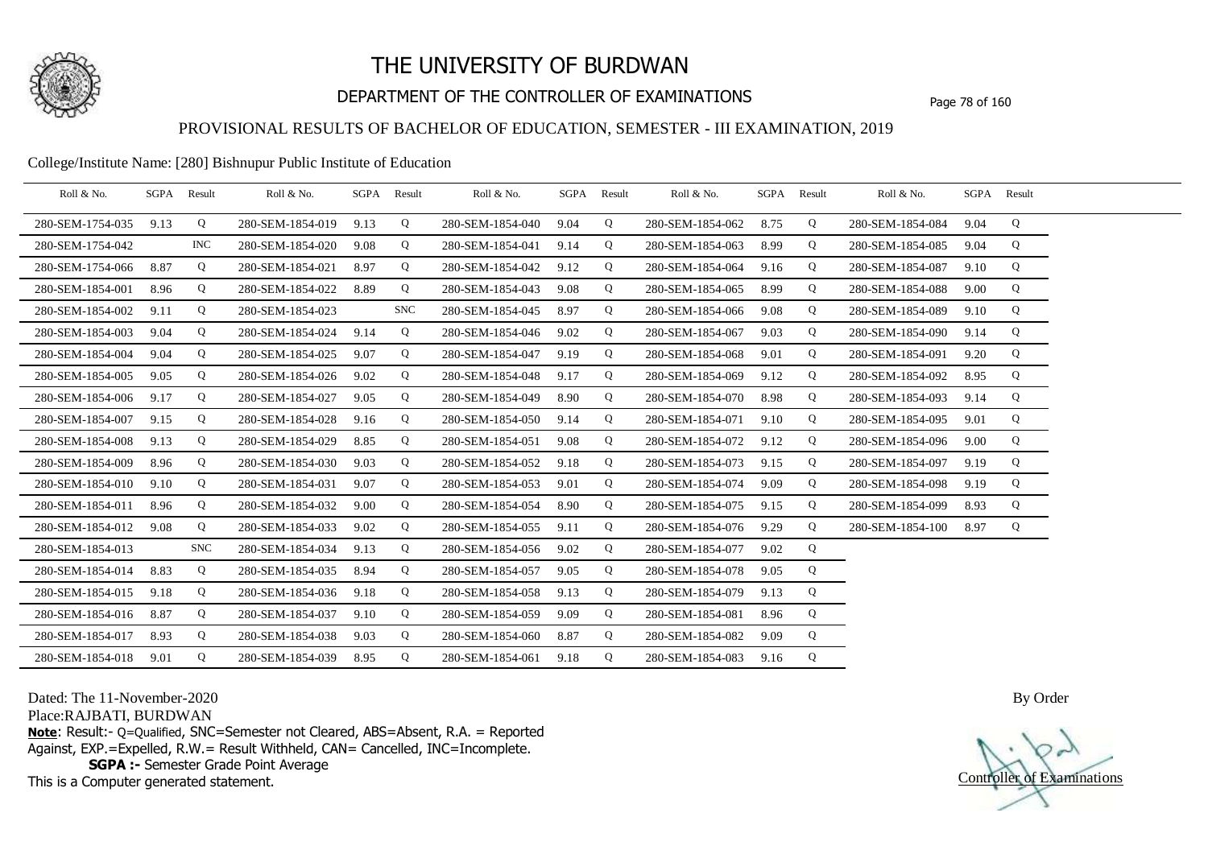

## DEPARTMENT OF THE CONTROLLER OF EXAMINATIONS Page 78 of 160

### PROVISIONAL RESULTS OF BACHELOR OF EDUCATION, SEMESTER - III EXAMINATION, 2019

#### College/Institute Name: [280] Bishnupur Public Institute of Education

| Roll & No.       | SGPA | Result     | Roll & No.       | SGPA | Result     | Roll & No.       | SGPA | Result | Roll & No.       | SGPA Result |   | Roll & No.       |      | SGPA Result |  |
|------------------|------|------------|------------------|------|------------|------------------|------|--------|------------------|-------------|---|------------------|------|-------------|--|
| 280-SEM-1754-035 | 9.13 | Q          | 280-SEM-1854-019 | 9.13 | Q          | 280-SEM-1854-040 | 9.04 | Q      | 280-SEM-1854-062 | 8.75        | Q | 280-SEM-1854-084 | 9.04 | Q           |  |
| 280-SEM-1754-042 |      | <b>INC</b> | 280-SEM-1854-020 | 9.08 | Q          | 280-SEM-1854-041 | 9.14 | Q      | 280-SEM-1854-063 | 8.99        | Q | 280-SEM-1854-085 | 9.04 | Q           |  |
| 280-SEM-1754-066 | 8.87 | Q          | 280-SEM-1854-021 | 8.97 | Q          | 280-SEM-1854-042 | 9.12 | Q      | 280-SEM-1854-064 | 9.16        | Q | 280-SEM-1854-087 | 9.10 | Q           |  |
| 280-SEM-1854-001 | 8.96 | Q          | 280-SEM-1854-022 | 8.89 | Q          | 280-SEM-1854-043 | 9.08 | Q      | 280-SEM-1854-065 | 8.99        | Q | 280-SEM-1854-088 | 9.00 | Q           |  |
| 280-SEM-1854-002 | 9.11 | Q          | 280-SEM-1854-023 |      | <b>SNC</b> | 280-SEM-1854-045 | 8.97 | Q      | 280-SEM-1854-066 | 9.08        | Q | 280-SEM-1854-089 | 9.10 | Q           |  |
| 280-SEM-1854-003 | 9.04 | Q          | 280-SEM-1854-024 | 9.14 | Q          | 280-SEM-1854-046 | 9.02 | Q      | 280-SEM-1854-067 | 9.03        | Q | 280-SEM-1854-090 | 9.14 | Q           |  |
| 280-SEM-1854-004 | 9.04 | Q          | 280-SEM-1854-025 | 9.07 | Q          | 280-SEM-1854-047 | 9.19 | Q      | 280-SEM-1854-068 | 9.01        | Q | 280-SEM-1854-091 | 9.20 | Q           |  |
| 280-SEM-1854-005 | 9.05 | Q          | 280-SEM-1854-026 | 9.02 | Q          | 280-SEM-1854-048 | 9.17 | Q      | 280-SEM-1854-069 | 9.12        | Q | 280-SEM-1854-092 | 8.95 | Q           |  |
| 280-SEM-1854-006 | 9.17 | Q          | 280-SEM-1854-027 | 9.05 | Q          | 280-SEM-1854-049 | 8.90 | Q      | 280-SEM-1854-070 | 8.98        | Q | 280-SEM-1854-093 | 9.14 | Q           |  |
| 280-SEM-1854-007 | 9.15 | Q          | 280-SEM-1854-028 | 9.16 | Q          | 280-SEM-1854-050 | 9.14 | Q      | 280-SEM-1854-071 | 9.10        | Q | 280-SEM-1854-095 | 9.01 | Q           |  |
| 280-SEM-1854-008 | 9.13 | Q          | 280-SEM-1854-029 | 8.85 | Q          | 280-SEM-1854-051 | 9.08 | Q      | 280-SEM-1854-072 | 9.12        | Q | 280-SEM-1854-096 | 9.00 | Q           |  |
| 280-SEM-1854-009 | 8.96 | Q          | 280-SEM-1854-030 | 9.03 | Q          | 280-SEM-1854-052 | 9.18 | Q      | 280-SEM-1854-073 | 9.15        | Q | 280-SEM-1854-097 | 9.19 | Q           |  |
| 280-SEM-1854-010 | 9.10 | Q          | 280-SEM-1854-031 | 9.07 | Q          | 280-SEM-1854-053 | 9.01 | Q      | 280-SEM-1854-074 | 9.09        | Q | 280-SEM-1854-098 | 9.19 | Q           |  |
| 280-SEM-1854-011 | 8.96 | Q          | 280-SEM-1854-032 | 9.00 | Q          | 280-SEM-1854-054 | 8.90 | Q      | 280-SEM-1854-075 | 9.15        | Q | 280-SEM-1854-099 | 8.93 | Q           |  |
| 280-SEM-1854-012 | 9.08 | Q          | 280-SEM-1854-033 | 9.02 | Q          | 280-SEM-1854-055 | 9.11 | Q      | 280-SEM-1854-076 | 9.29        | Q | 280-SEM-1854-100 | 8.97 | Q           |  |
| 280-SEM-1854-013 |      | <b>SNC</b> | 280-SEM-1854-034 | 9.13 | Q          | 280-SEM-1854-056 | 9.02 | Q      | 280-SEM-1854-077 | 9.02        | Q |                  |      |             |  |
| 280-SEM-1854-014 | 8.83 | Q          | 280-SEM-1854-035 | 8.94 | Q          | 280-SEM-1854-057 | 9.05 | Q      | 280-SEM-1854-078 | 9.05        | Q |                  |      |             |  |
| 280-SEM-1854-015 | 9.18 | Q          | 280-SEM-1854-036 | 9.18 | Q          | 280-SEM-1854-058 | 9.13 | Q      | 280-SEM-1854-079 | 9.13        | Q |                  |      |             |  |
| 280-SEM-1854-016 | 8.87 | Q          | 280-SEM-1854-037 | 9.10 | Q          | 280-SEM-1854-059 | 9.09 | Q      | 280-SEM-1854-081 | 8.96        | Q |                  |      |             |  |
| 280-SEM-1854-017 | 8.93 | Q          | 280-SEM-1854-038 | 9.03 | Q          | 280-SEM-1854-060 | 8.87 | Q      | 280-SEM-1854-082 | 9.09        | Q |                  |      |             |  |
| 280-SEM-1854-018 | 9.01 | Q          | 280-SEM-1854-039 | 8.95 | Q          | 280-SEM-1854-061 | 9.18 | Q      | 280-SEM-1854-083 | 9.16        | Q |                  |      |             |  |

Dated: The 11-November-2020

Place:RAJBATI, BURDWAN

**Note**: Result:- Q=Qualified, SNC=Semester not Cleared, ABS=Absent, R.A. = Reported Against, EXP.=Expelled, R.W.= Result Withheld, CAN= Cancelled, INC=Incomplete. **SGPA :-** Semester Grade Point Average

This is a Computer generated statement.

Controller of Examinations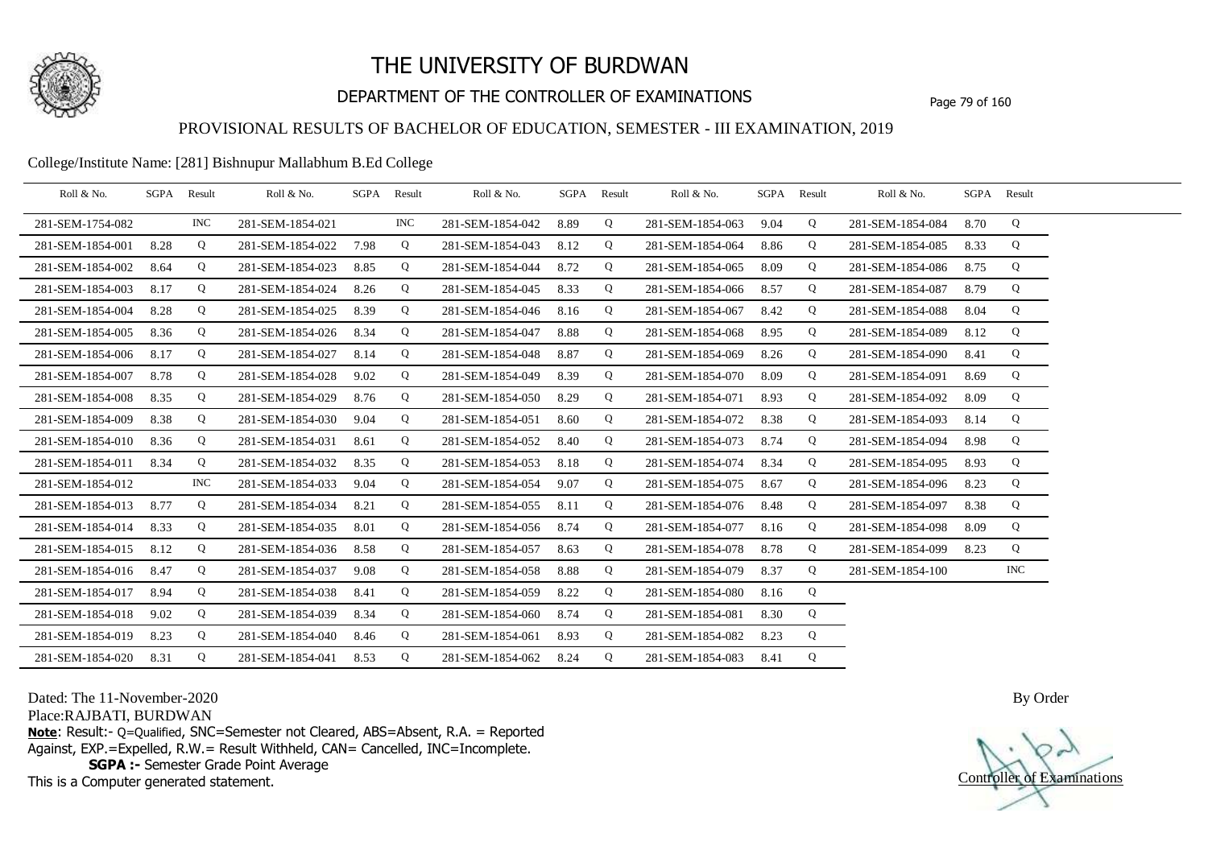

## DEPARTMENT OF THE CONTROLLER OF EXAMINATIONS Page 79 of 160

### PROVISIONAL RESULTS OF BACHELOR OF EDUCATION, SEMESTER - III EXAMINATION, 2019

#### College/Institute Name: [281] Bishnupur Mallabhum B.Ed College

| Roll & No.       |      | SGPA Result | Roll & No.       |      | SGPA Result | Roll & No.       | SGPA Result |   | Roll & No.       | SGPA Result |   | Roll & No.       | SGPA Result |     |  |
|------------------|------|-------------|------------------|------|-------------|------------------|-------------|---|------------------|-------------|---|------------------|-------------|-----|--|
| 281-SEM-1754-082 |      | <b>INC</b>  | 281-SEM-1854-021 |      | <b>INC</b>  | 281-SEM-1854-042 | 8.89        | Q | 281-SEM-1854-063 | 9.04        | Q | 281-SEM-1854-084 | 8.70        | Q   |  |
| 281-SEM-1854-001 | 8.28 | Q           | 281-SEM-1854-022 | 7.98 | Q           | 281-SEM-1854-043 | 8.12        | Q | 281-SEM-1854-064 | 8.86        | Q | 281-SEM-1854-085 | 8.33        | Q   |  |
| 281-SEM-1854-002 | 8.64 | Q           | 281-SEM-1854-023 | 8.85 | Q           | 281-SEM-1854-044 | 8.72        | Q | 281-SEM-1854-065 | 8.09        | Q | 281-SEM-1854-086 | 8.75        | Q   |  |
| 281-SEM-1854-003 | 8.17 | Q           | 281-SEM-1854-024 | 8.26 | Q           | 281-SEM-1854-045 | 8.33        | Q | 281-SEM-1854-066 | 8.57        | Q | 281-SEM-1854-087 | 8.79        | Q   |  |
| 281-SEM-1854-004 | 8.28 | Q           | 281-SEM-1854-025 | 8.39 | Q           | 281-SEM-1854-046 | 8.16        | Q | 281-SEM-1854-067 | 8.42        | Q | 281-SEM-1854-088 | 8.04        | Q   |  |
| 281-SEM-1854-005 | 8.36 | Q           | 281-SEM-1854-026 | 8.34 | Q           | 281-SEM-1854-047 | 8.88        | Q | 281-SEM-1854-068 | 8.95        | Q | 281-SEM-1854-089 | 8.12        | Q   |  |
| 281-SEM-1854-006 | 8.17 | Q           | 281-SEM-1854-027 | 8.14 | Q           | 281-SEM-1854-048 | 8.87        | Q | 281-SEM-1854-069 | 8.26        | Q | 281-SEM-1854-090 | 8.41        | Q   |  |
| 281-SEM-1854-007 | 8.78 | Q           | 281-SEM-1854-028 | 9.02 | Q           | 281-SEM-1854-049 | 8.39        | Q | 281-SEM-1854-070 | 8.09        | Q | 281-SEM-1854-091 | 8.69        | Q   |  |
| 281-SEM-1854-008 | 8.35 | Q           | 281-SEM-1854-029 | 8.76 | Q           | 281-SEM-1854-050 | 8.29        | Q | 281-SEM-1854-071 | 8.93        | Q | 281-SEM-1854-092 | 8.09        | Q   |  |
| 281-SEM-1854-009 | 8.38 | Q           | 281-SEM-1854-030 | 9.04 | Q           | 281-SEM-1854-051 | 8.60        | Q | 281-SEM-1854-072 | 8.38        | Q | 281-SEM-1854-093 | 8.14        | Q   |  |
| 281-SEM-1854-010 | 8.36 | Q           | 281-SEM-1854-031 | 8.61 | Q           | 281-SEM-1854-052 | 8.40        | Q | 281-SEM-1854-073 | 8.74        | Q | 281-SEM-1854-094 | 8.98        | Q   |  |
| 281-SEM-1854-011 | 8.34 | Q           | 281-SEM-1854-032 | 8.35 | Q           | 281-SEM-1854-053 | 8.18        | Q | 281-SEM-1854-074 | 8.34        | Q | 281-SEM-1854-095 | 8.93        | Q   |  |
| 281-SEM-1854-012 |      | <b>INC</b>  | 281-SEM-1854-033 | 9.04 | Q           | 281-SEM-1854-054 | 9.07        | Q | 281-SEM-1854-075 | 8.67        | Q | 281-SEM-1854-096 | 8.23        | Q   |  |
| 281-SEM-1854-013 | 8.77 | Q           | 281-SEM-1854-034 | 8.21 | Q           | 281-SEM-1854-055 | 8.11        | Q | 281-SEM-1854-076 | 8.48        | Q | 281-SEM-1854-097 | 8.38        | Q   |  |
| 281-SEM-1854-014 | 8.33 | Q           | 281-SEM-1854-035 | 8.01 | Q           | 281-SEM-1854-056 | 8.74        | Q | 281-SEM-1854-077 | 8.16        | Q | 281-SEM-1854-098 | 8.09        | Q   |  |
| 281-SEM-1854-015 | 8.12 | Q           | 281-SEM-1854-036 | 8.58 | Q           | 281-SEM-1854-057 | 8.63        | Q | 281-SEM-1854-078 | 8.78        | Q | 281-SEM-1854-099 | 8.23        | Q   |  |
| 281-SEM-1854-016 | 8.47 | Q           | 281-SEM-1854-037 | 9.08 | Q           | 281-SEM-1854-058 | 8.88        | Q | 281-SEM-1854-079 | 8.37        | Q | 281-SEM-1854-100 |             | INC |  |
| 281-SEM-1854-017 | 8.94 | Q           | 281-SEM-1854-038 | 8.41 | Q           | 281-SEM-1854-059 | 8.22        | Q | 281-SEM-1854-080 | 8.16        | Q |                  |             |     |  |
| 281-SEM-1854-018 | 9.02 | Q           | 281-SEM-1854-039 | 8.34 | Q           | 281-SEM-1854-060 | 8.74        | Q | 281-SEM-1854-081 | 8.30        | Q |                  |             |     |  |
| 281-SEM-1854-019 | 8.23 | Q           | 281-SEM-1854-040 | 8.46 | Q           | 281-SEM-1854-061 | 8.93        | Q | 281-SEM-1854-082 | 8.23        | Q |                  |             |     |  |
| 281-SEM-1854-020 | 8.31 | Q           | 281-SEM-1854-041 | 8.53 | Q           | 281-SEM-1854-062 | 8.24        | Q | 281-SEM-1854-083 | 8.41        | Q |                  |             |     |  |

Dated: The 11-November-2020

Place:RAJBATI, BURDWAN

**Note**: Result:- Q=Qualified, SNC=Semester not Cleared, ABS=Absent, R.A. = Reported Against, EXP.=Expelled, R.W.= Result Withheld, CAN= Cancelled, INC=Incomplete. **SGPA :-** Semester Grade Point Average

This is a Computer generated statement.

Controller of Examinations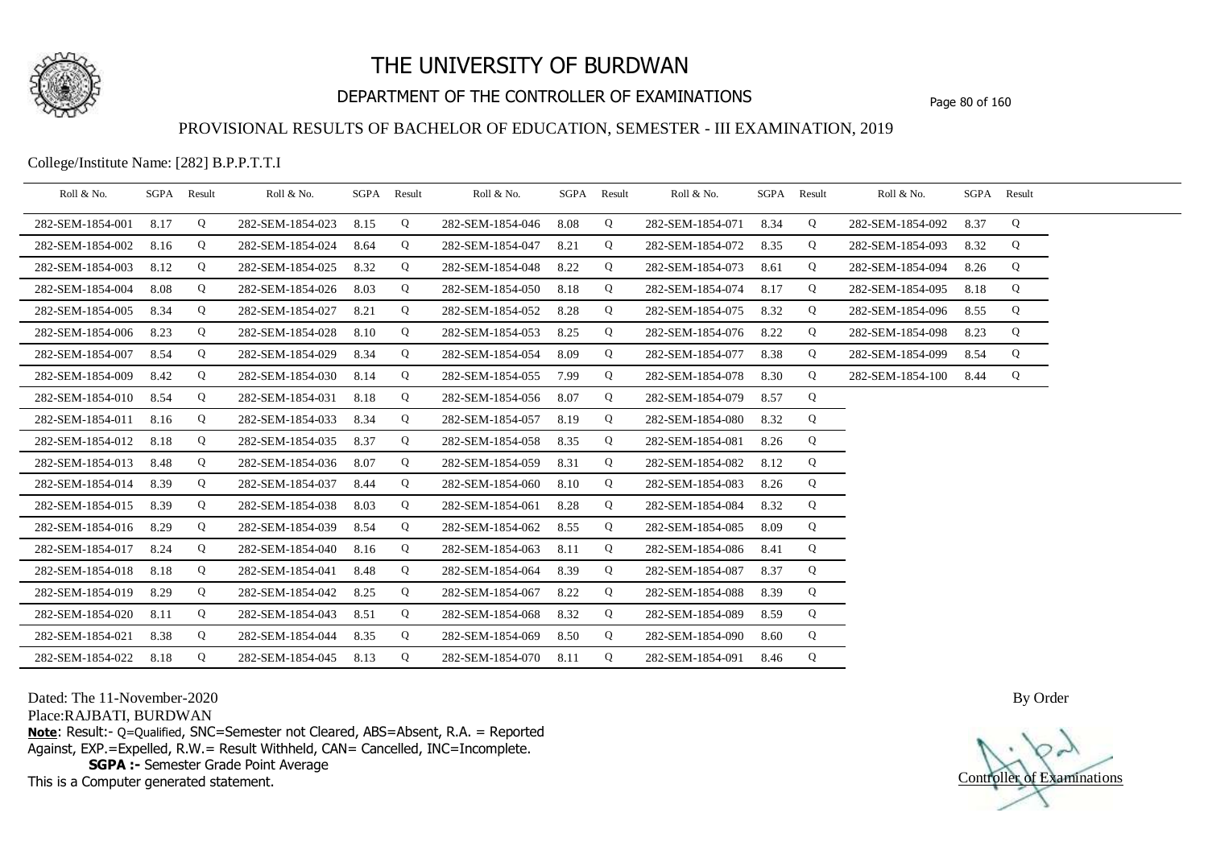

## DEPARTMENT OF THE CONTROLLER OF EXAMINATIONS Page 80 of 160

### PROVISIONAL RESULTS OF BACHELOR OF EDUCATION, SEMESTER - III EXAMINATION, 2019

College/Institute Name: [282] B.P.P.T.T.I

| Roll & No.       | SGPA Result |   | Roll & No.       |      | SGPA Result | Roll & No.       | SGPA | Result | Roll & No.       |      | SGPA Result | Roll & No.       |      | SGPA Result |  |
|------------------|-------------|---|------------------|------|-------------|------------------|------|--------|------------------|------|-------------|------------------|------|-------------|--|
| 282-SEM-1854-001 | 8.17        | Q | 282-SEM-1854-023 | 8.15 | Q           | 282-SEM-1854-046 | 8.08 | Q      | 282-SEM-1854-071 | 8.34 | Q           | 282-SEM-1854-092 | 8.37 | Q           |  |
| 282-SEM-1854-002 | 8.16        | Q | 282-SEM-1854-024 | 8.64 | Q           | 282-SEM-1854-047 | 8.21 | Q      | 282-SEM-1854-072 | 8.35 | Q           | 282-SEM-1854-093 | 8.32 | Q           |  |
| 282-SEM-1854-003 | 8.12        | Q | 282-SEM-1854-025 | 8.32 | Q           | 282-SEM-1854-048 | 8.22 | Q      | 282-SEM-1854-073 | 8.61 | Q           | 282-SEM-1854-094 | 8.26 | Q           |  |
| 282-SEM-1854-004 | 8.08        | Q | 282-SEM-1854-026 | 8.03 | Q           | 282-SEM-1854-050 | 8.18 | Q      | 282-SEM-1854-074 | 8.17 | Q           | 282-SEM-1854-095 | 8.18 | Q           |  |
| 282-SEM-1854-005 | 8.34        | Q | 282-SEM-1854-027 | 8.21 | Q           | 282-SEM-1854-052 | 8.28 | Q      | 282-SEM-1854-075 | 8.32 | Q           | 282-SEM-1854-096 | 8.55 | Q           |  |
| 282-SEM-1854-006 | 8.23        | Q | 282-SEM-1854-028 | 8.10 | Q           | 282-SEM-1854-053 | 8.25 | Q      | 282-SEM-1854-076 | 8.22 | Q           | 282-SEM-1854-098 | 8.23 | Q           |  |
| 282-SEM-1854-007 | 8.54        | Q | 282-SEM-1854-029 | 8.34 | Q           | 282-SEM-1854-054 | 8.09 | Q      | 282-SEM-1854-077 | 8.38 | Q           | 282-SEM-1854-099 | 8.54 | Q           |  |
| 282-SEM-1854-009 | 8.42        | Q | 282-SEM-1854-030 | 8.14 | Q           | 282-SEM-1854-055 | 7.99 | Q      | 282-SEM-1854-078 | 8.30 | Q           | 282-SEM-1854-100 | 8.44 | Q           |  |
| 282-SEM-1854-010 | 8.54        | Q | 282-SEM-1854-031 | 8.18 | Q           | 282-SEM-1854-056 | 8.07 | Q      | 282-SEM-1854-079 | 8.57 | Q           |                  |      |             |  |
| 282-SEM-1854-011 | 8.16        | Q | 282-SEM-1854-033 | 8.34 | Q           | 282-SEM-1854-057 | 8.19 | Q      | 282-SEM-1854-080 | 8.32 | Q           |                  |      |             |  |
| 282-SEM-1854-012 | 8.18        | Q | 282-SEM-1854-035 | 8.37 | Q           | 282-SEM-1854-058 | 8.35 | Q      | 282-SEM-1854-081 | 8.26 | Q           |                  |      |             |  |
| 282-SEM-1854-013 | 8.48        | Q | 282-SEM-1854-036 | 8.07 | Q           | 282-SEM-1854-059 | 8.31 | Q      | 282-SEM-1854-082 | 8.12 | Q           |                  |      |             |  |
| 282-SEM-1854-014 | 8.39        | Q | 282-SEM-1854-037 | 8.44 | Q           | 282-SEM-1854-060 | 8.10 | Q      | 282-SEM-1854-083 | 8.26 | Q           |                  |      |             |  |
| 282-SEM-1854-015 | 8.39        | Q | 282-SEM-1854-038 | 8.03 | Q           | 282-SEM-1854-061 | 8.28 | Q      | 282-SEM-1854-084 | 8.32 | Q           |                  |      |             |  |
| 282-SEM-1854-016 | 8.29        | Q | 282-SEM-1854-039 | 8.54 | Q           | 282-SEM-1854-062 | 8.55 | Q      | 282-SEM-1854-085 | 8.09 | Q           |                  |      |             |  |
| 282-SEM-1854-017 | 8.24        | Q | 282-SEM-1854-040 | 8.16 | Q           | 282-SEM-1854-063 | 8.11 | Q      | 282-SEM-1854-086 | 8.41 | Q           |                  |      |             |  |
| 282-SEM-1854-018 | 8.18        | Q | 282-SEM-1854-041 | 8.48 | Q           | 282-SEM-1854-064 | 8.39 | Q      | 282-SEM-1854-087 | 8.37 | Q           |                  |      |             |  |
| 282-SEM-1854-019 | 8.29        | Q | 282-SEM-1854-042 | 8.25 | Q           | 282-SEM-1854-067 | 8.22 | Q      | 282-SEM-1854-088 | 8.39 | Q           |                  |      |             |  |
| 282-SEM-1854-020 | 8.11        | Q | 282-SEM-1854-043 | 8.51 | Q           | 282-SEM-1854-068 | 8.32 | Q      | 282-SEM-1854-089 | 8.59 | Q           |                  |      |             |  |
| 282-SEM-1854-021 | 8.38        | Q | 282-SEM-1854-044 | 8.35 | Q           | 282-SEM-1854-069 | 8.50 | Q      | 282-SEM-1854-090 | 8.60 | Q           |                  |      |             |  |
| 282-SEM-1854-022 | 8.18        | Q | 282-SEM-1854-045 | 8.13 | Q           | 282-SEM-1854-070 | 8.11 | Q      | 282-SEM-1854-091 | 8.46 | Q           |                  |      |             |  |

Dated: The 11-November-2020

Place:RAJBATI, BURDWAN

**Note**: Result:- Q=Qualified, SNC=Semester not Cleared, ABS=Absent, R.A. = Reported Against, EXP.=Expelled, R.W.= Result Withheld, CAN= Cancelled, INC=Incomplete. **SGPA :-** Semester Grade Point Average

This is a Computer generated statement.

Controller of Examinations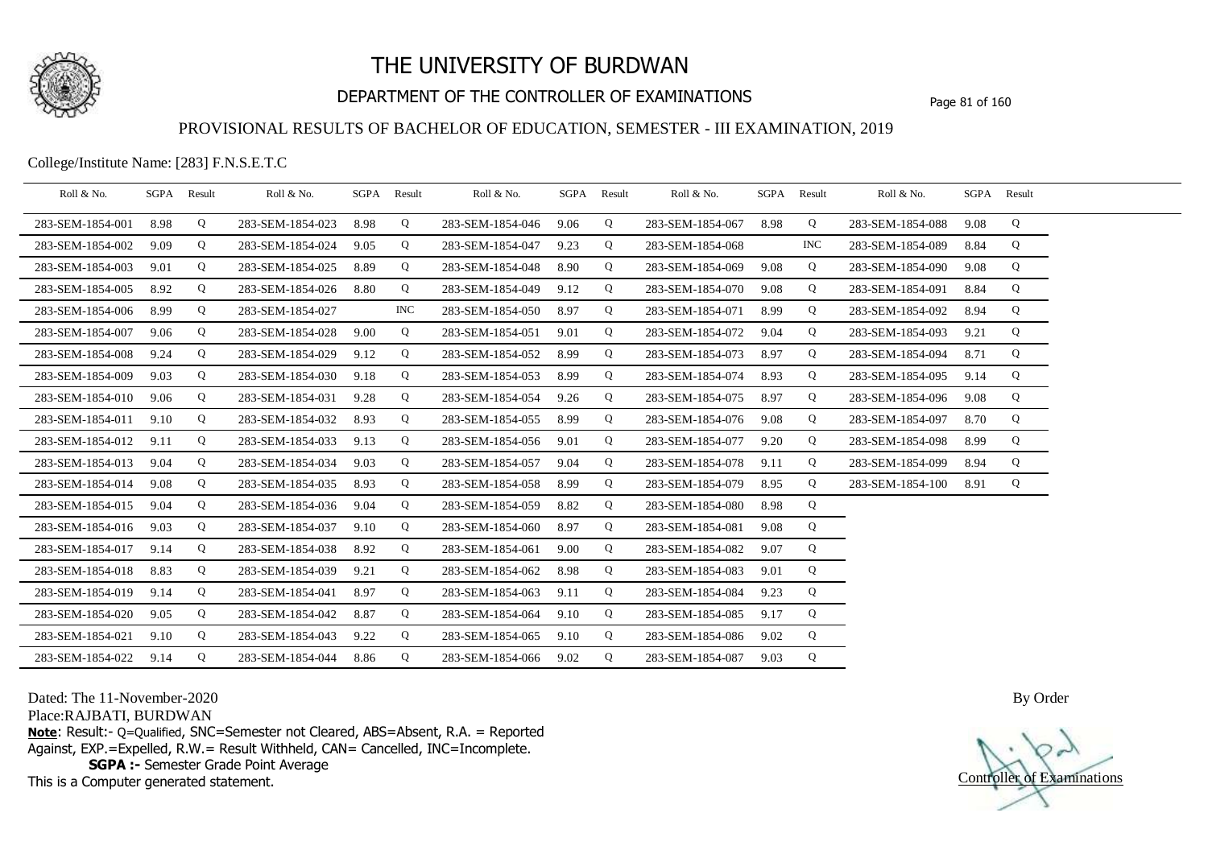

## DEPARTMENT OF THE CONTROLLER OF EXAMINATIONS Page 81 of 160

### PROVISIONAL RESULTS OF BACHELOR OF EDUCATION, SEMESTER - III EXAMINATION, 2019

College/Institute Name: [283] F.N.S.E.T.C

| Roll & No.       |      | SGPA Result | Roll & No.       |      | SGPA Result | Roll & No.       | SGPA Result |   | Roll & No.       | SGPA Result |            | Roll & No.       |      | SGPA Result |  |
|------------------|------|-------------|------------------|------|-------------|------------------|-------------|---|------------------|-------------|------------|------------------|------|-------------|--|
| 283-SEM-1854-001 | 8.98 | Q           | 283-SEM-1854-023 | 8.98 | Q           | 283-SEM-1854-046 | 9.06        | Q | 283-SEM-1854-067 | 8.98        | Q          | 283-SEM-1854-088 | 9.08 | Q           |  |
| 283-SEM-1854-002 | 9.09 | Q           | 283-SEM-1854-024 | 9.05 | Q           | 283-SEM-1854-047 | 9.23        | Q | 283-SEM-1854-068 |             | <b>INC</b> | 283-SEM-1854-089 | 8.84 | Q           |  |
| 283-SEM-1854-003 | 9.01 | Q           | 283-SEM-1854-025 | 8.89 | Q           | 283-SEM-1854-048 | 8.90        | Q | 283-SEM-1854-069 | 9.08        | Q          | 283-SEM-1854-090 | 9.08 | Q           |  |
| 283-SEM-1854-005 | 8.92 | Q           | 283-SEM-1854-026 | 8.80 | Q           | 283-SEM-1854-049 | 9.12        | Q | 283-SEM-1854-070 | 9.08        | Q          | 283-SEM-1854-091 | 8.84 | Q           |  |
| 283-SEM-1854-006 | 8.99 | Q           | 283-SEM-1854-027 |      | <b>INC</b>  | 283-SEM-1854-050 | 8.97        | Q | 283-SEM-1854-071 | 8.99        | Q          | 283-SEM-1854-092 | 8.94 | Q           |  |
| 283-SEM-1854-007 | 9.06 | Q           | 283-SEM-1854-028 | 9.00 | Q           | 283-SEM-1854-051 | 9.01        | Q | 283-SEM-1854-072 | 9.04        | Q          | 283-SEM-1854-093 | 9.21 | Q           |  |
| 283-SEM-1854-008 | 9.24 | Q           | 283-SEM-1854-029 | 9.12 | Q           | 283-SEM-1854-052 | 8.99        | Q | 283-SEM-1854-073 | 8.97        | Q          | 283-SEM-1854-094 | 8.71 | Q           |  |
| 283-SEM-1854-009 | 9.03 | Q           | 283-SEM-1854-030 | 9.18 | Q           | 283-SEM-1854-053 | 8.99        | Q | 283-SEM-1854-074 | 8.93        | Q          | 283-SEM-1854-095 | 9.14 | Q           |  |
| 283-SEM-1854-010 | 9.06 | Q           | 283-SEM-1854-031 | 9.28 | Q           | 283-SEM-1854-054 | 9.26        | Q | 283-SEM-1854-075 | 8.97        | Q          | 283-SEM-1854-096 | 9.08 | Q           |  |
| 283-SEM-1854-011 | 9.10 | Q           | 283-SEM-1854-032 | 8.93 | Q           | 283-SEM-1854-055 | 8.99        | Q | 283-SEM-1854-076 | 9.08        | Q          | 283-SEM-1854-097 | 8.70 | Q           |  |
| 283-SEM-1854-012 | 9.11 | Q           | 283-SEM-1854-033 | 9.13 | Q           | 283-SEM-1854-056 | 9.01        | Q | 283-SEM-1854-077 | 9.20        | Q          | 283-SEM-1854-098 | 8.99 | Q           |  |
| 283-SEM-1854-013 | 9.04 | Q           | 283-SEM-1854-034 | 9.03 | Q           | 283-SEM-1854-057 | 9.04        | Q | 283-SEM-1854-078 | 9.11        | Q          | 283-SEM-1854-099 | 8.94 | Q           |  |
| 283-SEM-1854-014 | 9.08 | Q           | 283-SEM-1854-035 | 8.93 | Q           | 283-SEM-1854-058 | 8.99        | Q | 283-SEM-1854-079 | 8.95        | Q          | 283-SEM-1854-100 | 8.91 | Q           |  |
| 283-SEM-1854-015 | 9.04 | Q           | 283-SEM-1854-036 | 9.04 | Q           | 283-SEM-1854-059 | 8.82        | Q | 283-SEM-1854-080 | 8.98        | Q          |                  |      |             |  |
| 283-SEM-1854-016 | 9.03 | Q           | 283-SEM-1854-037 | 9.10 | Q           | 283-SEM-1854-060 | 8.97        | Q | 283-SEM-1854-081 | 9.08        | Q          |                  |      |             |  |
| 283-SEM-1854-017 | 9.14 | Q           | 283-SEM-1854-038 | 8.92 | Q           | 283-SEM-1854-061 | 9.00        | Q | 283-SEM-1854-082 | 9.07        | Q          |                  |      |             |  |
| 283-SEM-1854-018 | 8.83 | Q           | 283-SEM-1854-039 | 9.21 | Q           | 283-SEM-1854-062 | 8.98        | Q | 283-SEM-1854-083 | 9.01        | Q          |                  |      |             |  |
| 283-SEM-1854-019 | 9.14 | Q           | 283-SEM-1854-041 | 8.97 | Q           | 283-SEM-1854-063 | 9.11        | Q | 283-SEM-1854-084 | 9.23        | Q          |                  |      |             |  |
| 283-SEM-1854-020 | 9.05 | Q           | 283-SEM-1854-042 | 8.87 | Q           | 283-SEM-1854-064 | 9.10        | Q | 283-SEM-1854-085 | 9.17        | Q          |                  |      |             |  |
| 283-SEM-1854-021 | 9.10 | Q           | 283-SEM-1854-043 | 9.22 | Q           | 283-SEM-1854-065 | 9.10        | Q | 283-SEM-1854-086 | 9.02        | Q          |                  |      |             |  |
| 283-SEM-1854-022 | 9.14 | Q           | 283-SEM-1854-044 | 8.86 | Q           | 283-SEM-1854-066 | 9.02        | Q | 283-SEM-1854-087 | 9.03        | Q          |                  |      |             |  |

Dated: The 11-November-2020

Place:RAJBATI, BURDWAN

**Note**: Result:- Q=Qualified, SNC=Semester not Cleared, ABS=Absent, R.A. = Reported Against, EXP.=Expelled, R.W.= Result Withheld, CAN= Cancelled, INC=Incomplete. **SGPA :-** Semester Grade Point Average

This is a Computer generated statement.

Controller of Examinations